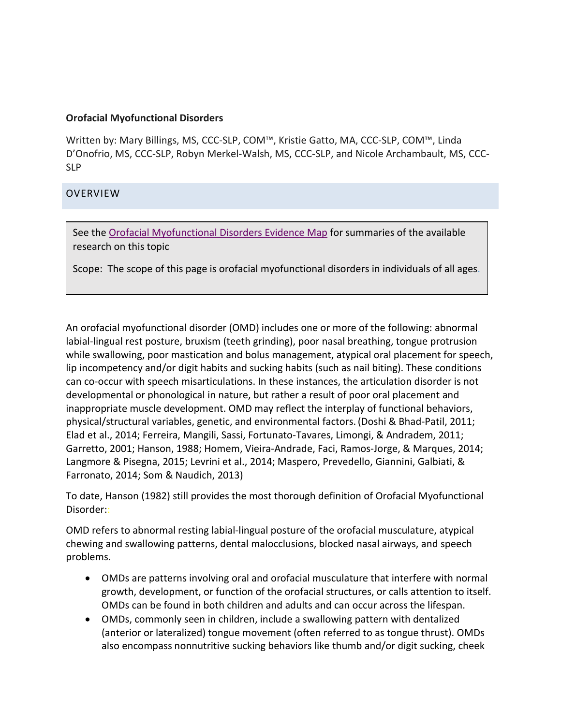#### **Orofacial Myofunctional Disorders**

Written by: Mary Billings, MS, CCC-SLP, COM™, Kristie Gatto, MA, CCC-SLP, COM™, Linda D'Onofrio, MS, CCC-SLP, Robyn Merkel-Walsh, MS, CCC-SLP, and Nicole Archambault, MS, CCC-SLP

## **OVERVIEW**

See th[e Orofacial Myofunctional Disorders Evidence Map](http://www.asha.org/EvidenceMapLanding.aspx?id=8589945126&recentarticles=false&year=undefined&tab=all) for summaries of the available research on this topic

Scope: The scope of this page is orofacial myofunctional disorders in individuals of all ages.

An orofacial myofunctional disorder (OMD) includes one or more of the following: abnormal labial-lingual rest posture, bruxism (teeth grinding), poor nasal breathing, tongue protrusion while swallowing, poor mastication and bolus management, atypical oral placement for speech, lip incompetency and/or digit habits and sucking habits (such as nail biting). These conditions can co-occur with speech misarticulations. In these instances, the articulation disorder is not developmental or phonological in nature, but rather a result of poor oral placement and inappropriate muscle development. OMD may reflect the interplay of functional behaviors, physical/structural variables, genetic, and environmental factors.(Doshi & Bhad-Patil, 2011; Elad et al., 2014; Ferreira, Mangili, Sassi, Fortunato-Tavares, Limongi, & Andradem, 2011; Garretto, 2001; Hanson, 1988; Homem, Vieira-Andrade, Faci, Ramos-Jorge, & Marques, 2014; Langmore & Pisegna, 2015; Levrini et al., 2014; Maspero, Prevedello, Giannini, Galbiati, & Farronato, 2014; Som & Naudich, 2013)

To date, Hanson (1982) still provides the most thorough definition of Orofacial Myofunctional Disorder::

OMD refers to abnormal resting labial-lingual posture of the orofacial musculature, atypical chewing and swallowing patterns, dental malocclusions, blocked nasal airways, and speech problems.

- OMDs are patterns involving oral and orofacial musculature that interfere with normal growth, development, or function of the orofacial structures, or calls attention to itself. OMDs can be found in both children and adults and can occur across the lifespan.
- OMDs, commonly seen in children, include a swallowing pattern with dentalized (anterior or lateralized) tongue movement (often referred to as tongue thrust). OMDs also encompass nonnutritive sucking behaviors like thumb and/or digit sucking, cheek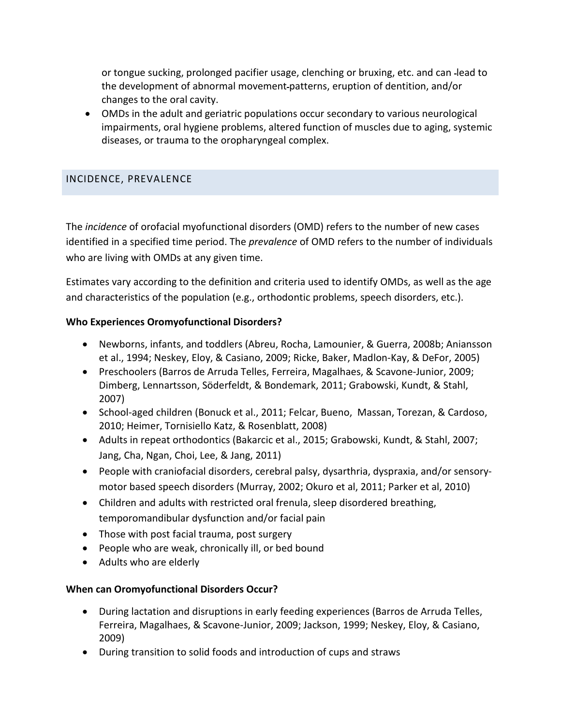or tongue sucking, prolonged pacifier usage, clenching or bruxing, etc. and can lead to the development of abnormal movement patterns, eruption of dentition, and/or changes to the oral cavity.

• OMDs in the adult and geriatric populations occur secondary to various neurological impairments, oral hygiene problems, altered function of muscles due to aging, systemic diseases, or trauma to the oropharyngeal complex.

## INCIDENCE, PREVALENCE

The *incidence* of orofacial myofunctional disorders (OMD) refers to the number of new cases identified in a specified time period. The *prevalence* of OMD refers to the number of individuals who are living with OMDs at any given time.

Estimates vary according to the definition and criteria used to identify OMDs, as well as the age and characteristics of the population (e.g., orthodontic problems, speech disorders, etc.).

#### **Who Experiences Oromyofunctional Disorders?**

- Newborns, infants, and toddlers (Abreu, Rocha, Lamounier, & Guerra, 2008b; Aniansson et al., 1994; Neskey, Eloy, & Casiano, 2009; Ricke, Baker, Madlon-Kay, & DeFor, 2005)
- Preschoolers (Barros de Arruda Telles, Ferreira, Magalhaes, & Scavone-Junior, 2009; Dimberg, Lennartsson, Söderfeldt, & Bondemark, 2011; Grabowski, Kundt, & Stahl, 2007)
- School-aged children (Bonuck et al., 2011; Felcar, Bueno, Massan, Torezan, & Cardoso, 2010; Heimer, Tornisiello Katz, & Rosenblatt, 2008)
- Adults in repeat orthodontics (Bakarcic et al., 2015; Grabowski, Kundt, & Stahl, 2007; Jang, Cha, Ngan, Choi, Lee, & Jang, 2011)
- People with craniofacial disorders, cerebral palsy, dysarthria, dyspraxia, and/or sensorymotor based speech disorders (Murray, 2002; Okuro et al, 2011; Parker et al, 2010)
- Children and adults with restricted oral frenula, sleep disordered breathing, temporomandibular dysfunction and/or facial pain
- Those with post facial trauma, post surgery
- People who are weak, chronically ill, or bed bound
- Adults who are elderly

## **When can Oromyofunctional Disorders Occur?**

- During lactation and disruptions in early feeding experiences (Barros de Arruda Telles, Ferreira, Magalhaes, & Scavone-Junior, 2009; Jackson, 1999; Neskey, Eloy, & Casiano, 2009)
- During transition to solid foods and introduction of cups and straws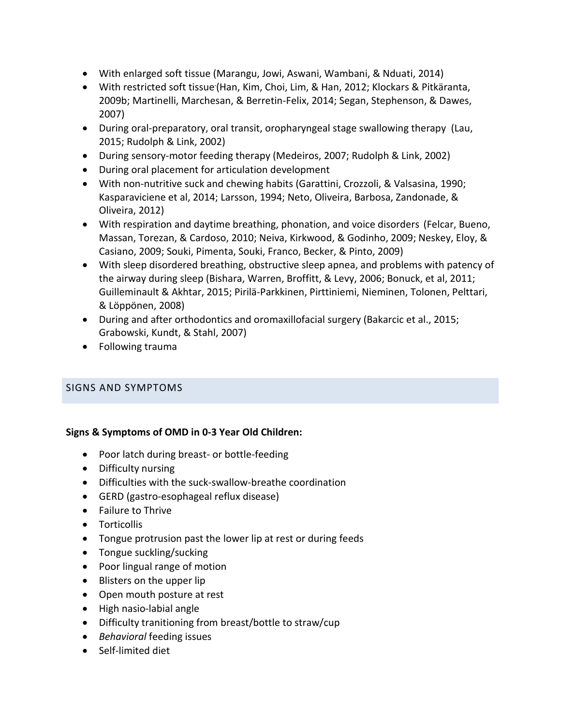- With enlarged soft tissue (Marangu, Jowi, Aswani, Wambani, & Nduati, 2014)
- With restricted soft tissue (Han, Kim, Choi, Lim, & Han, 2012; Klockars & Pitkäranta, 2009b; Martinelli, Marchesan, & Berretin-Felix, 2014; Segan, Stephenson, & Dawes, 2007)
- During oral-preparatory, oral transit, oropharyngeal stage swallowing therapy (Lau, 2015; Rudolph & Link, 2002)
- During sensory-motor feeding therapy (Medeiros, 2007; Rudolph & Link, 2002)
- During oral placement for articulation development
- With non-nutritive suck and chewing habits (Garattini, Crozzoli, & Valsasina, 1990; Kasparaviciene et al, 2014; Larsson, 1994; Neto, Oliveira, Barbosa, Zandonade, & Oliveira, 2012)
- With respiration and daytime breathing, phonation, and voice disorders (Felcar, Bueno, Massan, Torezan, & Cardoso, 2010; Neiva, Kirkwood, & Godinho, 2009; Neskey, Eloy, & Casiano, 2009; Souki, Pimenta, Souki, Franco, Becker, & Pinto, 2009)
- With sleep disordered breathing, obstructive sleep apnea, and problems with patency of the airway during sleep (Bishara, Warren, Broffitt, & Levy, 2006; Bonuck, et al, 2011; Guilleminault & Akhtar, 2015; Pirilä-Parkkinen, Pirttiniemi, Nieminen, Tolonen, Pelttari, & Löppönen, 2008)
- During and after orthodontics and oromaxillofacial surgery (Bakarcic et al., 2015; Grabowski, Kundt, & Stahl, 2007)
- Following trauma

## SIGNS AND SYMPTOMS

## **Signs & Symptoms of OMD in 0-3 Year Old Children:**

- Poor latch during breast- or bottle-feeding
- Difficulty nursing
- Difficulties with the suck-swallow-breathe coordination
- GERD (gastro-esophageal reflux disease)
- Failure to Thrive
- Torticollis
- Tongue protrusion past the lower lip at rest or during feeds
- Tongue suckling/sucking
- Poor lingual range of motion
- Blisters on the upper lip
- Open mouth posture at rest
- High nasio-labial angle
- Difficulty tranitioning from breast/bottle to straw/cup
- *Behavioral* feeding issues
- Self-limited diet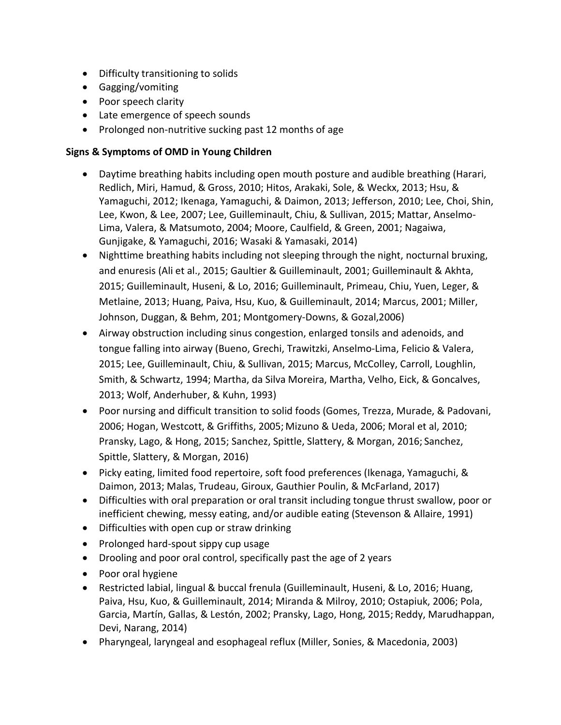- Difficulty transitioning to solids
- Gagging/vomiting
- Poor speech clarity
- Late emergence of speech sounds
- Prolonged non-nutritive sucking past 12 months of age

#### **Signs & Symptoms of OMD in Young Children**

- Daytime breathing habits including open mouth posture and audible breathing (Harari, Redlich, Miri, Hamud, & Gross, 2010; Hitos, Arakaki, Sole, & Weckx, 2013; Hsu, & Yamaguchi, 2012; Ikenaga, Yamaguchi, & Daimon, 2013; Jefferson, 2010; Lee, Choi, Shin, Lee, Kwon, & Lee, 2007; Lee, Guilleminault, Chiu, & Sullivan, 2015; Mattar, Anselmo-Lima, Valera, & Matsumoto, 2004; Moore, Caulfield, & Green, 2001; Nagaiwa, Gunjigake, & Yamaguchi, 2016; Wasaki & Yamasaki, 2014)
- Nighttime breathing habits including not sleeping through the night, nocturnal bruxing, and enuresis (Ali et al., 2015; Gaultier & Guilleminault, 2001; Guilleminault & Akhta, 2015; Guilleminault, Huseni, & Lo, 2016; Guilleminault, Primeau, Chiu, Yuen, Leger, & Metlaine, 2013; Huang, Paiva, Hsu, Kuo, & Guilleminault, 2014; Marcus, 2001; Miller, Johnson, Duggan, & Behm, 201; Montgomery-Downs, & Gozal,2006)
- Airway obstruction including sinus congestion, enlarged tonsils and adenoids, and tongue falling into airway (Bueno, Grechi, Trawitzki, Anselmo-Lima, Felicio & Valera, 2015; Lee, Guilleminault, Chiu, & Sullivan, 2015; Marcus, McColley, Carroll, Loughlin, Smith, & Schwartz, 1994; Martha, da Silva Moreira, Martha, Velho, Eick, & Goncalves, 2013; Wolf, Anderhuber, & Kuhn, 1993)
- Poor nursing and difficult transition to solid foods (Gomes, Trezza, Murade, & Padovani, 2006; Hogan, Westcott, & Griffiths, 2005; Mizuno & Ueda, 2006; Moral et al, 2010; Pransky, Lago, & Hong, 2015; Sanchez, Spittle, Slattery, & Morgan, 2016; Sanchez, Spittle, Slattery, & Morgan, 2016)
- Picky eating, limited food repertoire, soft food preferences (Ikenaga, Yamaguchi, & Daimon, 2013; Malas, Trudeau, Giroux, Gauthier Poulin, & McFarland, 2017)
- Difficulties with oral preparation or oral transit including tongue thrust swallow, poor or inefficient chewing, messy eating, and/or audible eating (Stevenson & Allaire, 1991)
- Difficulties with open cup or straw drinking
- Prolonged hard-spout sippy cup usage
- Drooling and poor oral control, specifically past the age of 2 years
- Poor oral hygiene
- Restricted labial, lingual & buccal frenula (Guilleminault, Huseni, & Lo, 2016; Huang, Paiva, Hsu, Kuo, & Guilleminault, 2014; Miranda & Milroy, 2010; Ostapiuk, 2006; Pola, Garcia, Martín, Gallas, & Lestón, 2002; Pransky, Lago, Hong, 2015; Reddy, Marudhappan, Devi, Narang, 2014)
- Pharyngeal, laryngeal and esophageal reflux (Miller, Sonies, & Macedonia, 2003)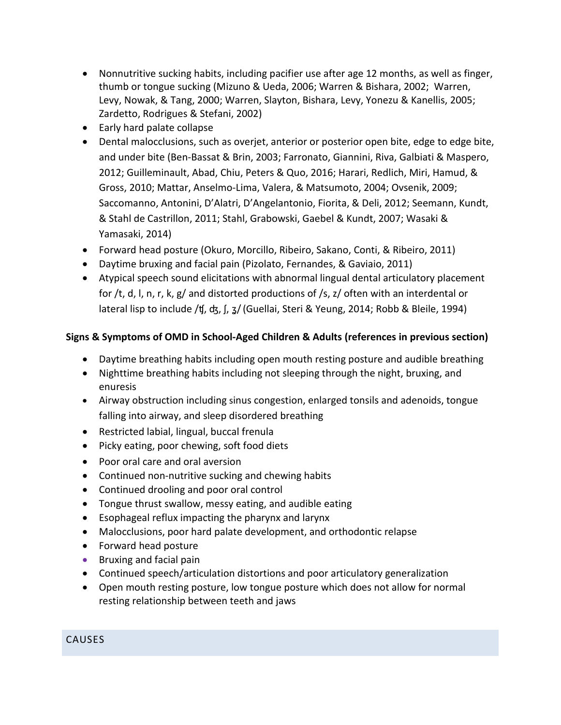- Nonnutritive sucking habits, including pacifier use after age 12 months, as well as finger, thumb or tongue sucking (Mizuno & Ueda, 2006; Warren & Bishara, 2002; Warren, Levy, Nowak, & Tang, 2000; Warren, Slayton, Bishara, Levy, Yonezu & Kanellis, 2005; Zardetto, Rodrigues & Stefani, 2002)
- Early hard palate collapse
- Dental malocclusions, such as overjet, anterior or posterior open bite, edge to edge bite, and under bite (Ben-Bassat & Brin, 2003; Farronato, Giannini, Riva, Galbiati & Maspero, 2012; Guilleminault, Abad, Chiu, Peters & Quo, 2016; Harari, Redlich, Miri, Hamud, & Gross, 2010; Mattar, Anselmo-Lima, Valera, & Matsumoto, 2004; Ovsenik, 2009; Saccomanno, Antonini, D'Alatri, D'Angelantonio, Fiorita, & Deli, 2012; Seemann, Kundt, & Stahl de Castrillon, 2011; Stahl, Grabowski, Gaebel & Kundt, 2007; Wasaki & Yamasaki, 2014)
- Forward head posture (Okuro, Morcillo, Ribeiro, Sakano, Conti, & Ribeiro, 2011)
- Daytime bruxing and facial pain (Pizolato, Fernandes, & Gaviaio, 2011)
- Atypical speech sound elicitations with abnormal lingual dental articulatory placement for /t, d, l, n, r, k, g/ and distorted productions of /s, z/ often with an interdental or lateral lisp to include /ʧ, ʤ, ʃ, ʓ/(Guellai, Steri & Yeung, 2014; Robb & Bleile, 1994)

# **Signs & Symptoms of OMD in School-Aged Children & Adults (references in previous section)**

- Daytime breathing habits including open mouth resting posture and audible breathing
- Nighttime breathing habits including not sleeping through the night, bruxing, and enuresis
- Airway obstruction including sinus congestion, enlarged tonsils and adenoids, tongue falling into airway, and sleep disordered breathing
- Restricted labial, lingual, buccal frenula
- Picky eating, poor chewing, soft food diets
- Poor oral care and oral aversion
- Continued non-nutritive sucking and chewing habits
- Continued drooling and poor oral control
- Tongue thrust swallow, messy eating, and audible eating
- Esophageal reflux impacting the pharynx and larynx
- Malocclusions, poor hard palate development, and orthodontic relapse
- Forward head posture
- Bruxing and facial pain
- Continued speech/articulation distortions and poor articulatory generalization
- Open mouth resting posture, low tongue posture which does not allow for normal resting relationship between teeth and jaws

# CAUSES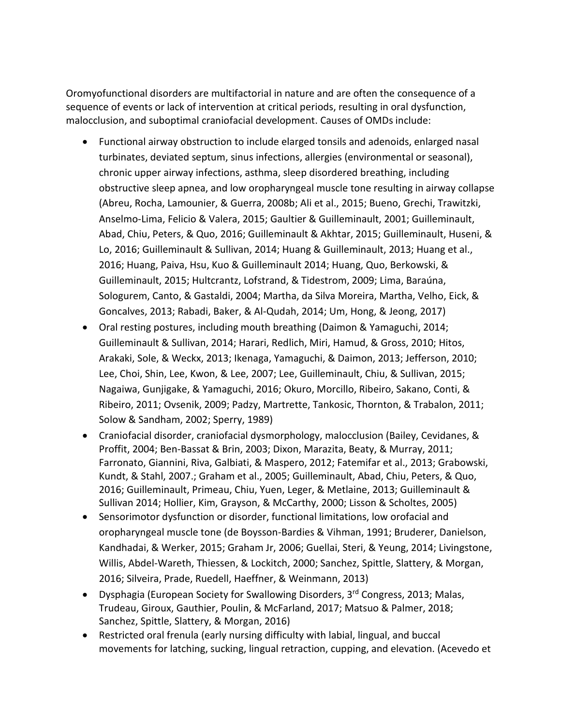Oromyofunctional disorders are multifactorial in nature and are often the consequence of a sequence of events or lack of intervention at critical periods, resulting in oral dysfunction, malocclusion, and suboptimal craniofacial development. Causes of OMDs include:

- Functional airway obstruction to include elarged tonsils and adenoids, enlarged nasal turbinates, deviated septum, sinus infections, allergies (environmental or seasonal), chronic upper airway infections, asthma, sleep disordered breathing, including obstructive sleep apnea, and low oropharyngeal muscle tone resulting in airway collapse (Abreu, Rocha, Lamounier, & Guerra, 2008b; Ali et al., 2015; Bueno, Grechi, Trawitzki, Anselmo-Lima, Felicio & Valera, 2015; Gaultier & Guilleminault, 2001; Guilleminault, Abad, Chiu, Peters, & Quo, 2016; Guilleminault & Akhtar, 2015; Guilleminault, Huseni, & Lo, 2016; Guilleminault & Sullivan, 2014; Huang & Guilleminault, 2013; Huang et al., 2016; Huang, Paiva, Hsu, Kuo & Guilleminault 2014; Huang, Quo, Berkowski, & Guilleminault, 2015; Hultcrantz, Lofstrand, & Tidestrom, 2009; Lima, Baraúna, Sologurem, Canto, & Gastaldi, 2004; Martha, da Silva Moreira, Martha, Velho, Eick, & Goncalves, 2013; Rabadi, Baker, & Al-Qudah, 2014; Um, Hong, & Jeong, 2017)
- Oral resting postures, including mouth breathing (Daimon & Yamaguchi, 2014; Guilleminault & Sullivan, 2014; Harari, Redlich, Miri, Hamud, & Gross, 2010; Hitos, Arakaki, Sole, & Weckx, 2013; Ikenaga, Yamaguchi, & Daimon, 2013; Jefferson, 2010; Lee, Choi, Shin, Lee, Kwon, & Lee, 2007; Lee, Guilleminault, Chiu, & Sullivan, 2015; Nagaiwa, Gunjigake, & Yamaguchi, 2016; Okuro, Morcillo, Ribeiro, Sakano, Conti, & Ribeiro, 2011; Ovsenik, 2009; Padzy, Martrette, Tankosic, Thornton, & Trabalon, 2011; Solow & Sandham, 2002; Sperry, 1989)
- Craniofacial disorder, craniofacial dysmorphology, malocclusion (Bailey, Cevidanes, & Proffit, 2004; Ben-Bassat & Brin, 2003; Dixon, Marazita, Beaty, & Murray, 2011; Farronato, Giannini, Riva, Galbiati, & Maspero, 2012; Fatemifar et al., 2013; Grabowski, Kundt, & Stahl, 2007.; Graham et al., 2005; Guilleminault, Abad, Chiu, Peters, & Quo, 2016; Guilleminault, Primeau, Chiu, Yuen, Leger, & Metlaine, 2013; Guilleminault & Sullivan 2014; Hollier, Kim, Grayson, & McCarthy, 2000; Lisson & Scholtes, 2005)
- Sensorimotor dysfunction or disorder, functional limitations, low orofacial and oropharyngeal muscle tone (de Boysson-Bardies & Vihman, 1991; Bruderer, Danielson, Kandhadai, & Werker, 2015; Graham Jr, 2006; Guellai, Steri, & Yeung, 2014; Livingstone, Willis, Abdel-Wareth, Thiessen, & Lockitch, 2000; Sanchez, Spittle, Slattery, & Morgan, 2016; Silveira, Prade, Ruedell, Haeffner, & Weinmann, 2013)
- Dysphagia (European Society for Swallowing Disorders, 3rd Congress, 2013; Malas, Trudeau, Giroux, Gauthier, Poulin, & McFarland, 2017; Matsuo & Palmer, 2018; Sanchez, Spittle, Slattery, & Morgan, 2016)
- Restricted oral frenula (early nursing difficulty with labial, lingual, and buccal movements for latching, sucking, lingual retraction, cupping, and elevation. (Acevedo et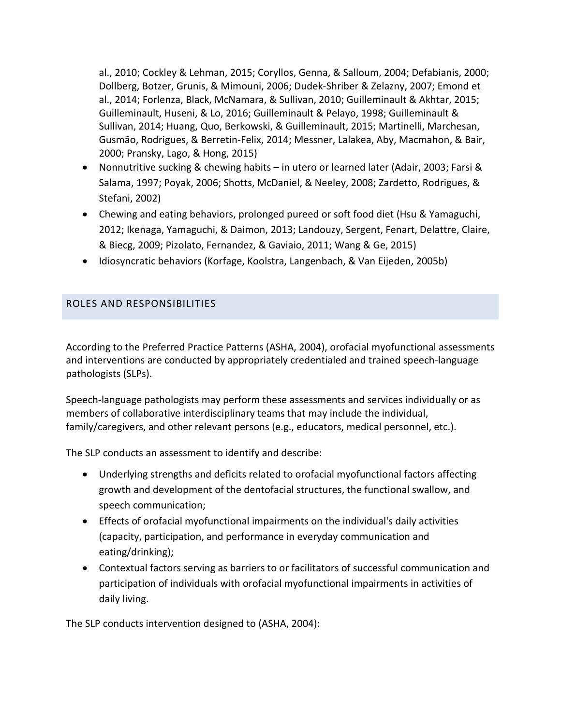al., 2010; Cockley & Lehman, 2015; Coryllos, Genna, & Salloum, 2004; Defabianis, 2000; Dollberg, Botzer, Grunis, & Mimouni, 2006; Dudek-Shriber & Zelazny, 2007; Emond et al., 2014; Forlenza, Black, McNamara, & Sullivan, 2010; Guilleminault & Akhtar, 2015; Guilleminault, Huseni, & Lo, 2016; Guilleminault & Pelayo, 1998; Guilleminault & Sullivan, 2014; Huang, Quo, Berkowski, & Guilleminault, 2015; Martinelli, Marchesan, Gusmão, Rodrigues, & Berretin-Felix, 2014; Messner, Lalakea, Aby, Macmahon, & Bair, 2000; Pransky, Lago, & Hong, 2015)

- Nonnutritive sucking & chewing habits in utero or learned later (Adair, 2003; Farsi & Salama, 1997; Poyak, 2006; Shotts, McDaniel, & Neeley, 2008; Zardetto, Rodrigues, & Stefani, 2002)
- Chewing and eating behaviors, prolonged pureed or soft food diet (Hsu & Yamaguchi, 2012; Ikenaga, Yamaguchi, & Daimon, 2013; Landouzy, Sergent, Fenart, Delattre, Claire, & Biecg, 2009; Pizolato, Fernandez, & Gaviaio, 2011; Wang & Ge, 2015)
- Idiosyncratic behaviors (Korfage, Koolstra, Langenbach, & Van Eijeden, 2005b)

# ROLES AND RESPONSIBILITIES

According to the Preferred Practice Patterns (ASHA, 2004), orofacial myofunctional assessments and interventions are conducted by appropriately credentialed and trained speech-language pathologists (SLPs).

Speech-language pathologists may perform these assessments and services individually or as members of collaborative interdisciplinary teams that may include the individual, family/caregivers, and other relevant persons (e.g., educators, medical personnel, etc.).

The SLP conducts an assessment to identify and describe:

- Underlying strengths and deficits related to orofacial myofunctional factors affecting growth and development of the dentofacial structures, the functional swallow, and speech communication;
- Effects of orofacial myofunctional impairments on the individual's daily activities (capacity, participation, and performance in everyday communication and eating/drinking);
- Contextual factors serving as barriers to or facilitators of successful communication and participation of individuals with orofacial myofunctional impairments in activities of daily living.

The SLP conducts intervention designed to (ASHA, 2004):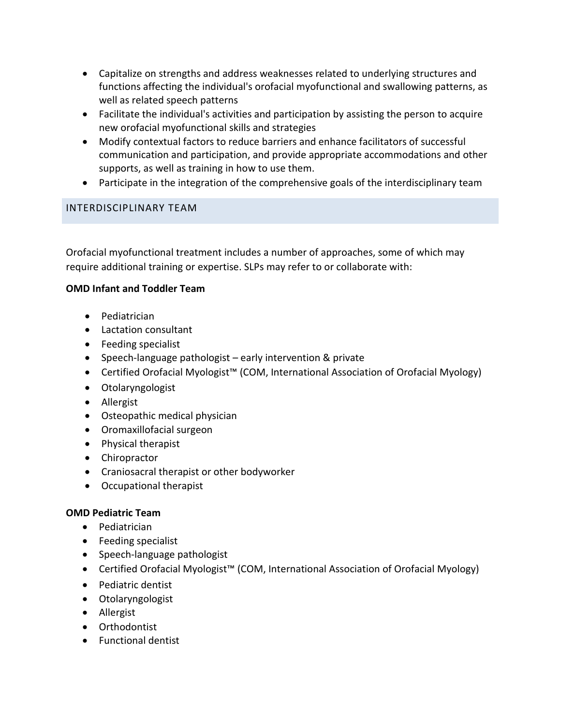- Capitalize on strengths and address weaknesses related to underlying structures and functions affecting the individual's orofacial myofunctional and swallowing patterns, as well as related speech patterns
- Facilitate the individual's activities and participation by assisting the person to acquire new orofacial myofunctional skills and strategies
- Modify contextual factors to reduce barriers and enhance facilitators of successful communication and participation, and provide appropriate accommodations and other supports, as well as training in how to use them.
- Participate in the integration of the comprehensive goals of the interdisciplinary team

## INTERDISCIPLINARY TEAM

Orofacial myofunctional treatment includes a number of approaches, some of which may require additional training or expertise. SLPs may refer to or collaborate with:

## **OMD Infant and Toddler Team**

- Pediatrician
- Lactation consultant
- Feeding specialist
- Speech-language pathologist early intervention & private
- Certified Orofacial Myologist™ (COM, International Association of Orofacial Myology)
- Otolaryngologist
- Allergist
- Osteopathic medical physician
- Oromaxillofacial surgeon
- Physical therapist
- Chiropractor
- Craniosacral therapist or other bodyworker
- Occupational therapist

## **OMD Pediatric Team**

- Pediatrician
- Feeding specialist
- Speech-language pathologist
- Certified Orofacial Myologist™ (COM, International Association of Orofacial Myology)
- Pediatric dentist
- Otolaryngologist
- Allergist
- Orthodontist
- Functional dentist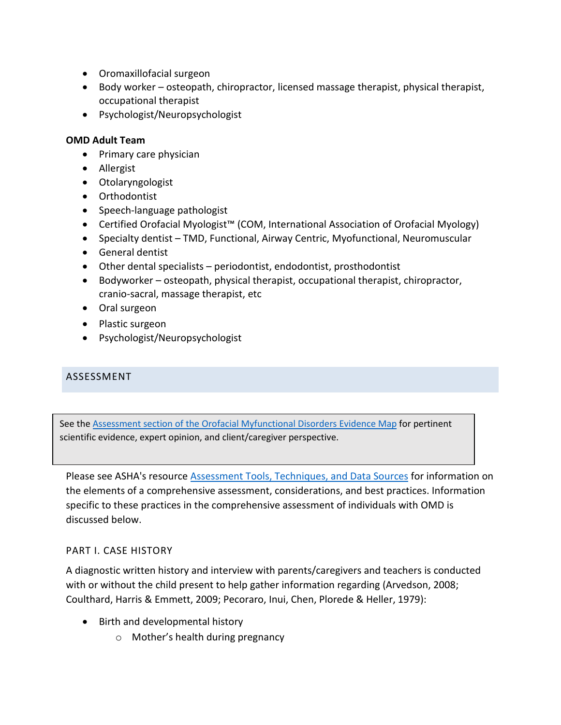- Oromaxillofacial surgeon
- Body worker osteopath, chiropractor, licensed massage therapist, physical therapist, occupational therapist
- Psychologist/Neuropsychologist

#### **OMD Adult Team**

- Primary care physician
- Allergist
- Otolaryngologist
- Orthodontist
- Speech-language pathologist
- Certified Orofacial Myologist™ (COM, International Association of Orofacial Myology)
- Specialty dentist TMD, Functional, Airway Centric, Myofunctional, Neuromuscular
- General dentist
- Other dental specialists periodontist, endodontist, prosthodontist
- Bodyworker osteopath, physical therapist, occupational therapist, chiropractor, cranio-sacral, massage therapist, etc
- Oral surgeon
- Plastic surgeon
- Psychologist/Neuropsychologist

## ASSESSMENT

See the [Assessment section of the Orofacial Myfunctional Disorders Evidence Map](http://www.asha.org/EvidenceMapLanding.aspx?id=8589945126&recentarticles=false&year=undefined&tab=allTab&filters=/8589935906/8589945126/8589945127/8589945129/) for pertinent scientific evidence, expert opinion, and client/caregiver perspective.

Please see ASHA's resource [Assessment Tools, Techniques, and Data Sources](http://www.asha.org/Practice-Portal/Clinical-Topics/Late-Language-Emergence/Assessment-Tools-Techniques-and-Data-Sources/) for information on the elements of a comprehensive assessment, considerations, and best practices. Information specific to these practices in the comprehensive assessment of individuals with OMD is discussed below.

## PART I. CASE HISTORY

A diagnostic written history and interview with parents/caregivers and teachers is conducted with or without the child present to help gather information regarding (Arvedson, 2008; Coulthard, Harris & Emmett, 2009; Pecoraro, Inui, Chen, Plorede & Heller, 1979):

- Birth and developmental history
	- o Mother's health during pregnancy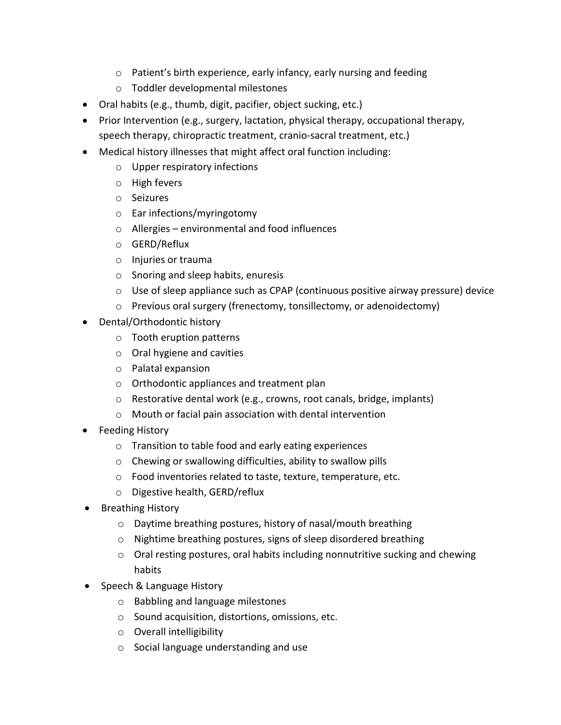- o Patient's birth experience, early infancy, early nursing and feeding
- o Toddler developmental milestones
- Oral habits (e.g., thumb, digit, pacifier, object sucking, etc.)
- Prior Intervention (e.g., surgery, lactation, physical therapy, occupational therapy, speech therapy, chiropractic treatment, cranio-sacral treatment, etc.)
- Medical history illnesses that might affect oral function including:
	- o Upper respiratory infections
	- o High fevers
	- o Seizures
	- o Ear infections/myringotomy
	- o Allergies environmental and food influences
	- o GERD/Reflux
	- o Injuries or trauma
	- o Snoring and sleep habits, enuresis
	- $\circ$  Use of sleep appliance such as CPAP (continuous positive airway pressure) device
	- o Previous oral surgery (frenectomy, tonsillectomy, or adenoidectomy)
- Dental/Orthodontic history
	- o Tooth eruption patterns
	- o Oral hygiene and cavities
	- o Palatal expansion
	- o Orthodontic appliances and treatment plan
	- o Restorative dental work (e.g., crowns, root canals, bridge, implants)
	- o Mouth or facial pain association with dental intervention
- Feeding History
	- o Transition to table food and early eating experiences
	- o Chewing or swallowing difficulties, ability to swallow pills
	- o Food inventories related to taste, texture, temperature, etc.
	- o Digestive health, GERD/reflux
- Breathing History
	- o Daytime breathing postures, history of nasal/mouth breathing
	- o Nightime breathing postures, signs of sleep disordered breathing
	- $\circ$  Oral resting postures, oral habits including nonnutritive sucking and chewing habits
- Speech & Language History
	- o Babbling and language milestones
	- o Sound acquisition, distortions, omissions, etc.
	- o Overall intelligibility
	- o Social language understanding and use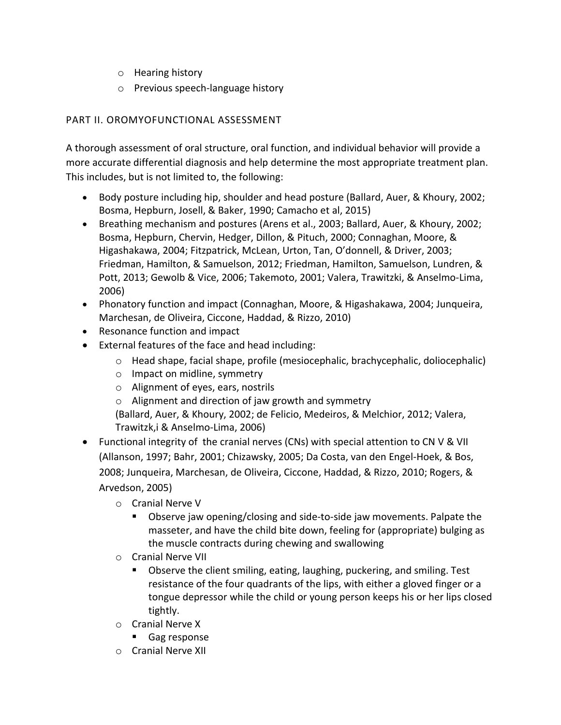- o Hearing history
- o Previous speech-language history

# PART II. OROMYOFUNCTIONAL ASSESSMENT

A thorough assessment of oral structure, oral function, and individual behavior will provide a more accurate differential diagnosis and help determine the most appropriate treatment plan. This includes, but is not limited to, the following:

- Body posture including hip, shoulder and head posture (Ballard, Auer, & Khoury, 2002; Bosma, Hepburn, Josell, & Baker, 1990; Camacho et al, 2015)
- Breathing mechanism and postures (Arens et al., 2003; Ballard, Auer, & Khoury, 2002; Bosma, Hepburn, Chervin, Hedger, Dillon, & Pituch, 2000; Connaghan, Moore, & Higashakawa, 2004; Fitzpatrick, McLean, Urton, Tan, O'donnell, & Driver, 2003; Friedman, Hamilton, & Samuelson, 2012; Friedman, Hamilton, Samuelson, Lundren, & Pott, 2013; Gewolb & Vice, 2006; Takemoto, 2001; Valera, Trawitzki, & Anselmo-Lima, 2006)
- Phonatory function and impact (Connaghan, Moore, & Higashakawa, 2004; Junqueira, Marchesan, de Oliveira, Ciccone, Haddad, & Rizzo, 2010)
- Resonance function and impact
- External features of the face and head including:
	- o Head shape, facial shape, profile (mesiocephalic, brachycephalic, doliocephalic)
	- o Impact on midline, symmetry
	- o Alignment of eyes, ears, nostrils
	- o Alignment and direction of jaw growth and symmetry

(Ballard, Auer, & Khoury, 2002; de Felicio, Medeiros, & Melchior, 2012; Valera, Trawitzk,i & Anselmo-Lima, 2006)

- Functional integrity of the cranial nerves (CNs) with special attention to CN V & VII (Allanson, 1997; Bahr, 2001; Chizawsky, 2005; Da Costa, van den Engel-Hoek, & Bos, 2008; Junqueira, Marchesan, de Oliveira, Ciccone, Haddad, & Rizzo, 2010; Rogers, & Arvedson, 2005)
	- o Cranial Nerve V
		- Observe jaw opening/closing and side-to-side jaw movements. Palpate the masseter, and have the child bite down, feeling for (appropriate) bulging as the muscle contracts during chewing and swallowing
	- o Cranial Nerve VII
		- Observe the client smiling, eating, laughing, puckering, and smiling. Test resistance of the four quadrants of the lips, with either a gloved finger or a tongue depressor while the child or young person keeps his or her lips closed tightly.
	- o Cranial Nerve X
		- **Gag response**
	- o Cranial Nerve XII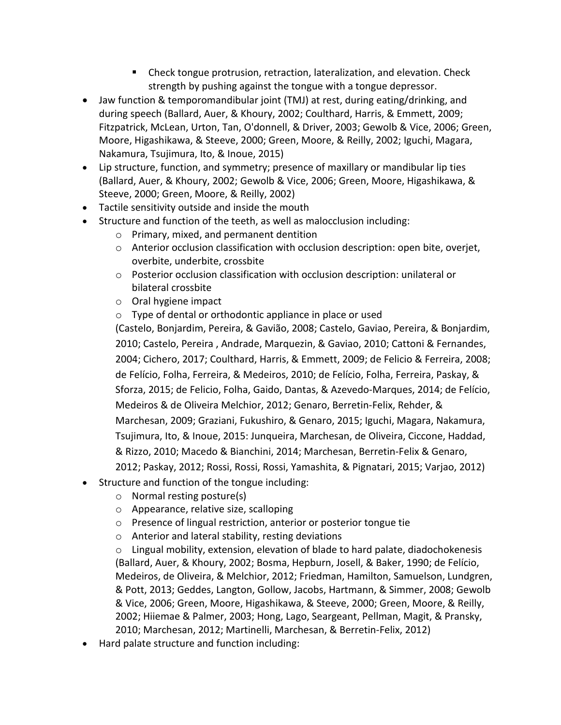- Check tongue protrusion, retraction, lateralization, and elevation. Check strength by pushing against the tongue with a tongue depressor.
- Jaw function & temporomandibular joint (TMJ) at rest, during eating/drinking, and during speech (Ballard, Auer, & Khoury, 2002; Coulthard, Harris, & Emmett, 2009; Fitzpatrick, McLean, Urton, Tan, O'donnell, & Driver, 2003; Gewolb & Vice, 2006; Green, Moore, Higashikawa, & Steeve, 2000; Green, Moore, & Reilly, 2002; Iguchi, Magara, Nakamura, Tsujimura, Ito, & Inoue, 2015)
- Lip structure, function, and symmetry; presence of maxillary or mandibular lip ties (Ballard, Auer, & Khoury, 2002; Gewolb & Vice, 2006; Green, Moore, Higashikawa, & Steeve, 2000; Green, Moore, & Reilly, 2002)
- Tactile sensitivity outside and inside the mouth
- Structure and function of the teeth, as well as malocclusion including:
	- o Primary, mixed, and permanent dentition
	- $\circ$  Anterior occlusion classification with occlusion description: open bite, overjet, overbite, underbite, crossbite
	- o Posterior occlusion classification with occlusion description: unilateral or bilateral crossbite
	- o Oral hygiene impact
	- o Type of dental or orthodontic appliance in place or used

(Castelo, Bonjardim, Pereira, & Gavião, 2008; Castelo, Gaviao, Pereira, & Bonjardim, 2010; Castelo, Pereira , Andrade, Marquezin, & Gaviao, 2010; Cattoni & Fernandes, 2004; Cichero, 2017; Coulthard, Harris, & Emmett, 2009; de Felicio & Ferreira, 2008; de Felício, Folha, Ferreira, & Medeiros, 2010; de Felício, Folha, Ferreira, Paskay, & Sforza, 2015; de Felicio, Folha, Gaido, Dantas, & Azevedo-Marques, 2014; de Felício, Medeiros & de Oliveira Melchior, 2012; Genaro, Berretin-Felix, Rehder, & Marchesan, 2009; Graziani, Fukushiro, & Genaro, 2015; Iguchi, Magara, Nakamura, Tsujimura, Ito, & Inoue, 2015: Junqueira, Marchesan, de Oliveira, Ciccone, Haddad, & Rizzo, 2010; Macedo & Bianchini, 2014; Marchesan, Berretin-Felix & Genaro, 2012; Paskay, 2012; Rossi, Rossi, Rossi, Yamashita, & Pignatari, 2015; Varjao, 2012)

- Structure and function of the tongue including:
	- o Normal resting posture(s)
	- o Appearance, relative size, scalloping
	- o Presence of lingual restriction, anterior or posterior tongue tie
	- o Anterior and lateral stability, resting deviations
	- o Lingual mobility, extension, elevation of blade to hard palate, diadochokenesis (Ballard, Auer, & Khoury, 2002; Bosma, Hepburn, Josell, & Baker, 1990; de Felício, Medeiros, de Oliveira, & Melchior, 2012; Friedman, Hamilton, Samuelson, Lundgren, & Pott, 2013; Geddes, Langton, Gollow, Jacobs, Hartmann, & Simmer, 2008; Gewolb & Vice, 2006; Green, Moore, Higashikawa, & Steeve, 2000; Green, Moore, & Reilly, 2002; Hiiemae & Palmer, 2003; Hong, Lago, Seargeant, Pellman, Magit, & Pransky, 2010; Marchesan, 2012; Martinelli, Marchesan, & Berretin-Felix, 2012)
- Hard palate structure and function including: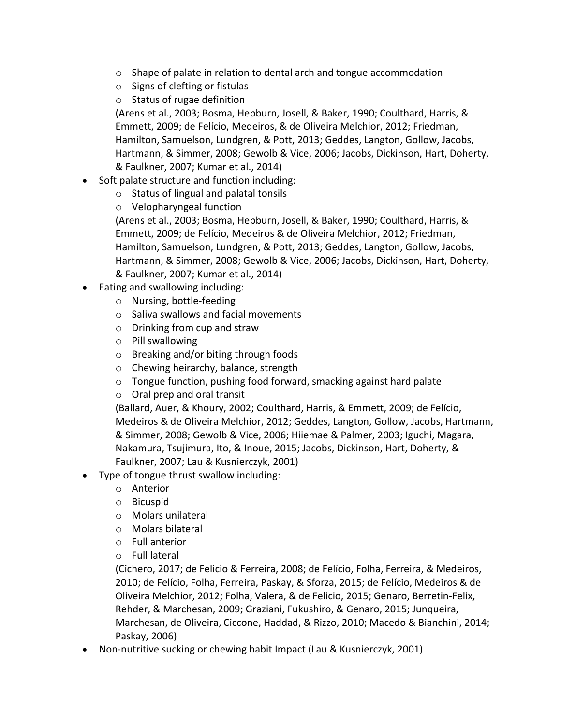- o Shape of palate in relation to dental arch and tongue accommodation
- o Signs of clefting or fistulas
- o Status of rugae definition

(Arens et al., 2003; Bosma, Hepburn, Josell, & Baker, 1990; Coulthard, Harris, & Emmett, 2009; de Felício, Medeiros, & de Oliveira Melchior, 2012; Friedman, Hamilton, Samuelson, Lundgren, & Pott, 2013; Geddes, Langton, Gollow, Jacobs, Hartmann, & Simmer, 2008; Gewolb & Vice, 2006; Jacobs, Dickinson, Hart, Doherty, & Faulkner, 2007; Kumar et al., 2014)

- Soft palate structure and function including:
	- o Status of lingual and palatal tonsils
	- o Velopharyngeal function

(Arens et al., 2003; Bosma, Hepburn, Josell, & Baker, 1990; Coulthard, Harris, & Emmett, 2009; de Felício, Medeiros & de Oliveira Melchior, 2012; Friedman, Hamilton, Samuelson, Lundgren, & Pott, 2013; Geddes, Langton, Gollow, Jacobs, Hartmann, & Simmer, 2008; Gewolb & Vice, 2006; Jacobs, Dickinson, Hart, Doherty, & Faulkner, 2007; Kumar et al., 2014)

- Eating and swallowing including:
	- o Nursing, bottle-feeding
	- o Saliva swallows and facial movements
	- o Drinking from cup and straw
	- o Pill swallowing
	- o Breaking and/or biting through foods
	- o Chewing heirarchy, balance, strength
	- o Tongue function, pushing food forward, smacking against hard palate
	- o Oral prep and oral transit

(Ballard, Auer, & Khoury, 2002; Coulthard, Harris, & Emmett, 2009; de Felício, Medeiros & de Oliveira Melchior, 2012; Geddes, Langton, Gollow, Jacobs, Hartmann, & Simmer, 2008; Gewolb & Vice, 2006; Hiiemae & Palmer, 2003; Iguchi, Magara, Nakamura, Tsujimura, Ito, & Inoue, 2015; Jacobs, Dickinson, Hart, Doherty, & Faulkner, 2007; Lau & Kusnierczyk, 2001)

- Type of tongue thrust swallow including:
	- o Anterior
	- o Bicuspid
	- o Molars unilateral
	- o Molars bilateral
	- o Full anterior
	- o Full lateral

(Cichero, 2017; de Felicio & Ferreira, 2008; de Felício, Folha, Ferreira, & Medeiros, 2010; de Felício, Folha, Ferreira, Paskay, & Sforza, 2015; de Felício, Medeiros & de Oliveira Melchior, 2012; Folha, Valera, & de Felicio, 2015; Genaro, Berretin-Felix, Rehder, & Marchesan, 2009; Graziani, Fukushiro, & Genaro, 2015; Junqueira, Marchesan, de Oliveira, Ciccone, Haddad, & Rizzo, 2010; Macedo & Bianchini, 2014; Paskay, 2006)

• Non-nutritive sucking or chewing habit Impact (Lau & Kusnierczyk, 2001)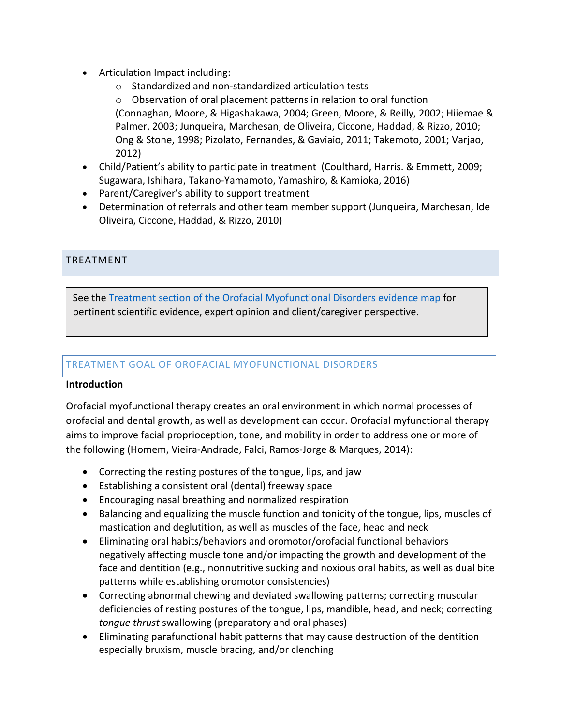- Articulation Impact including:
	- o Standardized and non-standardized articulation tests

o Observation of oral placement patterns in relation to oral function (Connaghan, Moore, & Higashakawa, 2004; Green, Moore, & Reilly, 2002; Hiiemae & Palmer, 2003; Junqueira, Marchesan, de Oliveira, Ciccone, Haddad, & Rizzo, 2010; Ong & Stone, 1998; Pizolato, Fernandes, & Gaviaio, 2011; Takemoto, 2001; Varjao, 2012)

- Child/Patient's ability to participate in treatment (Coulthard, Harris. & Emmett, 2009; Sugawara, Ishihara, Takano-Yamamoto, Yamashiro, & Kamioka, 2016)
- Parent/Caregiver's ability to support treatment
- Determination of referrals and other team member support (Junqueira, Marchesan, Ide Oliveira, Ciccone, Haddad, & Rizzo, 2010)

# TREATMENT

See th[e Treatment section of the Orofacial Myofunctional Disorders evidence map](http://www.asha.org/EvidenceMapLanding.aspx?id=8589945126&recentarticles=false&year=undefined&tab=allTab&filters=/8589935906/8589945126/8589945127/8589945130/) for pertinent scientific evidence, expert opinion and client/caregiver perspective.

# TREATMENT GOAL OF OROFACIAL MYOFUNCTIONAL DISORDERS

## **Introduction**

Orofacial myofunctional therapy creates an oral environment in which normal processes of orofacial and dental growth, as well as development can occur. Orofacial myfunctional therapy aims to improve facial proprioception, tone, and mobility in order to address one or more of the following (Homem, Vieira-Andrade, Falci, Ramos-Jorge & Marques, 2014):

- Correcting the resting postures of the tongue, lips, and jaw
- Establishing a consistent oral (dental) freeway space
- Encouraging nasal breathing and normalized respiration
- Balancing and equalizing the muscle function and tonicity of the tongue, lips, muscles of mastication and deglutition, as well as muscles of the face, head and neck
- Eliminating oral habits/behaviors and oromotor/orofacial functional behaviors negatively affecting muscle tone and/or impacting the growth and development of the face and dentition (e.g., nonnutritive sucking and noxious oral habits, as well as dual bite patterns while establishing oromotor consistencies)
- Correcting abnormal chewing and deviated swallowing patterns; correcting muscular deficiencies of resting postures of the tongue, lips, mandible, head, and neck; correcting *tongue thrust* swallowing (preparatory and oral phases)
- Eliminating parafunctional habit patterns that may cause destruction of the dentition especially bruxism, muscle bracing, and/or clenching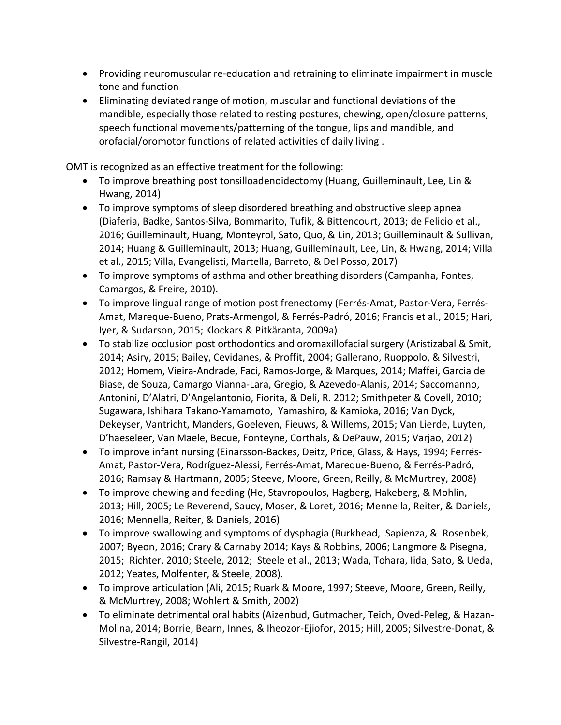- Providing neuromuscular re-education and retraining to eliminate impairment in muscle tone and function
- Eliminating deviated range of motion, muscular and functional deviations of the mandible, especially those related to resting postures, chewing, open/closure patterns, speech functional movements/patterning of the tongue, lips and mandible, and orofacial/oromotor functions of related activities of daily living .

OMT is recognized as an effective treatment for the following:

- To improve breathing post tonsilloadenoidectomy (Huang, Guilleminault, Lee, Lin & Hwang, 2014)
- To improve symptoms of sleep disordered breathing and obstructive sleep apnea (Diaferia, Badke, Santos-Silva, Bommarito, Tufik, & Bittencourt, 2013; de Felicio et al., 2016; Guilleminault, Huang, Monteyrol, Sato, Quo, & Lin, 2013; Guilleminault & Sullivan, 2014; Huang & Guilleminault, 2013; Huang, Guilleminault, Lee, Lin, & Hwang, 2014; Villa et al., 2015; Villa, Evangelisti, Martella, Barreto, & Del Posso, 2017)
- To improve symptoms of asthma and other breathing disorders (Campanha, Fontes, Camargos, & Freire, 2010).
- To improve lingual range of motion post frenectomy (Ferrés-Amat, Pastor-Vera, Ferrés-Amat, Mareque-Bueno, Prats-Armengol, & Ferrés-Padró, 2016; Francis et al., 2015; Hari, Iyer, & Sudarson, 2015; Klockars & Pitkäranta, 2009a)
- To stabilize occlusion post orthodontics and oromaxillofacial surgery (Aristizabal & Smit, 2014; Asiry, 2015; Bailey, Cevidanes, & Proffit, 2004; Gallerano, Ruoppolo, & Silvestri, 2012; Homem, Vieira-Andrade, Faci, Ramos-Jorge, & Marques, 2014; Maffei, Garcia de Biase, de Souza, Camargo Vianna-Lara, Gregio, & Azevedo-Alanis, 2014; Saccomanno, Antonini, D'Alatri, D'Angelantonio, Fiorita, & Deli, R. 2012; Smithpeter & Covell, 2010; Sugawara, Ishihara Takano-Yamamoto, Yamashiro, & Kamioka, 2016; Van Dyck, Dekeyser, Vantricht, Manders, Goeleven, Fieuws, & Willems, 2015; Van Lierde, Luyten, D'haeseleer, Van Maele, Becue, Fonteyne, Corthals, & DePauw, 2015; Varjao, 2012)
- To improve infant nursing (Einarsson-Backes, Deitz, Price, Glass, & Hays, 1994; Ferrés-Amat, Pastor-Vera, Rodríguez-Alessi, Ferrés-Amat, Mareque-Bueno, & Ferrés-Padró, 2016; Ramsay & Hartmann, 2005; Steeve, Moore, Green, Reilly, & McMurtrey, 2008)
- To improve chewing and feeding (He, Stavropoulos, Hagberg, Hakeberg, & Mohlin, 2013; Hill, 2005; Le Reverend, Saucy, Moser, & Loret, 2016; Mennella, Reiter, & Daniels, 2016; Mennella, Reiter, & Daniels, 2016)
- To improve swallowing and symptoms of dysphagia (Burkhead, Sapienza, & Rosenbek, 2007; Byeon, 2016; Crary & Carnaby 2014; Kays & Robbins, 2006; Langmore & Pisegna, 2015; Richter, 2010; Steele, 2012; Steele et al., 2013; Wada, Tohara, Iida, Sato, & Ueda, 2012; Yeates, Molfenter, & Steele, 2008).
- To improve articulation (Ali, 2015; Ruark & Moore, 1997; Steeve, Moore, Green, Reilly, & McMurtrey, 2008; Wohlert & Smith, 2002)
- To eliminate detrimental oral habits (Aizenbud, Gutmacher, Teich, Oved-Peleg, & Hazan-Molina, 2014; Borrie, Bearn, Innes, & Iheozor-Ejiofor, 2015; Hill, 2005; Silvestre-Donat, & Silvestre-Rangil, 2014)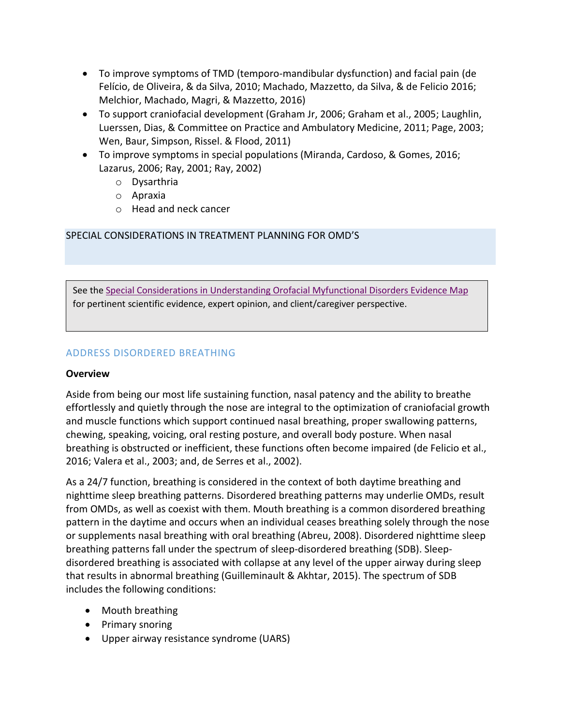- To improve symptoms of TMD (temporo-mandibular dysfunction) and facial pain (de Felício, de Oliveira, & da Silva, 2010; Machado, Mazzetto, da Silva, & de Felicio 2016; Melchior, Machado, Magri, & Mazzetto, 2016)
- To support craniofacial development (Graham Jr, 2006; Graham et al., 2005; Laughlin, Luerssen, Dias, & Committee on Practice and Ambulatory Medicine, 2011; Page, 2003; Wen, Baur, Simpson, Rissel. & Flood, 2011)
- To improve symptoms in special populations (Miranda, Cardoso, & Gomes, 2016; Lazarus, 2006; Ray, 2001; Ray, 2002)
	- o Dysarthria
	- o Apraxia
	- o Head and neck cancer

# SPECIAL CONSIDERATIONS IN TREATMENT PLANNING FOR OMD'S

See the Special Considerations [in Understanding Orofacial Myfunctional Disorders Evidence Map](http://www.asha.org/EvidenceMapLanding.aspx?id=8589945126&recentarticles=false&year=undefined&tab=allTab&filters=/8589935906/8589945126/8589945127/8589945129/) for pertinent scientific evidence, expert opinion, and client/caregiver perspective.

# ADDRESS DISORDERED BREATHING

## **Overview**

Aside from being our most life sustaining function, nasal patency and the ability to breathe effortlessly and quietly through the nose are integral to the optimization of craniofacial growth and muscle functions which support continued nasal breathing, proper swallowing patterns, chewing, speaking, voicing, oral resting posture, and overall body posture. When nasal breathing is obstructed or inefficient, these functions often become impaired (de Felicio et al., 2016; Valera et al., 2003; and, de Serres et al., 2002).

As a 24/7 function, breathing is considered in the context of both daytime breathing and nighttime sleep breathing patterns. Disordered breathing patterns may underlie OMDs, result from OMDs, as well as coexist with them. Mouth breathing is a common disordered breathing pattern in the daytime and occurs when an individual ceases breathing solely through the nose or supplements nasal breathing with oral breathing (Abreu, 2008). Disordered nighttime sleep breathing patterns fall under the spectrum of sleep-disordered breathing (SDB). Sleepdisordered breathing is associated with collapse at any level of the upper airway during sleep that results in abnormal breathing (Guilleminault & Akhtar, 2015). The spectrum of SDB includes the following conditions:

- Mouth breathing
- Primary snoring
- Upper airway resistance syndrome (UARS)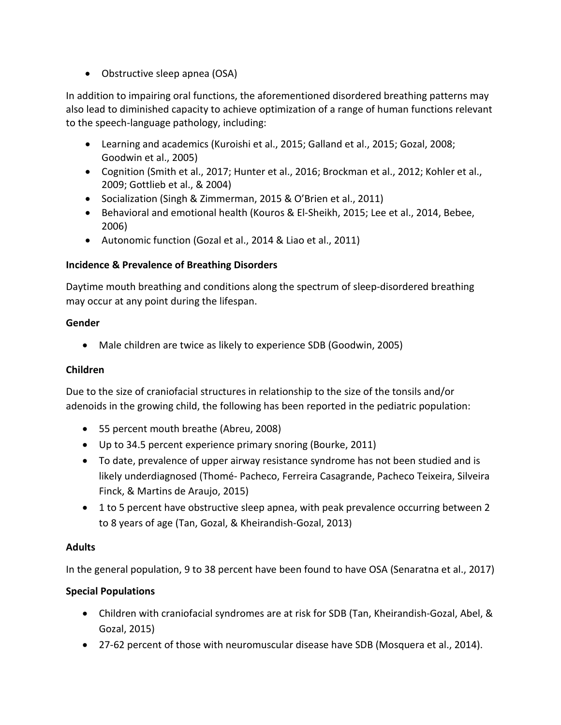• Obstructive sleep apnea (OSA)

In addition to impairing oral functions, the aforementioned disordered breathing patterns may also lead to diminished capacity to achieve optimization of a range of human functions relevant to the speech-language pathology, including:

- Learning and academics (Kuroishi et al., 2015; Galland et al., 2015; Gozal, 2008; Goodwin et al., 2005)
- Cognition (Smith et al., 2017; Hunter et al., 2016; Brockman et al., 2012; Kohler et al., 2009; Gottlieb et al., & 2004)
- Socialization (Singh & Zimmerman, 2015 & O'Brien et al., 2011)
- Behavioral and emotional health (Kouros & El-Sheikh, 2015; Lee et al., 2014, Bebee, 2006)
- Autonomic function (Gozal et al., 2014 & Liao et al., 2011)

# **Incidence & Prevalence of Breathing Disorders**

Daytime mouth breathing and conditions along the spectrum of sleep-disordered breathing may occur at any point during the lifespan.

## **Gender**

• Male children are twice as likely to experience SDB (Goodwin, 2005)

## **Children**

Due to the size of craniofacial structures in relationship to the size of the tonsils and/or adenoids in the growing child, the following has been reported in the pediatric population:

- 55 percent mouth breathe (Abreu, 2008)
- Up to 34.5 percent experience primary snoring (Bourke, 2011)
- To date, prevalence of upper airway resistance syndrome has not been studied and is likely underdiagnosed (Thomé- Pacheco, Ferreira Casagrande, Pacheco Teixeira, Silveira Finck, & Martins de Araujo, 2015)
- 1 to 5 percent have obstructive sleep apnea, with peak prevalence occurring between 2 to 8 years of age (Tan, Gozal, & Kheirandish-Gozal, 2013)

## **Adults**

In the general population, 9 to 38 percent have been found to have OSA (Senaratna et al., 2017)

## **Special Populations**

- Children with craniofacial syndromes are at risk for SDB (Tan, Kheirandish-Gozal, Abel, & Gozal, 2015)
- 27-62 percent of those with neuromuscular disease have SDB (Mosquera et al., 2014).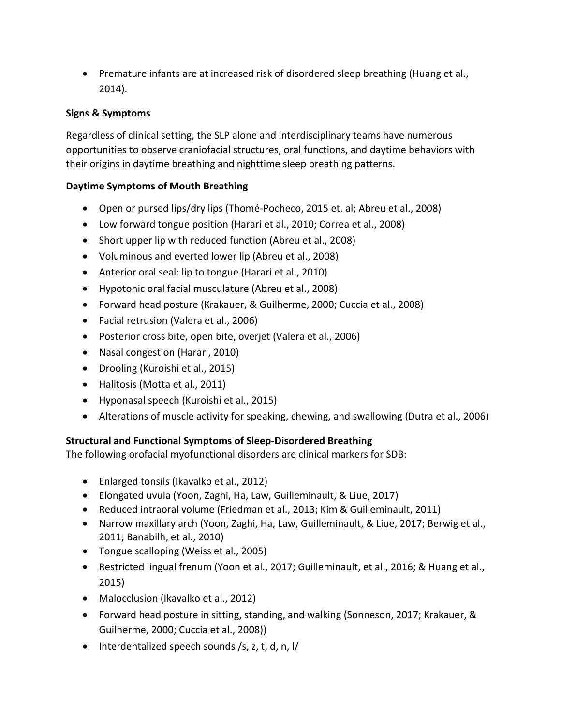• Premature infants are at increased risk of disordered sleep breathing (Huang et al., 2014).

## **Signs & Symptoms**

Regardless of clinical setting, the SLP alone and interdisciplinary teams have numerous opportunities to observe craniofacial structures, oral functions, and daytime behaviors with their origins in daytime breathing and nighttime sleep breathing patterns.

#### **Daytime Symptoms of Mouth Breathing**

- Open or pursed lips/dry lips (Thomé-Pocheco, 2015 et. al; Abreu et al., 2008)
- Low forward tongue position (Harari et al., 2010; Correa et al., 2008)
- Short upper lip with reduced function (Abreu et al., 2008)
- Voluminous and everted lower lip (Abreu et al., 2008)
- Anterior oral seal: lip to tongue (Harari et al., 2010)
- Hypotonic oral facial musculature (Abreu et al., 2008)
- Forward head posture (Krakauer, & Guilherme, 2000; Cuccia et al., 2008)
- Facial retrusion (Valera et al., 2006)
- Posterior cross bite, open bite, overjet (Valera et al., 2006)
- Nasal congestion (Harari, 2010)
- Drooling (Kuroishi et al., 2015)
- Halitosis (Motta et al., 2011)
- Hyponasal speech (Kuroishi et al., 2015)
- Alterations of muscle activity for speaking, chewing, and swallowing (Dutra et al., 2006)

## **Structural and Functional Symptoms of Sleep-Disordered Breathing**

The following orofacial myofunctional disorders are clinical markers for SDB:

- Enlarged tonsils (Ikavalko et al., 2012)
- Elongated uvula (Yoon, Zaghi, Ha, Law, Guilleminault, & Liue, 2017)
- Reduced intraoral volume (Friedman et al., 2013; Kim & Guilleminault, 2011)
- Narrow maxillary arch (Yoon, Zaghi, Ha, Law, Guilleminault, & Liue, 2017; Berwig et al., 2011; Banabilh, et al., 2010)
- Tongue scalloping (Weiss et al., 2005)
- Restricted lingual frenum (Yoon et al., 2017; Guilleminault, et al., 2016; & Huang et al., 2015)
- Malocclusion (Ikavalko et al., 2012)
- Forward head posture in sitting, standing, and walking (Sonneson, 2017; Krakauer, & Guilherme, 2000; Cuccia et al., 2008))
- Interdentalized speech sounds /s, z, t, d, n, l/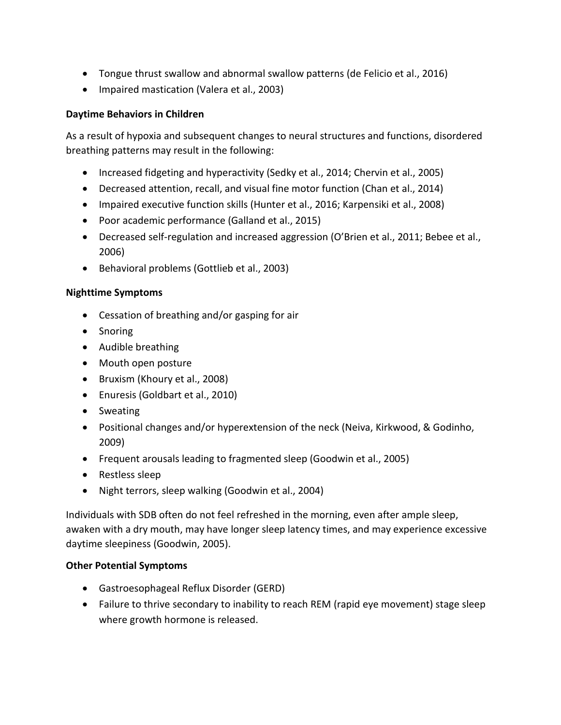- Tongue thrust swallow and abnormal swallow patterns (de Felicio et al., 2016)
- Impaired mastication (Valera et al., 2003)

#### **Daytime Behaviors in Children**

As a result of hypoxia and subsequent changes to neural structures and functions, disordered breathing patterns may result in the following:

- Increased fidgeting and hyperactivity (Sedky et al., 2014; Chervin et al., 2005)
- Decreased attention, recall, and visual fine motor function (Chan et al., 2014)
- Impaired executive function skills (Hunter et al., 2016; Karpensiki et al., 2008)
- Poor academic performance (Galland et al., 2015)
- Decreased self-regulation and increased aggression (O'Brien et al., 2011; Bebee et al., 2006)
- Behavioral problems (Gottlieb et al., 2003)

#### **Nighttime Symptoms**

- Cessation of breathing and/or gasping for air
- Snoring
- Audible breathing
- Mouth open posture
- Bruxism (Khoury et al., 2008)
- Enuresis (Goldbart et al., 2010)
- Sweating
- Positional changes and/or hyperextension of the neck (Neiva, Kirkwood, & Godinho, 2009)
- Frequent arousals leading to fragmented sleep (Goodwin et al., 2005)
- Restless sleep
- Night terrors, sleep walking (Goodwin et al., 2004)

Individuals with SDB often do not feel refreshed in the morning, even after ample sleep, awaken with a dry mouth, may have longer sleep latency times, and may experience excessive daytime sleepiness (Goodwin, 2005).

#### **Other Potential Symptoms**

- Gastroesophageal Reflux Disorder (GERD)
- Failure to thrive secondary to inability to reach REM (rapid eye movement) stage sleep where growth hormone is released.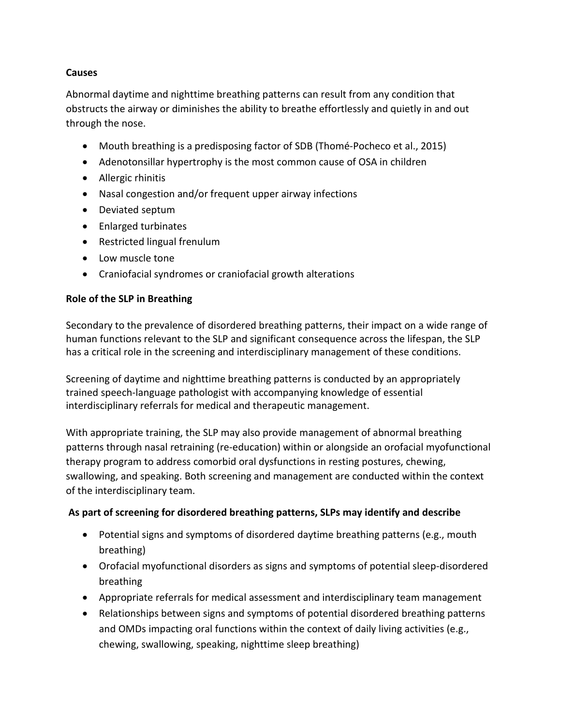#### **Causes**

Abnormal daytime and nighttime breathing patterns can result from any condition that obstructs the airway or diminishes the ability to breathe effortlessly and quietly in and out through the nose.

- Mouth breathing is a predisposing factor of SDB (Thomé-Pocheco et al., 2015)
- Adenotonsillar hypertrophy is the most common cause of OSA in children
- Allergic rhinitis
- Nasal congestion and/or frequent upper airway infections
- Deviated septum
- Enlarged turbinates
- Restricted lingual frenulum
- Low muscle tone
- Craniofacial syndromes or craniofacial growth alterations

#### **Role of the SLP in Breathing**

Secondary to the prevalence of disordered breathing patterns, their impact on a wide range of human functions relevant to the SLP and significant consequence across the lifespan, the SLP has a critical role in the screening and interdisciplinary management of these conditions.

Screening of daytime and nighttime breathing patterns is conducted by an appropriately trained speech-language pathologist with accompanying knowledge of essential interdisciplinary referrals for medical and therapeutic management.

With appropriate training, the SLP may also provide management of abnormal breathing patterns through nasal retraining (re-education) within or alongside an orofacial myofunctional therapy program to address comorbid oral dysfunctions in resting postures, chewing, swallowing, and speaking. Both screening and management are conducted within the context of the interdisciplinary team.

## **As part of screening for disordered breathing patterns, SLPs may identify and describe**

- Potential signs and symptoms of disordered daytime breathing patterns (e.g., mouth breathing)
- Orofacial myofunctional disorders as signs and symptoms of potential sleep-disordered breathing
- Appropriate referrals for medical assessment and interdisciplinary team management
- Relationships between signs and symptoms of potential disordered breathing patterns and OMDs impacting oral functions within the context of daily living activities (e.g., chewing, swallowing, speaking, nighttime sleep breathing)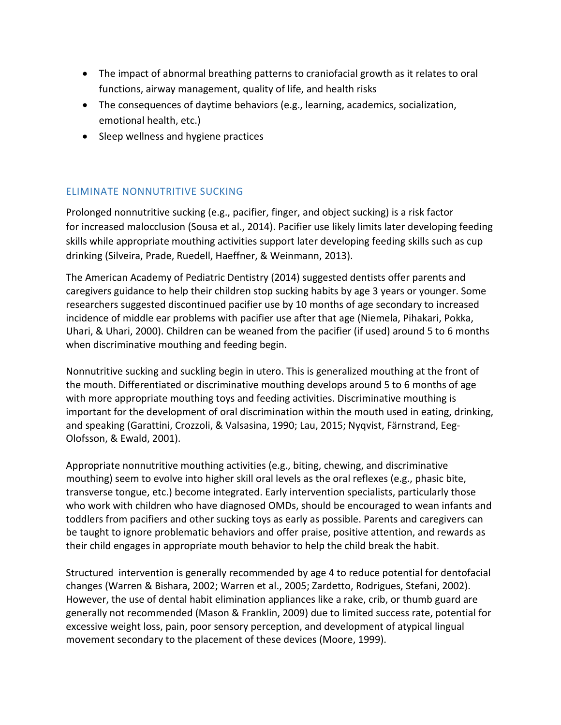- The impact of abnormal breathing patterns to craniofacial growth as it relates to oral functions, airway management, quality of life, and health risks
- The consequences of daytime behaviors (e.g., learning, academics, socialization, emotional health, etc.)
- Sleep wellness and hygiene practices

# ELIMINATE NONNUTRITIVE SUCKING

Prolonged nonnutritive sucking (e.g., pacifier, finger, and object sucking) is a risk factor for increased malocclusion (Sousa et al., 2014). Pacifier use likely limits later developing feeding skills while appropriate mouthing activities support later developing feeding skills such as cup drinking (Silveira, Prade, Ruedell, Haeffner, & Weinmann, 2013).

The American Academy of Pediatric Dentistry (2014) suggested dentists offer parents and caregivers guidance to help their children stop sucking habits by age 3 years or younger. Some researchers suggested discontinued pacifier use by 10 months of age secondary to increased incidence of middle ear problems with pacifier use after that age (Niemela, Pihakari, Pokka, Uhari, & Uhari, 2000). Children can be weaned from the pacifier (if used) around 5 to 6 months when discriminative mouthing and feeding begin.

Nonnutritive sucking and suckling begin in utero. This is generalized mouthing at the front of the mouth. Differentiated or discriminative mouthing develops around 5 to 6 months of age with more appropriate mouthing toys and feeding activities. Discriminative mouthing is important for the development of oral discrimination within the mouth used in eating, drinking, and speaking (Garattini, Crozzoli, & Valsasina, 1990; Lau, 2015; Nyqvist, Färnstrand, Eeg-Olofsson, & Ewald, 2001).

Appropriate nonnutritive mouthing activities (e.g., biting, chewing, and discriminative mouthing) seem to evolve into higher skill oral levels as the oral reflexes (e.g., phasic bite, transverse tongue, etc.) become integrated. Early intervention specialists, particularly those who work with children who have diagnosed OMDs, should be encouraged to wean infants and toddlers from pacifiers and other sucking toys as early as possible. Parents and caregivers can be taught to ignore problematic behaviors and offer praise, positive attention, and rewards as their child engages in appropriate mouth behavior to help the child break the habit.

Structured intervention is generally recommended by age 4 to reduce potential for dentofacial changes (Warren & Bishara, 2002; Warren et al., 2005; Zardetto, Rodrigues, Stefani, 2002). However, the use of dental habit elimination appliances like a rake, crib, or thumb guard are generally not recommended (Mason & Franklin, 2009) due to limited success rate, potential for excessive weight loss, pain, poor sensory perception, and development of atypical lingual movement secondary to the placement of these devices (Moore, 1999).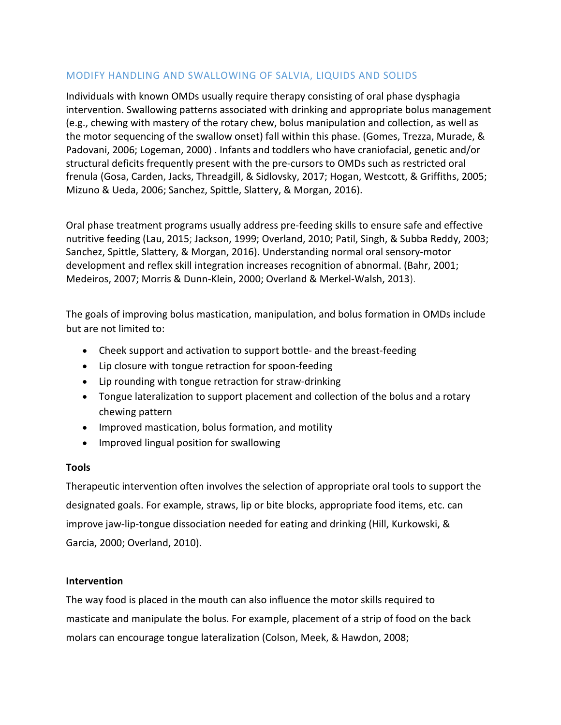## MODIFY HANDLING AND SWALLOWING OF SALVIA, LIQUIDS AND SOLIDS

Individuals with known OMDs usually require therapy consisting of oral phase dysphagia intervention. Swallowing patterns associated with drinking and appropriate bolus management (e.g., chewing with mastery of the rotary chew, bolus manipulation and collection, as well as the motor sequencing of the swallow onset) fall within this phase. (Gomes, Trezza, Murade, & Padovani, 2006; Logeman, 2000) . Infants and toddlers who have craniofacial, genetic and/or structural deficits frequently present with the pre-cursors to OMDs such as restricted oral frenula (Gosa, Carden, Jacks, Threadgill, & Sidlovsky, 2017; Hogan, Westcott, & Griffiths, 2005; Mizuno & Ueda, 2006; Sanchez, Spittle, Slattery, & Morgan, 2016).

Oral phase treatment programs usually address pre-feeding skills to ensure safe and effective nutritive feeding (Lau, 2015; Jackson, 1999; Overland, 2010; Patil, Singh, & Subba Reddy, 2003; Sanchez, Spittle, Slattery, & Morgan, 2016). Understanding normal oral sensory-motor development and reflex skill integration increases recognition of abnormal. (Bahr, 2001; Medeiros, 2007; Morris & Dunn-Klein, 2000; Overland & Merkel-Walsh, 2013).

The goals of improving bolus mastication, manipulation, and bolus formation in OMDs include but are not limited to:

- Cheek support and activation to support bottle- and the breast-feeding
- Lip closure with tongue retraction for spoon-feeding
- Lip rounding with tongue retraction for straw-drinking
- Tongue lateralization to support placement and collection of the bolus and a rotary chewing pattern
- Improved mastication, bolus formation, and motility
- Improved lingual position for swallowing

## **Tools**

Therapeutic intervention often involves the selection of appropriate oral tools to support the designated goals. For example, straws, lip or bite blocks, appropriate food items, etc. can improve jaw-lip-tongue dissociation needed for eating and drinking (Hill, Kurkowski, & Garcia, 2000; Overland, 2010).

## **Intervention**

The way food is placed in the mouth can also influence the motor skills required to masticate and manipulate the bolus. For example, placement of a strip of food on the back molars can encourage tongue lateralization (Colson, Meek, & Hawdon, 2008;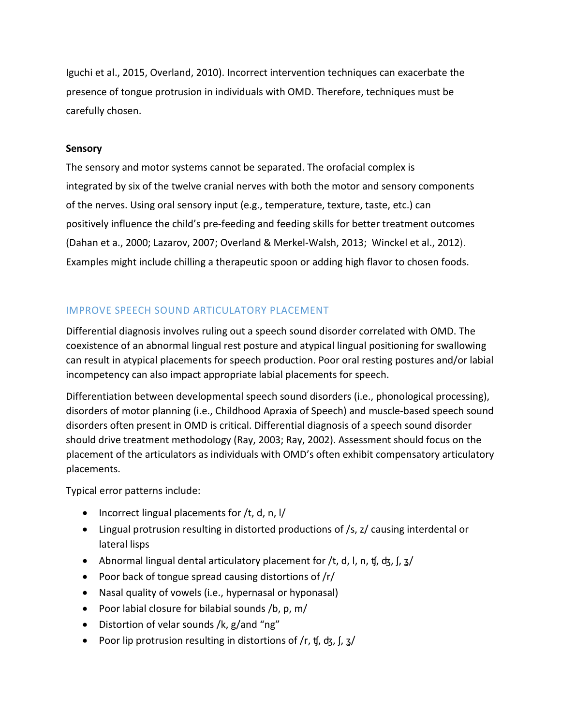Iguchi et al., 2015, Overland, 2010). Incorrect intervention techniques can exacerbate the presence of tongue protrusion in individuals with OMD. Therefore, techniques must be carefully chosen.

#### **Sensory**

The sensory and motor systems cannot be separated. The orofacial complex is integrated by six of the twelve cranial nerves with both the motor and sensory components of the nerves. Using oral sensory input (e.g., temperature, texture, taste, etc.) can positively influence the child's pre-feeding and feeding skills for better treatment outcomes (Dahan et a., 2000; Lazarov, 2007; Overland & Merkel-Walsh, 2013; Winckel et al., 2012). Examples might include chilling a therapeutic spoon or adding high flavor to chosen foods.

# IMPROVE SPEECH SOUND ARTICULATORY PLACEMENT

Differential diagnosis involves ruling out a speech sound disorder correlated with OMD. The coexistence of an abnormal lingual rest posture and atypical lingual positioning for swallowing can result in atypical placements for speech production. Poor oral resting postures and/or labial incompetency can also impact appropriate labial placements for speech.

Differentiation between developmental speech sound disorders (i.e., phonological processing), disorders of motor planning (i.e., Childhood Apraxia of Speech) and muscle-based speech sound disorders often present in OMD is critical. Differential diagnosis of a speech sound disorder should drive treatment methodology (Ray, 2003; Ray, 2002). Assessment should focus on the placement of the articulators as individuals with OMD's often exhibit compensatory articulatory placements.

Typical error patterns include:

- Incorrect lingual placements for /t, d, n, l/
- Lingual protrusion resulting in distorted productions of /s, z/ causing interdental or lateral lisps
- Abnormal lingual dental articulatory placement for /t, d, l, n, t, d, l,  $\frac{1}{2}$
- Poor back of tongue spread causing distortions of /r/
- Nasal quality of vowels (i.e., hypernasal or hyponasal)
- Poor labial closure for bilabial sounds /b, p, m/
- Distortion of velar sounds /k, g/and "ng"
- Poor lip protrusion resulting in distortions of /r, t[, ck, [, 3/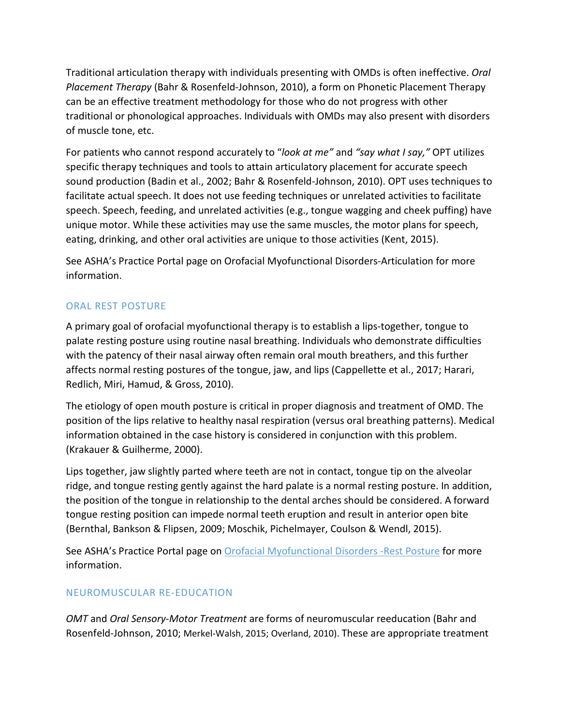Traditional articulation therapy with individuals presenting with OMDs is often ineffective. *Oral Placement Therapy* (Bahr & Rosenfeld-Johnson, 2010), a form on Phonetic Placement Therapy can be an effective treatment methodology for those who do not progress with other traditional or phonological approaches. Individuals with OMDs may also present with disorders of muscle tone, etc.

For patients who cannot respond accurately to "*look at me"* and *"say what I say,"* OPT utilizes specific therapy techniques and tools to attain articulatory placement for accurate speech sound production (Badin et al., 2002; Bahr & Rosenfeld-Johnson, 2010). OPT uses techniques to facilitate actual speech. It does not use feeding techniques or unrelated activities to facilitate speech. Speech, feeding, and unrelated activities (e.g., tongue wagging and cheek puffing) have unique motor. While these activities may use the same muscles, the motor plans for speech, eating, drinking, and other oral activities are unique to those activities (Kent, 2015).

See ASHA's Practice Portal page on Orofacial Myofunctional Disorders-Articulation for more information.

# ORAL REST POSTURE

A primary goal of orofacial myofunctional therapy is to establish a lips-together, tongue to palate resting posture using routine nasal breathing. Individuals who demonstrate difficulties with the patency of their nasal airway often remain oral mouth breathers, and this further affects normal resting postures of the tongue, jaw, and lips (Cappellette et al., 2017; Harari, Redlich, Miri, Hamud, & Gross, 2010).

The etiology of open mouth posture is critical in proper diagnosis and treatment of OMD. The position of the lips relative to healthy nasal respiration (versus oral breathing patterns). Medical information obtained in the case history is considered in conjunction with this problem. (Krakauer & Guilherme, 2000).

Lips together, jaw slightly parted where teeth are not in contact, tongue tip on the alveolar ridge, and tongue resting gently against the hard palate is a normal resting posture. In addition, the position of the tongue in relationship to the dental arches should be considered. A forward tongue resting position can impede normal teeth eruption and result in anterior open bite (Bernthal, Bankson & Flipsen, 2009; Moschik, Pichelmayer, Coulson & Wendl, 2015).

See ASHA's Practice Portal page on **Orofacial Myofunctional Disorders -Rest Posture for more** information.

## NEUROMUSCULAR RE-EDUCATION

*OMT* and *Oral Sensory-Motor Treatment* are forms of neuromuscular reeducation (Bahr and Rosenfeld-Johnson, 2010; Merkel-Walsh, 2015; Overland, 2010). These are appropriate treatment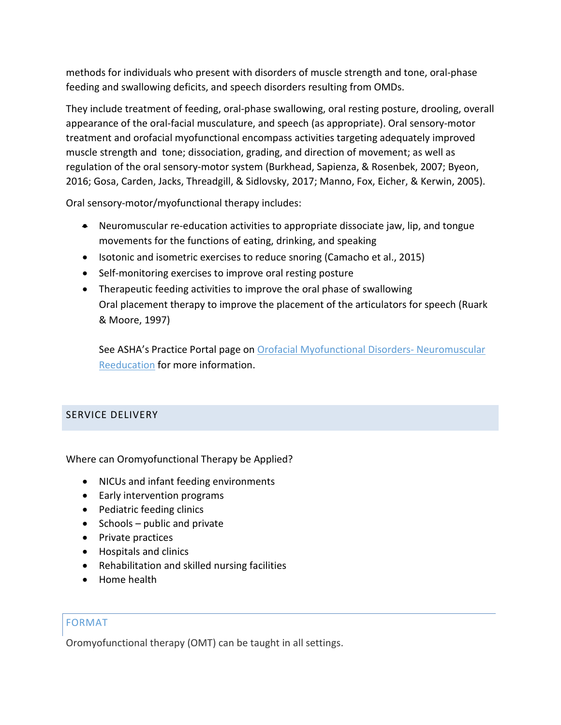methods for individuals who present with disorders of muscle strength and tone, oral-phase feeding and swallowing deficits, and speech disorders resulting from OMDs.

They include treatment of feeding, oral-phase swallowing, oral resting posture, drooling, overall appearance of the oral-facial musculature, and speech (as appropriate). Oral sensory-motor treatment and orofacial myofunctional encompass activities targeting adequately improved muscle strength and tone; dissociation, grading, and direction of movement; as well as regulation of the oral sensory-motor system (Burkhead, Sapienza, & Rosenbek, 2007; Byeon, 2016; Gosa, Carden, Jacks, Threadgill, & Sidlovsky, 2017; Manno, Fox, Eicher, & Kerwin, 2005).

Oral sensory-motor/myofunctional therapy includes:

- Neuromuscular re-education activities to appropriate dissociate jaw, lip, and tongue movements for the functions of eating, drinking, and speaking
- Isotonic and isometric exercises to reduce snoring (Camacho et al., 2015)
- Self-monitoring exercises to improve oral resting posture
- Therapeutic feeding activities to improve the oral phase of swallowing Oral placement therapy to improve the placement of the articulators for speech (Ruark & Moore, 1997)

See ASHA's Practice Portal page on **Orofacial Myofunctional Disorders- Neuromuscular** Reeducation for more information.

# SERVICE DELIVERY

Where can Oromyofunctional Therapy be Applied?

- NICUs and infant feeding environments
- Early intervention programs
- Pediatric feeding clinics
- Schools public and private
- Private practices
- Hospitals and clinics
- Rehabilitation and skilled nursing facilities
- Home health

## FORMAT

Oromyofunctional therapy (OMT) can be taught in all settings.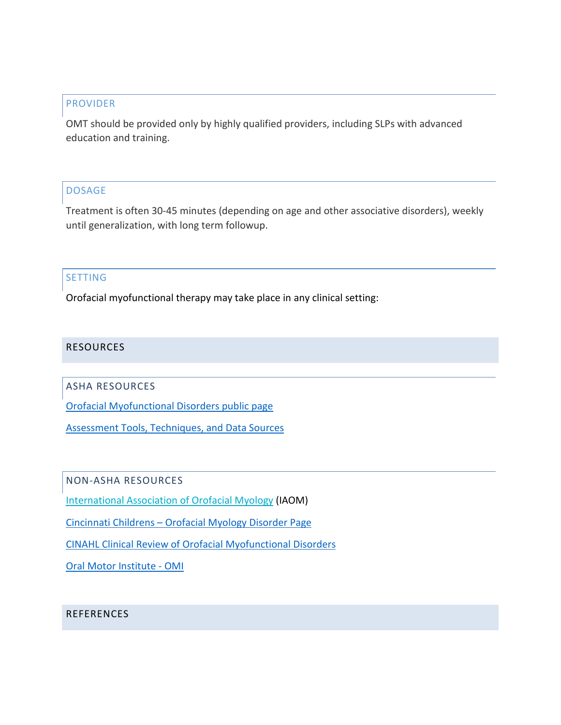#### PROVIDER

OMT should be provided only by highly qualified providers, including SLPs with advanced education and training.

## DOSAGE

Treatment is often 30-45 minutes (depending on age and other associative disorders), weekly until generalization, with long term followup.

#### SETTING

Orofacial myofunctional therapy may take place in any clinical setting:

## RESOURCES

ASHA RESOURCES

[Orofacial Myofunctional Disorders public page](http://www.asha.org/SLP/clinical/Orofacial-Myofunctional-Disorders/)

[Assessment Tools, Techniques, and Data Sources](http://www.asha.org/Practice-Portal/Clinical-Topics/Late-Language-Emergence/Assessment-Tools-Techniques-and-Data-Sources/)

NON-ASHA RESOURCES

International [Association of Orofacial Myology](http://www.iaom.com/) (IAOM)

Cincinnati Childrens – [Orofacial Myology Disorder Page](https://www.cincinnatichildrens.org/health/o/orofacial-disorders)

[CINAHL Clinical Review of Orofacial Myofunctional Disorders](https://www.ebscohost.com/assets-sample-content/Orofacial_Myofunctional_Disorders.pdf?mkt_tok=eyJpIjoiTVRkbFpHWTJPVEF3WkRRMyIsInQiOiJDOE1CbnN5djN1ZUhJZStHd3hoRm9cL3hNa3Z2dWxnVTNHemNwdzI5R1plT3FDak1UUmpUU2sxWGt1RFdQME5mUEZkQU14WkNMYlhidkQxMXpBbEhMcndjNVRnVUhmS1g3c1NGUDJQcnByQ3dJZHdDQ1FicTNPN0ZtOFpQTWRpK04ifQ%3D%3D)

Oral Motor Institute - OMI

## REFERENCES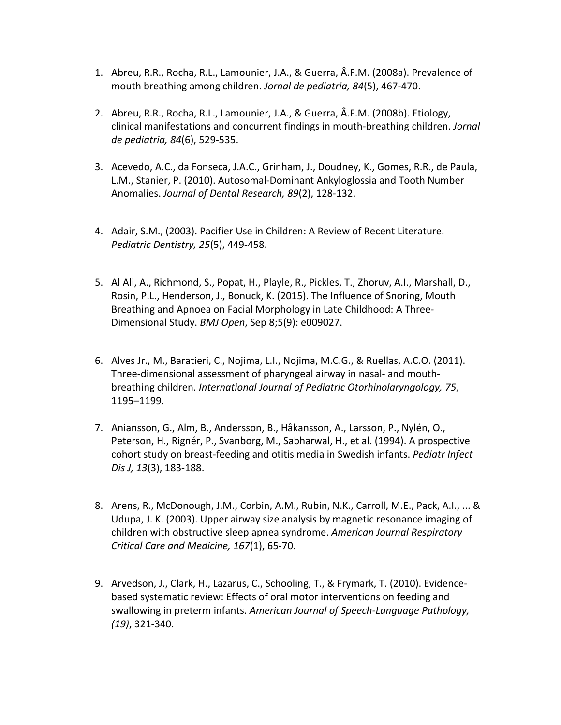- 1. Abreu, R.R., Rocha, R.L., Lamounier, J.A., & Guerra, Â.F.M. (2008a). Prevalence of mouth breathing among children. *Jornal de pediatria, 84*(5), 467-470.
- 2. Abreu, R.R., Rocha, R.L., Lamounier, J.A., & Guerra, Â.F.M. (2008b). Etiology, clinical manifestations and concurrent findings in mouth-breathing children. *Jornal de pediatria, 84*(6), 529-535.
- 3. Acevedo, A.C., da Fonseca, J.A.C., Grinham, J., Doudney, K., Gomes, R.R., de Paula, L.M., Stanier, P. (2010). Autosomal-Dominant Ankyloglossia and Tooth Number Anomalies. *Journal of Dental Research, 89*(2), 128-132.
- 4. Adair, S.M., (2003). Pacifier Use in Children: A Review of Recent Literature. *Pediatric Dentistry, 25*(5), 449-458.
- 5. Al Ali, A., Richmond, S., Popat, H., Playle, R., Pickles, T., Zhoruv, A.I., Marshall, D., Rosin, P.L., Henderson, J., Bonuck, K. (2015). The Influence of Snoring, Mouth Breathing and Apnoea on Facial Morphology in Late Childhood: A Three-Dimensional Study. *BMJ Open*, Sep 8;5(9): e009027.
- 6. Alves Jr., M., Baratieri, C., Nojima, L.I., Nojima, M.C.G., & Ruellas, A.C.O. (2011). Three-dimensional assessment of pharyngeal airway in nasal- and mouthbreathing children. *International Journal of Pediatric Otorhinolaryngology, 75*, 1195–1199.
- 7. Aniansson, G., Alm, B., Andersson, B., Håkansson, A., Larsson, P., Nylén, O., Peterson, H., Rignér, P., Svanborg, M., Sabharwal, H., et al. (1994). A prospective cohort study on breast-feeding and otitis media in Swedish infants. *Pediatr Infect Dis J, 13*(3), 183-188.
- 8. Arens, R., McDonough, J.M., Corbin, A.M., Rubin, N.K., Carroll, M.E., Pack, A.I., ... & Udupa, J. K. (2003). Upper airway size analysis by magnetic resonance imaging of children with obstructive sleep apnea syndrome. *American Journal Respiratory Critical Care and Medicine, 167*(1), 65-70.
- 9. Arvedson, J., Clark, H., Lazarus, C., Schooling, T., & Frymark, T. (2010). Evidencebased systematic review: Effects of oral motor interventions on feeding and swallowing in preterm infants. *American Journal of Speech-Language Pathology, (19)*, 321-340.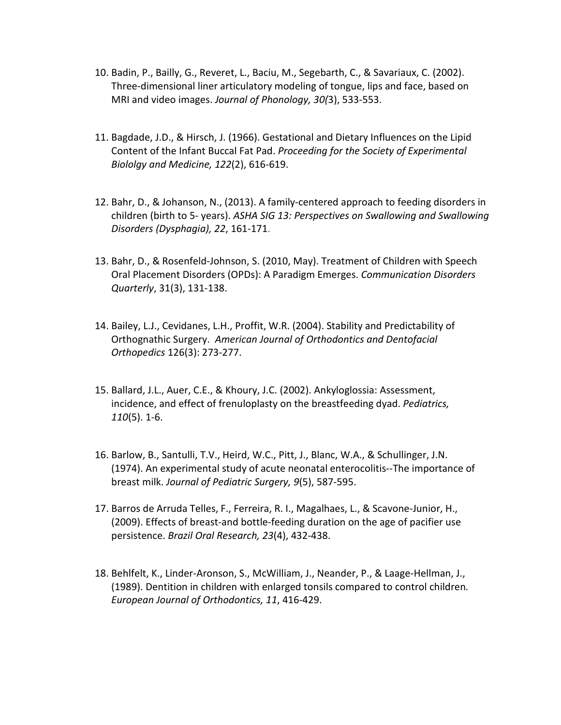- 10. Badin, P., Bailly, G., Reveret, L., Baciu, M., Segebarth, C., & Savariaux, C. (2002). Three-dimensional liner articulatory modeling of tongue, lips and face, based on MRI and video images. *Journal of Phonology, 30(*3), 533-553.
- 11. Bagdade, J.D., & Hirsch, J. (1966). Gestational and Dietary Influences on the Lipid Content of the Infant Buccal Fat Pad. *Proceeding for the Society of Experimental Biololgy and Medicine, 122*(2), 616-619.
- 12. Bahr, D., & Johanson, N., (2013). A family-centered approach to feeding disorders in children (birth to 5- years). *ASHA SIG 13: Perspectives on Swallowing and Swallowing Disorders (Dysphagia), 22*, 161-171.
- 13. Bahr, D., & Rosenfeld-Johnson, S. (2010, May). Treatment of Children with Speech Oral Placement Disorders (OPDs): A Paradigm Emerges. *Communication Disorders Quarterly*, 31(3), 131-138.
- 14. Bailey, L.J., Cevidanes, L.H., Proffit, W.R. (2004). Stability and Predictability of Orthognathic Surgery. *American Journal of Orthodontics and Dentofacial Orthopedics* 126(3): 273-277.
- 15. Ballard, J.L., Auer, C.E., & Khoury, J.C. (2002). Ankyloglossia: Assessment, incidence, and effect of frenuloplasty on the breastfeeding dyad. *Pediatrics, 110*(5). 1-6.
- 16. Barlow, B., Santulli, T.V., Heird, W.C., Pitt, J., Blanc, W.A., & Schullinger, J.N. (1974). An experimental study of acute neonatal enterocolitis--The importance of breast milk. *Journal of Pediatric Surgery, 9*(5), 587-595.
- 17. Barros de Arruda Telles, F., Ferreira, R. I., Magalhaes, L., & Scavone-Junior, H., (2009). Effects of breast-and bottle-feeding duration on the age of pacifier use persistence. *Brazil Oral Research, 23*(4), 432-438.
- 18. Behlfelt, K., Linder-Aronson, S., McWilliam, J., Neander, P., & Laage-Hellman, J., (1989). Dentition in children with enlarged tonsils compared to control children*. European Journal of Orthodontics, 11*, 416-429.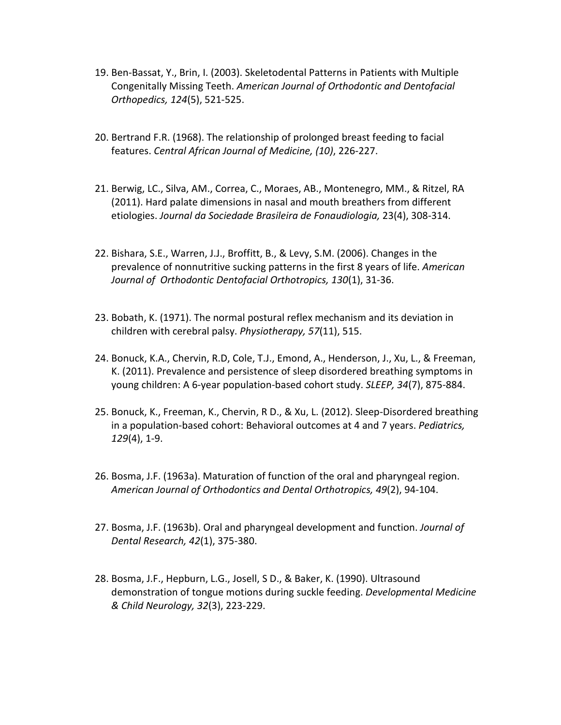- 19. Ben-Bassat, Y., Brin, I. (2003). Skeletodental Patterns in Patients with Multiple Congenitally Missing Teeth. *American Journal of Orthodontic and Dentofacial Orthopedics, 124*(5), 521-525.
- 20. Bertrand F.R. (1968). The relationship of prolonged breast feeding to facial features. *Central African Journal of Medicine, (10)*, 226-227.
- 21. Berwig, LC., Silva, AM., Correa, C., Moraes, AB., Montenegro, MM., & Ritzel, RA (2011). Hard palate dimensions in nasal and mouth breathers from different etiologies. *Journal da Sociedade Brasileira de Fonaudiologia,* 23(4), 308-314.
- 22. Bishara, S.E., Warren, J.J., Broffitt, B., & Levy, S.M. (2006). Changes in the prevalence of nonnutritive sucking patterns in the first 8 years of life. *American Journal of Orthodontic Dentofacial Orthotropics, 130*(1), 31-36.
- 23. Bobath, K. (1971). The normal postural reflex mechanism and its deviation in children with cerebral palsy. *Physiotherapy, 57*(11), 515.
- 24. Bonuck, K.A., Chervin, R.D, Cole, T.J., Emond, A., Henderson, J., Xu, L., & Freeman, K. (2011). Prevalence and persistence of sleep disordered breathing symptoms in young children: A 6-year population-based cohort study. *SLEEP, 34*(7), 875-884.
- 25. Bonuck, K., Freeman, K., Chervin, R D., & Xu, L. (2012). Sleep-Disordered breathing in a population-based cohort: Behavioral outcomes at 4 and 7 years. *Pediatrics, 129*(4), 1-9.
- 26. Bosma, J.F. (1963a). Maturation of function of the oral and pharyngeal region. *American Journal of Orthodontics and Dental Orthotropics, 49*(2), 94-104.
- 27. Bosma, J.F. (1963b). Oral and pharyngeal development and function. *Journal of Dental Research, 42*(1), 375-380.
- 28. Bosma, J.F., Hepburn, L.G., Josell, S D., & Baker, K. (1990). Ultrasound demonstration of tongue motions during suckle feeding. *Developmental Medicine & Child Neurology, 32*(3), 223-229.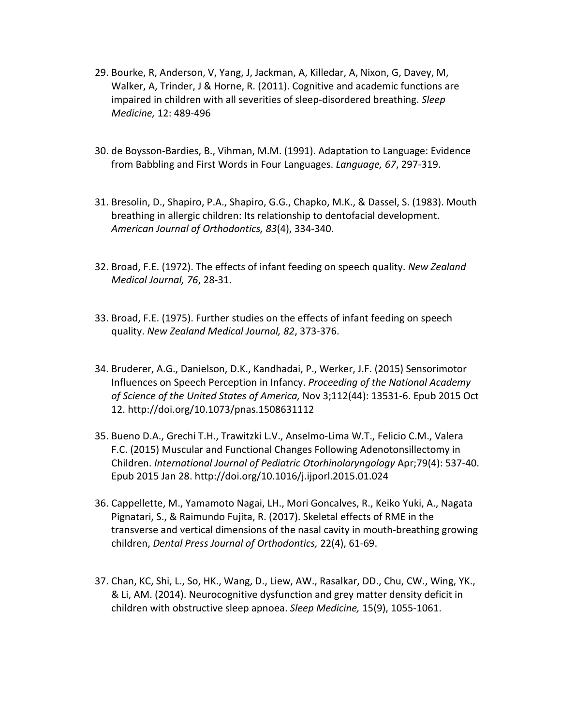- 29. Bourke, R, Anderson, V, Yang, J, Jackman, A, Killedar, A, Nixon, G, Davey, M, Walker, A, Trinder, J & Horne, R. (2011). Cognitive and academic functions are impaired in children with all severities of sleep-disordered breathing. *Sleep Medicine,* 12: 489-496
- 30. de Boysson-Bardies, B., Vihman, M.M. (1991). Adaptation to Language: Evidence from Babbling and First Words in Four Languages. *Language, 67*, 297-319.
- 31. Bresolin, D., Shapiro, P.A., Shapiro, G.G., Chapko, M.K., & Dassel, S. (1983). Mouth breathing in allergic children: Its relationship to dentofacial development. *American Journal of Orthodontics, 83*(4), 334-340.
- 32. Broad, F.E. (1972). The effects of infant feeding on speech quality. *New Zealand Medical Journal, 76*, 28-31.
- 33. Broad, F.E. (1975). Further studies on the effects of infant feeding on speech quality. *New Zealand Medical Journal, 82*, 373-376.
- 34. Bruderer, A.G., Danielson, D.K., Kandhadai, P., Werker, J.F. (2015) Sensorimotor Influences on Speech Perception in Infancy. *Proceeding of the National Academy of Science of the United States of America,* Nov 3;112(44): 13531-6. Epub 2015 Oct 12. http://doi.org/10.1073/pnas.1508631112
- 35. Bueno D.A., Grechi T.H., Trawitzki L.V., Anselmo-Lima W.T., Felicio C.M., Valera F.C. (2015) Muscular and Functional Changes Following Adenotonsillectomy in Children. *International Journal of Pediatric Otorhinolaryngology* Apr;79(4): 537-40. Epub 2015 Jan 28. http://doi.org/10.1016/j.ijporl.2015.01.024
- 36. Cappellette, M., Yamamoto Nagai, LH., Mori Goncalves, R., Keiko Yuki, A., Nagata Pignatari, S., & Raimundo Fujita, R. (2017). Skeletal effects of RME in the transverse and vertical dimensions of the nasal cavity in mouth-breathing growing children, *Dental Press Journal of Orthodontics,* 22(4), 61-69.
- 37. Chan, KC, Shi, L., So, HK., Wang, D., Liew, AW., Rasalkar, DD., Chu, CW., Wing, YK., & Li, AM. (2014). Neurocognitive dysfunction and grey matter density deficit in children with obstructive sleep apnoea. *Sleep Medicine,* 15(9), 1055-1061.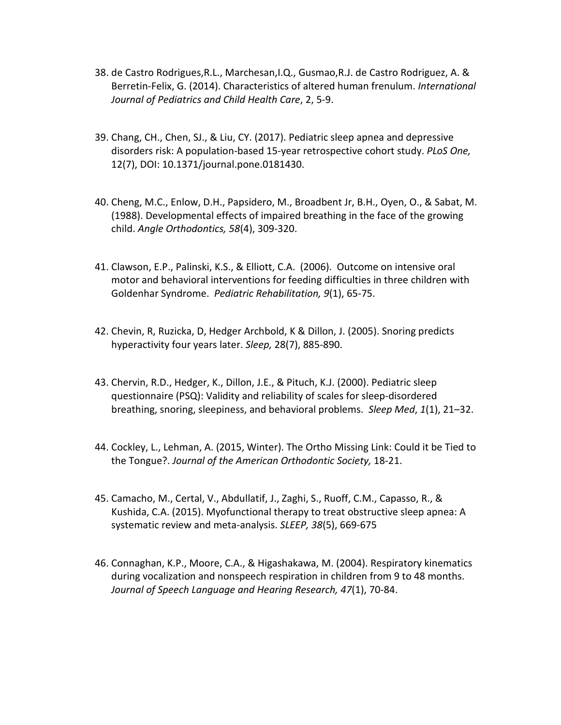- 38. de Castro Rodrigues,R.L., Marchesan,I.Q., Gusmao,R.J. de Castro Rodriguez, A. & Berretin-Felix, G. (2014). Characteristics of altered human frenulum. *International Journal of Pediatrics and Child Health Care*, 2, 5-9.
- 39. Chang, CH., Chen, SJ., & Liu, CY. (2017). Pediatric sleep apnea and depressive disorders risk: A population-based 15-year retrospective cohort study. *PLoS One,*  12(7), DOI: 10.1371/journal.pone.0181430.
- 40. Cheng, M.C., Enlow, D.H., Papsidero, M., Broadbent Jr, B.H., Oyen, O., & Sabat, M. (1988). Developmental effects of impaired breathing in the face of the growing child. *Angle Orthodontics, 58*(4), 309-320.
- 41. Clawson, E.P., Palinski, K.S., & Elliott, C.A. (2006). Outcome on intensive oral motor and behavioral interventions for feeding difficulties in three children with Goldenhar Syndrome. *Pediatric Rehabilitation, 9*(1), 65-75.
- 42. Chevin, R, Ruzicka, D, Hedger Archbold, K & Dillon, J. (2005). Snoring predicts hyperactivity four years later. *Sleep,* 28(7), 885-890.
- 43. Chervin, R.D., Hedger, K., Dillon, J.E., & Pituch, K.J. (2000). Pediatric sleep questionnaire (PSQ): Validity and reliability of scales for sleep-disordered breathing, snoring, sleepiness, and behavioral problems. *Sleep Med*, *1*(1), 21–32.
- 44. Cockley, L., Lehman, A. (2015, Winter). The Ortho Missing Link: Could it be Tied to the Tongue?. *Journal of the American Orthodontic Society,* 18-21.
- 45. Camacho, M., Certal, V., Abdullatif, J., Zaghi, S., Ruoff, C.M., Capasso, R., & Kushida, C.A. (2015). Myofunctional therapy to treat obstructive sleep apnea: A systematic review and meta-analysis. *SLEEP, 38*(5), 669-675
- 46. Connaghan, K.P., Moore, C.A., & Higashakawa, M. (2004). Respiratory kinematics during vocalization and nonspeech respiration in children from 9 to 48 months. *Journal of Speech Language and Hearing Research, 47*(1), 70-84.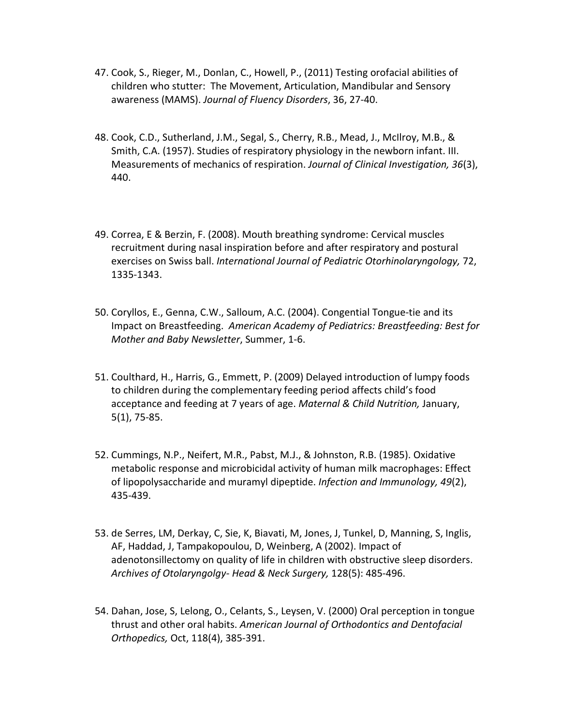- 47. Cook, S., Rieger, M., Donlan, C., Howell, P., (2011) Testing orofacial abilities of children who stutter: The Movement, Articulation, Mandibular and Sensory awareness (MAMS). *Journal of Fluency Disorders*, 36, 27-40.
- 48. Cook, C.D., Sutherland, J.M., Segal, S., Cherry, R.B., Mead, J., McIlroy, M.B., & Smith, C.A. (1957). Studies of respiratory physiology in the newborn infant. III. Measurements of mechanics of respiration. *Journal of Clinical Investigation, 36*(3), 440.
- 49. Correa, E & Berzin, F. (2008). Mouth breathing syndrome: Cervical muscles recruitment during nasal inspiration before and after respiratory and postural exercises on Swiss ball. *International Journal of Pediatric Otorhinolaryngology,* 72, 1335-1343.
- 50. Coryllos, E., Genna, C.W., Salloum, A.C. (2004). Congential Tongue-tie and its Impact on Breastfeeding. *American Academy of Pediatrics: Breastfeeding: Best for Mother and Baby Newsletter*, Summer, 1-6.
- 51. Coulthard, H., Harris, G., Emmett, P. (2009) Delayed introduction of lumpy foods to children during the complementary feeding period affects child's food acceptance and feeding at 7 years of age. *Maternal & Child Nutrition,* January, 5(1), 75-85.
- 52. Cummings, N.P., Neifert, M.R., Pabst, M.J., & Johnston, R.B. (1985). Oxidative metabolic response and microbicidal activity of human milk macrophages: Effect of lipopolysaccharide and muramyl dipeptide. *Infection and Immunology, 49*(2), 435-439.
- 53. de Serres, LM, Derkay, C, Sie, K, Biavati, M, Jones, J, Tunkel, D, Manning, S, Inglis, AF, Haddad, J, Tampakopoulou, D, Weinberg, A (2002). Impact of adenotonsillectomy on quality of life in children with obstructive sleep disorders. *Archives of Otolaryngolgy- Head & Neck Surgery,* 128(5): 485-496.
- 54. Dahan, Jose, S, Lelong, O., Celants, S., Leysen, V. (2000) Oral perception in tongue thrust and other oral habits. *American Journal of Orthodontics and Dentofacial Orthopedics,* Oct, 118(4), 385-391.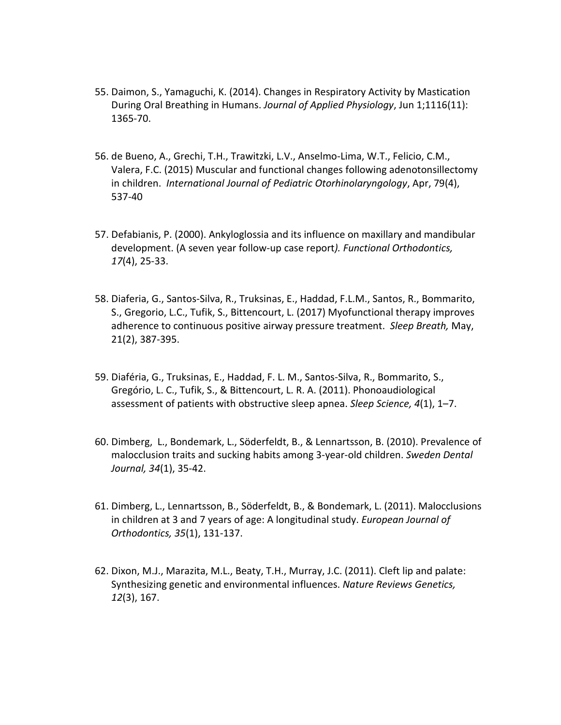- 55. Daimon, S., Yamaguchi, K. (2014). Changes in Respiratory Activity by Mastication During Oral Breathing in Humans. *Journal of Applied Physiology*, Jun 1;1116(11): 1365-70.
- 56. de Bueno, A., Grechi, T.H., Trawitzki, L.V., Anselmo-Lima, W.T., Felicio, C.M., Valera, F.C. (2015) Muscular and functional changes following adenotonsillectomy in children. *International Journal of Pediatric Otorhinolaryngology*, Apr, 79(4), 537-40
- 57. Defabianis, P. (2000). Ankyloglossia and its influence on maxillary and mandibular development. (A seven year follow-up case report*). Functional Orthodontics, 17*(4), 25-33.
- 58. Diaferia, G., Santos-Silva, R., Truksinas, E., Haddad, F.L.M., Santos, R., Bommarito, S., Gregorio, L.C., Tufik, S., Bittencourt, L. (2017) Myofunctional therapy improves adherence to continuous positive airway pressure treatment. *Sleep Breath,* May, 21(2), 387-395.
- 59. Diaféria, G., Truksinas, E., Haddad, F. L. M., Santos-Silva, R., Bommarito, S., Gregório, L. C., Tufik, S., & Bittencourt, L. R. A. (2011). Phonoaudiological assessment of patients with obstructive sleep apnea. *Sleep Science, 4*(1), 1–7.
- 60. Dimberg, L., Bondemark, L., Söderfeldt, B., & Lennartsson, B. (2010). Prevalence of malocclusion traits and sucking habits among 3-year-old children. *Sweden Dental Journal, 34*(1), 35-42.
- 61. Dimberg, L., Lennartsson, B., Söderfeldt, B., & Bondemark, L. (2011). Malocclusions in children at 3 and 7 years of age: A longitudinal study. *European Journal of Orthodontics, 35*(1), 131-137.
- 62. Dixon, M.J., Marazita, M.L., Beaty, T.H., Murray, J.C. (2011). Cleft lip and palate: Synthesizing genetic and environmental influences. *Nature Reviews Genetics, 12*(3), 167.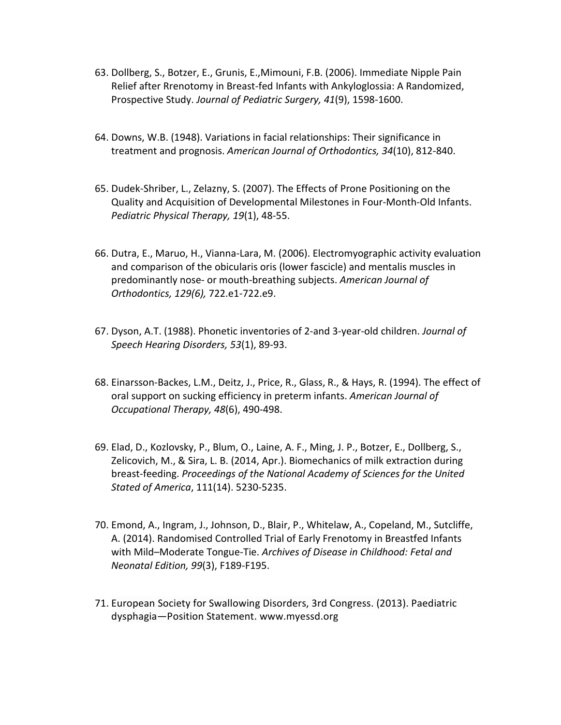- 63. Dollberg, S., Botzer, E., Grunis, E.,Mimouni, F.B. (2006). Immediate Nipple Pain Relief after Rrenotomy in Breast-fed Infants with Ankyloglossia: A Randomized, Prospective Study. *Journal of Pediatric Surgery, 41*(9), 1598-1600.
- 64. Downs, W.B. (1948). Variations in facial relationships: Their significance in treatment and prognosis. *American Journal of Orthodontics, 34*(10), 812-840.
- 65. Dudek-Shriber, L., Zelazny, S. (2007). The Effects of Prone Positioning on the Quality and Acquisition of Developmental Milestones in Four-Month-Old Infants. *Pediatric Physical Therapy, 19*(1), 48-55.
- 66. Dutra, E., Maruo, H., Vianna-Lara, M. (2006). Electromyographic activity evaluation and comparison of the obicularis oris (lower fascicle) and mentalis muscles in predominantly nose- or mouth-breathing subjects. *American Journal of Orthodontics, 129(6),* 722.e1-722.e9.
- 67. Dyson, A.T. (1988). Phonetic inventories of 2-and 3-year-old children. *Journal of Speech Hearing Disorders, 53*(1), 89-93.
- 68. Einarsson-Backes, L.M., Deitz, J., Price, R., Glass, R., & Hays, R. (1994). The effect of oral support on sucking efficiency in preterm infants. *American Journal of Occupational Therapy, 48*(6), 490-498.
- 69. Elad, D., Kozlovsky, P., Blum, O., Laine, A. F., Ming, J. P., Botzer, E., Dollberg, S., Zelicovich, M., & Sira, L. B. (2014, Apr.). Biomechanics of milk extraction during breast-feeding. *Proceedings of the National Academy of Sciences for the United Stated of America*, 111(14). 5230-5235.
- 70. Emond, A., Ingram, J., Johnson, D., Blair, P., Whitelaw, A., Copeland, M., Sutcliffe, A. (2014). Randomised Controlled Trial of Early Frenotomy in Breastfed Infants with Mild–Moderate Tongue-Tie. *Archives of Disease in Childhood: Fetal and Neonatal Edition, 99*(3), F189-F195.
- 71. European Society for Swallowing Disorders, 3rd Congress. (2013). Paediatric dysphagia—Position Statement. www.myessd.org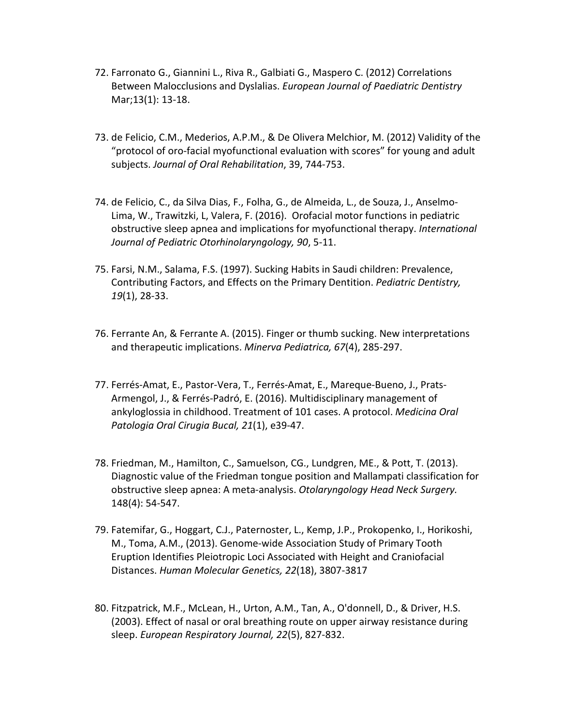- 72. Farronato G., Giannini L., Riva R., Galbiati G., Maspero C. (2012) Correlations Between Malocclusions and Dyslalias. *European Journal of Paediatric Dentistry*  Mar;13(1): 13-18.
- 73. de Felicio, C.M., Mederios, A.P.M., & De Olivera Melchior, M. (2012) Validity of the "protocol of oro-facial myofunctional evaluation with scores" for young and adult subjects. *Journal of Oral Rehabilitation*, 39, 744-753.
- 74. de Felicio, C., da Silva Dias, F., Folha, G., de Almeida, L., de Souza, J., Anselmo-Lima, W., Trawitzki, L, Valera, F. (2016). Orofacial motor functions in pediatric obstructive sleep apnea and implications for myofunctional therapy. *International Journal of Pediatric Otorhinolaryngology, 90*, 5-11.
- 75. Farsi, N.M., Salama, F.S. (1997). Sucking Habits in Saudi children: Prevalence, Contributing Factors, and Effects on the Primary Dentition. *Pediatric Dentistry, 19*(1), 28-33.
- 76. Ferrante An, & Ferrante A. (2015). Finger or thumb sucking. New interpretations and therapeutic implications. *Minerva Pediatrica, 67*(4), 285-297.
- 77. Ferrés-Amat, E., Pastor-Vera, T., Ferrés-Amat, E., Mareque-Bueno, J., Prats-Armengol, J., & Ferrés-Padró, E. (2016). Multidisciplinary management of ankyloglossia in childhood. Treatment of 101 cases. A protocol. *Medicina Oral Patologia Oral Cirugia Bucal, 21*(1), e39-47.
- 78. Friedman, M., Hamilton, C., Samuelson, CG., Lundgren, ME., & Pott, T. (2013). Diagnostic value of the Friedman tongue position and Mallampati classification for obstructive sleep apnea: A meta-analysis. *Otolaryngology Head Neck Surgery.*  148(4): 54-547.
- 79. Fatemifar, G., Hoggart, C.J., Paternoster, L., Kemp, J.P., Prokopenko, I., Horikoshi, M., Toma, A.M., (2013). Genome-wide Association Study of Primary Tooth Eruption Identifies Pleiotropic Loci Associated with Height and Craniofacial Distances. *Human Molecular Genetics, 22*(18), 3807-3817
- 80. Fitzpatrick, M.F., McLean, H., Urton, A.M., Tan, A., O'donnell, D., & Driver, H.S. (2003). Effect of nasal or oral breathing route on upper airway resistance during sleep. *European Respiratory Journal, 22*(5), 827-832.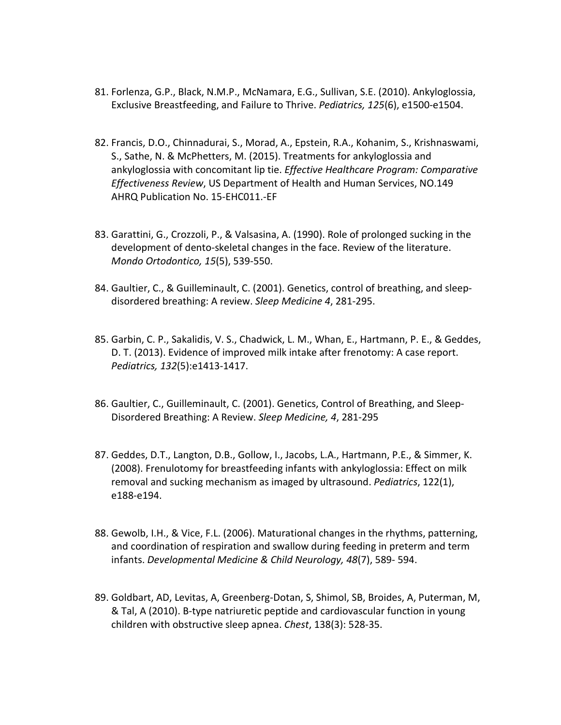- 81. Forlenza, G.P., Black, N.M.P., McNamara, E.G., Sullivan, S.E. (2010). Ankyloglossia, Exclusive Breastfeeding, and Failure to Thrive. *Pediatrics, 125*(6), e1500-e1504.
- 82. Francis, D.O., Chinnadurai, S., Morad, A., Epstein, R.A., Kohanim, S., Krishnaswami, S., Sathe, N. & McPhetters, M. (2015). Treatments for ankyloglossia and ankyloglossia with concomitant lip tie. *Effective Healthcare Program: Comparative Effectiveness Review*, US Department of Health and Human Services, NO.149 AHRQ Publication No. 15-EHC011.-EF
- 83. Garattini, G., Crozzoli, P., & Valsasina, A. (1990). Role of prolonged sucking in the development of dento-skeletal changes in the face. Review of the literature. *Mondo Ortodontico, 15*(5), 539-550.
- 84. Gaultier, C., & Guilleminault, C. (2001). Genetics, control of breathing, and sleepdisordered breathing: A review. *Sleep Medicine 4*, 281-295.
- 85. Garbin, C. P., Sakalidis, V. S., Chadwick, L. M., Whan, E., Hartmann, P. E., & Geddes, D. T. (2013). Evidence of improved milk intake after frenotomy: A case report. *Pediatrics, 132*(5):e1413-1417.
- 86. Gaultier, C., Guilleminault, C. (2001). Genetics, Control of Breathing, and Sleep-Disordered Breathing: A Review. *Sleep Medicine, 4*, 281-295
- 87. Geddes, D.T., Langton, D.B., Gollow, I., Jacobs, L.A., Hartmann, P.E., & Simmer, K. (2008). Frenulotomy for breastfeeding infants with ankyloglossia: Effect on milk removal and sucking mechanism as imaged by ultrasound. *Pediatrics*, 122(1), e188-e194.
- 88. Gewolb, I.H., & Vice, F.L. (2006). Maturational changes in the rhythms, patterning, and coordination of respiration and swallow during feeding in preterm and term infants. *Developmental Medicine & Child Neurology, 48*(7), 589- 594.
- 89. Goldbart, AD, Levitas, A, Greenberg-Dotan, S, Shimol, SB, Broides, A, Puterman, M, & Tal, A (2010). B-type natriuretic peptide and cardiovascular function in young children with obstructive sleep apnea. *Chest*, 138(3): 528-35.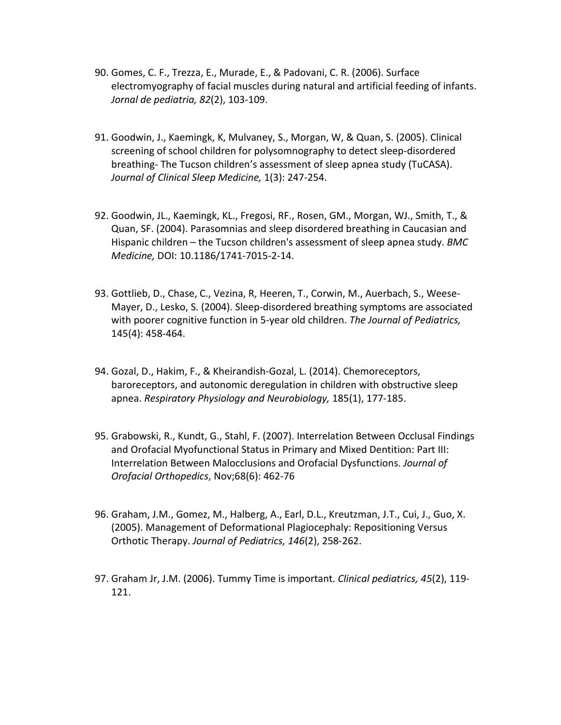- 90. Gomes, C. F., Trezza, E., Murade, E., & Padovani, C. R. (2006). Surface electromyography of facial muscles during natural and artificial feeding of infants. *Jornal de pediatria, 82*(2), 103-109.
- 91. Goodwin, J., Kaemingk, K, Mulvaney, S., Morgan, W, & Quan, S. (2005). Clinical screening of school children for polysomnography to detect sleep-disordered breathing- The Tucson children's assessment of sleep apnea study (TuCASA). *Journal of Clinical Sleep Medicine,* 1(3): 247-254.
- 92. Goodwin, JL., Kaemingk, KL., Fregosi, RF., Rosen, GM., Morgan, WJ., Smith, T., & Quan, SF. (2004). Parasomnias and sleep disordered breathing in Caucasian and Hispanic children – the Tucson children's assessment of sleep apnea study. *BMC Medicine,* DOI: 10.1186/1741-7015-2-14.
- 93. Gottlieb, D., Chase, C., Vezina, R, Heeren, T., Corwin, M., Auerbach, S., Weese-Mayer, D., Lesko, S. (2004). Sleep-disordered breathing symptoms are associated with poorer cognitive function in 5-year old children. *The Journal of Pediatrics,*  145(4): 458-464.
- 94. Gozal, D., Hakim, F., & Kheirandish-Gozal, L. (2014). Chemoreceptors, baroreceptors, and autonomic deregulation in children with obstructive sleep apnea. *Respiratory Physiology and Neurobiology,* 185(1), 177-185.
- 95. Grabowski, R., Kundt, G., Stahl, F. (2007). Interrelation Between Occlusal Findings and Orofacial Myofunctional Status in Primary and Mixed Dentition: Part III: Interrelation Between Malocclusions and Orofacial Dysfunctions. *Journal of Orofacial Orthopedics*, Nov;68(6): 462-76
- 96. Graham, J.M., Gomez, M., Halberg, A., Earl, D.L., Kreutzman, J.T., Cui, J., Guo, X. (2005). Management of Deformational Plagiocephaly: Repositioning Versus Orthotic Therapy. *Journal of Pediatrics, 146*(2), 258-262.
- 97. Graham Jr, J.M. (2006). Tummy Time is important. *Clinical pediatrics, 45*(2), 119- 121.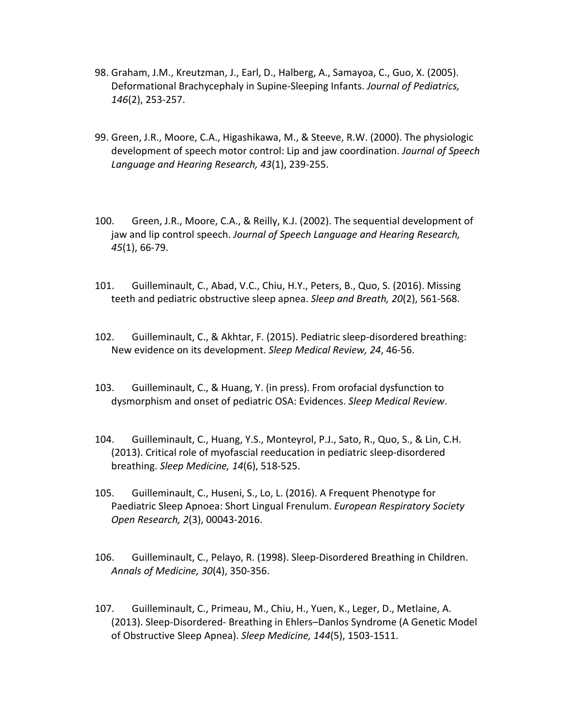- 98. Graham, J.M., Kreutzman, J., Earl, D., Halberg, A., Samayoa, C., Guo, X. (2005). Deformational Brachycephaly in Supine-Sleeping Infants. *Journal of Pediatrics, 146*(2), 253-257.
- 99. Green, J.R., Moore, C.A., Higashikawa, M., & Steeve, R.W. (2000). The physiologic development of speech motor control: Lip and jaw coordination. *Journal of Speech Language and Hearing Research, 43*(1), 239-255.
- 100. Green, J.R., Moore, C.A., & Reilly, K.J. (2002). The sequential development of jaw and lip control speech. *Journal of Speech Language and Hearing Research, 45*(1), 66-79.
- 101. Guilleminault, C., Abad, V.C., Chiu, H.Y., Peters, B., Quo, S. (2016). Missing teeth and pediatric obstructive sleep apnea. *Sleep and Breath, 20*(2), 561-568.
- 102. Guilleminault, C., & Akhtar, F. (2015). Pediatric sleep-disordered breathing: New evidence on its development. *Sleep Medical Review, 24*, 46-56.
- 103. Guilleminault, C., & Huang, Y. (in press). From orofacial dysfunction to dysmorphism and onset of pediatric OSA: Evidences. *Sleep Medical Review*.
- 104. Guilleminault, C., Huang, Y.S., Monteyrol, P.J., Sato, R., Quo, S., & Lin, C.H. (2013). Critical role of myofascial reeducation in pediatric sleep-disordered breathing. *Sleep Medicine, 14*(6), 518-525.
- 105. Guilleminault, C., Huseni, S., Lo, L. (2016). A Frequent Phenotype for Paediatric Sleep Apnoea: Short Lingual Frenulum. *European Respiratory Society Open Research, 2*(3), 00043-2016.
- 106. Guilleminault, C., Pelayo, R. (1998). Sleep-Disordered Breathing in Children. *Annals of Medicine, 30*(4), 350-356.
- 107. Guilleminault, C., Primeau, M., Chiu, H., Yuen, K., Leger, D., Metlaine, A. (2013). Sleep-Disordered- Breathing in Ehlers–Danlos Syndrome (A Genetic Model of Obstructive Sleep Apnea). *Sleep Medicine, 144*(5), 1503-1511.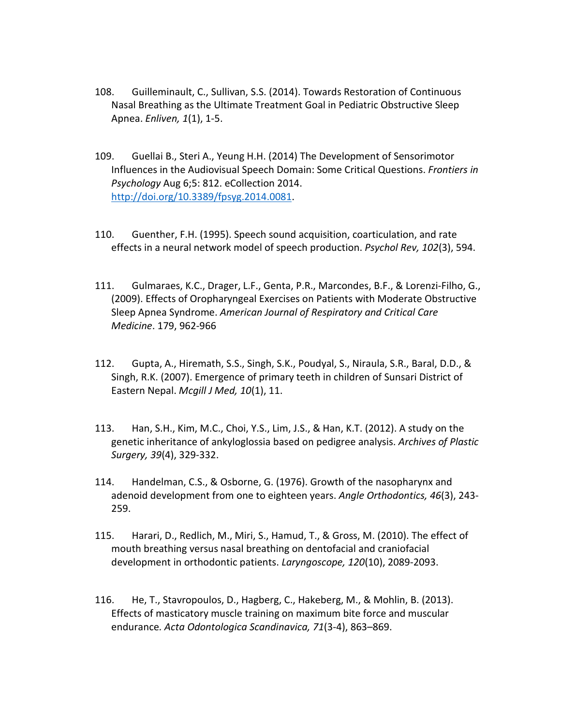- 108. Guilleminault, C., Sullivan, S.S. (2014). Towards Restoration of Continuous Nasal Breathing as the Ultimate Treatment Goal in Pediatric Obstructive Sleep Apnea. *Enliven, 1*(1), 1-5.
- 109. Guellai B., Steri A., Yeung H.H. (2014) The Development of Sensorimotor Influences in the Audiovisual Speech Domain: Some Critical Questions. *Frontiers in Psychology* Aug 6;5: 812. eCollection 2014. [http://doi.org/10.3389/fpsyg.2014.0081.](http://doi.org/10.3389/fpsyg.2014.0081)
- 110. Guenther, F.H. (1995). Speech sound acquisition, coarticulation, and rate effects in a neural network model of speech production. *Psychol Rev, 102*(3), 594.
- 111. Gulmaraes, K.C., Drager, L.F., Genta, P.R., Marcondes, B.F., & Lorenzi-Filho, G., (2009). Effects of Oropharyngeal Exercises on Patients with Moderate Obstructive Sleep Apnea Syndrome. *American Journal of Respiratory and Critical Care Medicine*. 179, 962-966
- 112. Gupta, A., Hiremath, S.S., Singh, S.K., Poudyal, S., Niraula, S.R., Baral, D.D., & Singh, R.K. (2007). Emergence of primary teeth in children of Sunsari District of Eastern Nepal. *Mcgill J Med, 10*(1), 11.
- 113. Han, S.H., Kim, M.C., Choi, Y.S., Lim, J.S., & Han, K.T. (2012). A study on the genetic inheritance of ankyloglossia based on pedigree analysis. *Archives of Plastic Surgery, 39*(4), 329-332.
- 114. Handelman, C.S., & Osborne, G. (1976). Growth of the nasopharynx and adenoid development from one to eighteen years. *Angle Orthodontics, 46*(3), 243- 259.
- 115. Harari, D., Redlich, M., Miri, S., Hamud, T., & Gross, M. (2010). The effect of mouth breathing versus nasal breathing on dentofacial and craniofacial development in orthodontic patients. *Laryngoscope, 120*(10), 2089-2093.
- 116. He, T., Stavropoulos, D., Hagberg, C., Hakeberg, M., & Mohlin, B. (2013). Effects of masticatory muscle training on maximum bite force and muscular endurance*. Acta Odontologica Scandinavica, 71*(3-4), 863–869.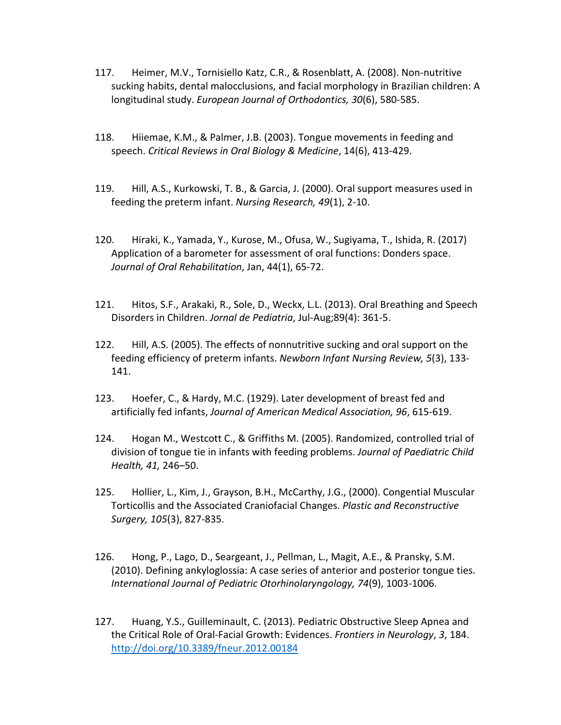- 117. Heimer, M.V., Tornisiello Katz, C.R., & Rosenblatt, A. (2008). Non-nutritive sucking habits, dental malocclusions, and facial morphology in Brazilian children: A longitudinal study. *European Journal of Orthodontics, 30*(6), 580-585.
- 118. Hiiemae, K.M., & Palmer, J.B. (2003). Tongue movements in feeding and speech. *Critical Reviews in Oral Biology & Medicine*, 14(6), 413-429.
- 119. Hill, A.S., Kurkowski, T. B., & Garcia, J. (2000). Oral support measures used in feeding the preterm infant. *Nursing Research, 49*(1), 2-10.
- 120. Hiraki, K., Yamada, Y., Kurose, M., Ofusa, W., Sugiyama, T., Ishida, R. (2017) Application of a barometer for assessment of oral functions: Donders space. *Journal of Oral Rehabilitation*, Jan, 44(1), 65-72.
- 121. Hitos, S.F., Arakaki, R., Sole, D., Weckx, L.L. (2013). Oral Breathing and Speech Disorders in Children. *Jornal de Pediatria*, Jul-Aug;89(4): 361-5.
- 122. Hill, A.S. (2005). The effects of nonnutritive sucking and oral support on the feeding efficiency of preterm infants. *Newborn Infant Nursing Review, 5*(3), 133- 141.
- 123. Hoefer, C., & Hardy, M.C. (1929). Later development of breast fed and artificially fed infants, *Journal of American Medical Association, 96*, 615-619.
- 124. Hogan M., Westcott C., & Griffiths M. (2005). Randomized, controlled trial of division of tongue tie in infants with feeding problems. *Journal of Paediatric Child Health, 41,* 246–50.
- 125. Hollier, L., Kim, J., Grayson, B.H., McCarthy, J.G., (2000). Congential Muscular Torticollis and the Associated Craniofacial Changes. *Plastic and Reconstructive Surgery, 105*(3), 827-835.
- 126. Hong, P., Lago, D., Seargeant, J., Pellman, L., Magit, A.E., & Pransky, S.M. (2010). Defining ankyloglossia: A case series of anterior and posterior tongue ties. *International Journal of Pediatric Otorhinolaryngology, 74*(9), 1003-1006.
- 127. Huang, Y.S., Guilleminault, C. (2013). Pediatric Obstructive Sleep Apnea and the Critical Role of Oral-Facial Growth: Evidences. *Frontiers in Neurology*, *3*, 184. <http://doi.org/10.3389/fneur.2012.00184>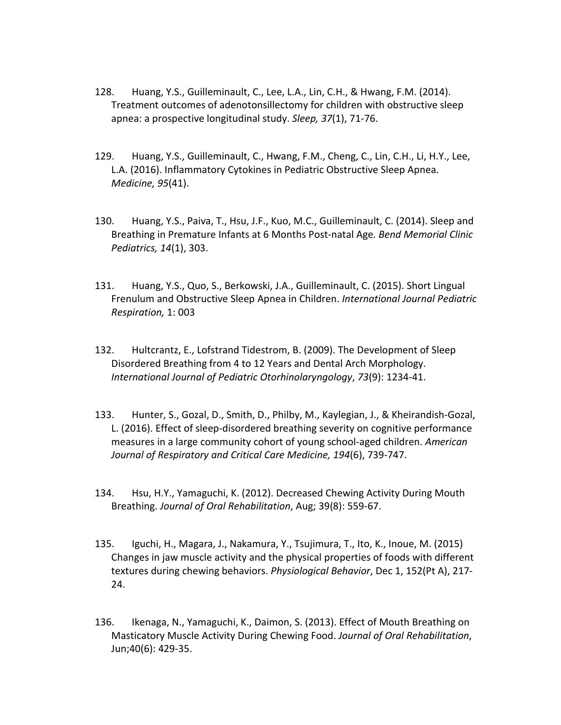- 128. Huang, Y.S., Guilleminault, C., Lee, L.A., Lin, C.H., & Hwang, F.M. (2014). Treatment outcomes of adenotonsillectomy for children with obstructive sleep apnea: a prospective longitudinal study. *Sleep, 37*(1), 71-76.
- 129. Huang, Y.S., Guilleminault, C., Hwang, F.M., Cheng, C., Lin, C.H., Li, H.Y., Lee, L.A. (2016). Inflammatory Cytokines in Pediatric Obstructive Sleep Apnea. *Medicine, 95*(41).
- 130. Huang, Y.S., Paiva, T., Hsu, J.F., Kuo, M.C., Guilleminault, C. (2014). Sleep and Breathing in Premature Infants at 6 Months Post-natal Age*. Bend Memorial Clinic Pediatrics, 14*(1), 303.
- 131. Huang, Y.S., Quo, S., Berkowski, J.A., Guilleminault, C. (2015). Short Lingual Frenulum and Obstructive Sleep Apnea in Children. *International Journal Pediatric Respiration,* 1: 003
- 132. Hultcrantz, E., Lofstrand Tidestrom, B. (2009). The Development of Sleep Disordered Breathing from 4 to 12 Years and Dental Arch Morphology. *International Journal of Pediatric Otorhinolaryngology*, *73*(9): 1234-41.
- 133. Hunter, S., Gozal, D., Smith, D., Philby, M., Kaylegian, J., & Kheirandish-Gozal, L. (2016). Effect of sleep-disordered breathing severity on cognitive performance measures in a large community cohort of young school-aged children. *American Journal of Respiratory and Critical Care Medicine, 194*(6), 739-747.
- 134. Hsu, H.Y., Yamaguchi, K. (2012). Decreased Chewing Activity During Mouth Breathing. *Journal of Oral Rehabilitation*, Aug; 39(8): 559-67.
- 135. Iguchi, H., Magara, J., Nakamura, Y., Tsujimura, T., Ito, K., Inoue, M. (2015) Changes in jaw muscle activity and the physical properties of foods with different textures during chewing behaviors. *Physiological Behavior*, Dec 1, 152(Pt A), 217- 24.
- 136. Ikenaga, N., Yamaguchi, K., Daimon, S. (2013). Effect of Mouth Breathing on Masticatory Muscle Activity During Chewing Food. *Journal of Oral Rehabilitation*, Jun;40(6): 429-35.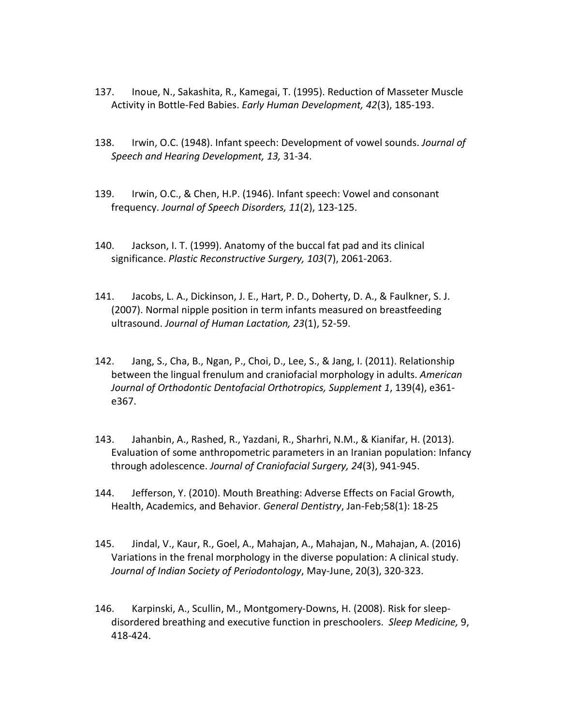- 137. Inoue, N., Sakashita, R., Kamegai, T. (1995). Reduction of Masseter Muscle Activity in Bottle-Fed Babies. *Early Human Development, 42*(3), 185-193.
- 138. Irwin, O.C. (1948). Infant speech: Development of vowel sounds. *Journal of Speech and Hearing Development, 13,* 31-34.
- 139. Irwin, O.C., & Chen, H.P. (1946). Infant speech: Vowel and consonant frequency. *Journal of Speech Disorders, 11*(2), 123-125.
- 140. Jackson, I. T. (1999). Anatomy of the buccal fat pad and its clinical significance. *Plastic Reconstructive Surgery, 103*(7), 2061-2063.
- 141. Jacobs, L. A., Dickinson, J. E., Hart, P. D., Doherty, D. A., & Faulkner, S. J. (2007). Normal nipple position in term infants measured on breastfeeding ultrasound. *Journal of Human Lactation, 23*(1), 52-59.
- 142. Jang, S., Cha, B., Ngan, P., Choi, D., Lee, S., & Jang, I. (2011). Relationship between the lingual frenulum and craniofacial morphology in adults. *American Journal of Orthodontic Dentofacial Orthotropics, Supplement 1*, 139(4), e361 e367.
- 143. Jahanbin, A., Rashed, R., Yazdani, R., Sharhri, N.M., & Kianifar, H. (2013). Evaluation of some anthropometric parameters in an Iranian population: Infancy through adolescence. *Journal of Craniofacial Surgery, 24*(3), 941-945.
- 144. Jefferson, Y. (2010). Mouth Breathing: Adverse Effects on Facial Growth, Health, Academics, and Behavior. *General Dentistry*, Jan-Feb;58(1): 18-25
- 145. Jindal, V., Kaur, R., Goel, A., Mahajan, A., Mahajan, N., Mahajan, A. (2016) Variations in the frenal morphology in the diverse population: A clinical study. *Journal of Indian Society of Periodontology*, May-June, 20(3), 320-323.
- 146. Karpinski, A., Scullin, M., Montgomery-Downs, H. (2008). Risk for sleepdisordered breathing and executive function in preschoolers. *Sleep Medicine,* 9, 418-424.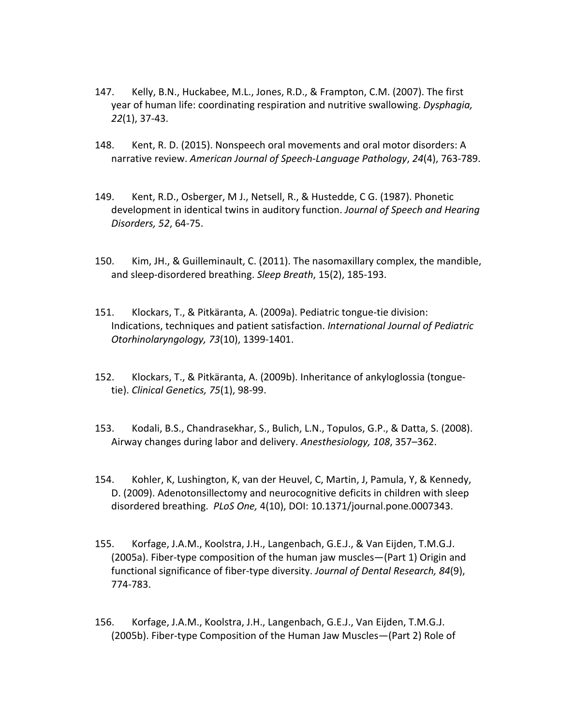- 147. Kelly, B.N., Huckabee, M.L., Jones, R.D., & Frampton, C.M. (2007). The first year of human life: coordinating respiration and nutritive swallowing. *Dysphagia, 22*(1), 37-43.
- 148. Kent, R. D. (2015). Nonspeech oral movements and oral motor disorders: A narrative review. *American Journal of Speech-Language Pathology*, *24*(4), 763-789.
- 149. Kent, R.D., Osberger, M J., Netsell, R., & Hustedde, C G. (1987). Phonetic development in identical twins in auditory function. *Journal of Speech and Hearing Disorders, 52*, 64-75.
- 150. Kim, JH., & Guilleminault, C. (2011). The nasomaxillary complex, the mandible, and sleep-disordered breathing. *Sleep Breath*, 15(2), 185-193.
- 151. Klockars, T., & Pitkäranta, A. (2009a). Pediatric tongue-tie division: Indications, techniques and patient satisfaction. *International Journal of Pediatric Otorhinolaryngology, 73*(10), 1399-1401.
- 152. Klockars, T., & Pitkäranta, A. (2009b). Inheritance of ankyloglossia (tonguetie). *Clinical Genetics, 75*(1), 98-99.
- 153. Kodali, B.S., Chandrasekhar, S., Bulich, L.N., Topulos, G.P., & Datta, S. (2008). Airway changes during labor and delivery. *Anesthesiology, 108*, 357–362.
- 154. Kohler, K, Lushington, K, van der Heuvel, C, Martin, J, Pamula, Y, & Kennedy, D. (2009). Adenotonsillectomy and neurocognitive deficits in children with sleep disordered breathing. *PLoS One,* 4(10), DOI: 10.1371/journal.pone.0007343.
- 155. Korfage, J.A.M., Koolstra, J.H., Langenbach, G.E.J., & Van Eijden, T.M.G.J. (2005a). Fiber-type composition of the human jaw muscles—(Part 1) Origin and functional significance of fiber-type diversity. *Journal of Dental Research, 84*(9), 774-783.
- 156. Korfage, J.A.M., Koolstra, J.H., Langenbach, G.E.J., Van Eijden, T.M.G.J. (2005b). Fiber-type Composition of the Human Jaw Muscles—(Part 2) Role of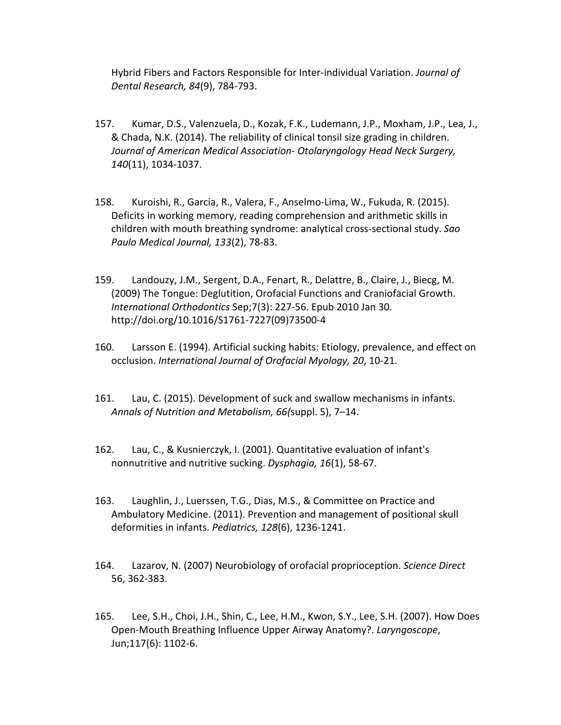Hybrid Fibers and Factors Responsible for Inter-individual Variation. *Journal of Dental Research, 84*(9), 784-793.

- 157. Kumar, D.S., Valenzuela, D., Kozak, F.K., Ludemann, J.P., Moxham, J.P., Lea, J., & Chada, N.K. (2014). The reliability of clinical tonsil size grading in children. *Journal of American Medical Association- Otolaryngology Head Neck Surgery, 140*(11), 1034-1037.
- 158. Kuroishi, R., Garcia, R., Valera, F., Anselmo-Lima, W., Fukuda, R. (2015). Deficits in working memory, reading comprehension and arithmetic skills in children with mouth breathing syndrome: analytical cross-sectional study. *Sao Paulo Medical Journal, 133*(2), 78-83.
- 159. Landouzy, J.M., Sergent, D.A., Fenart, R., Delattre, B., Claire, J., Biecg, M. (2009) The Tongue: Deglutition, Orofacial Functions and Craniofacial Growth. *International Orthodontics* Sep;7(3): 227-56. Epub 2010 Jan 30. http://doi.org/10.1016/S1761-7227(09)73500-4
- 160. Larsson E. (1994). Artificial sucking habits: Etiology, prevalence, and effect on occlusion. *International Journal of Orofacial Myology, 20*, 10-21.
- 161. Lau, C. (2015). Development of suck and swallow mechanisms in infants. *Annals of Nutrition and Metabolism, 66(*suppl. 5), 7–14.
- 162. Lau, C., & Kusnierczyk, I. (2001). Quantitative evaluation of infant's nonnutritive and nutritive sucking. *Dysphagia, 16*(1), 58-67.
- 163. Laughlin, J., Luerssen, T.G., Dias, M.S., & Committee on Practice and Ambulatory Medicine. (2011). Prevention and management of positional skull deformities in infants. *Pediatrics, 128*(6), 1236-1241.
- 164. Lazarov, N. (2007) Neurobiology of orofacial proprioception. *Science Direct*  56, 362-383.
- 165. Lee, S.H., Choi, J.H., Shin, C., Lee, H.M., Kwon, S.Y., Lee, S.H. (2007). How Does Open-Mouth Breathing Influence Upper Airway Anatomy?. *Laryngoscope*, Jun;117(6): 1102-6.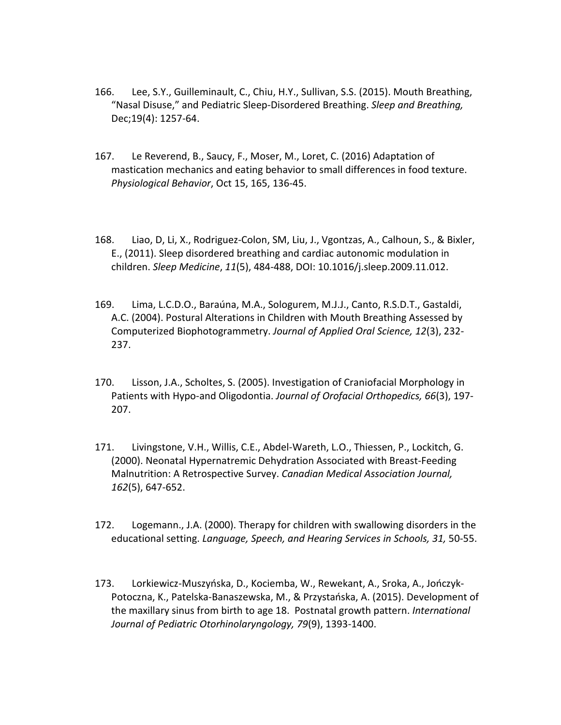- 166. Lee, S.Y., Guilleminault, C., Chiu, H.Y., Sullivan, S.S. (2015). Mouth Breathing, "Nasal Disuse," and Pediatric Sleep-Disordered Breathing. *Sleep and Breathing,*  Dec;19(4): 1257-64.
- 167. Le Reverend, B., Saucy, F., Moser, M., Loret, C. (2016) Adaptation of mastication mechanics and eating behavior to small differences in food texture. *Physiological Behavior*, Oct 15, 165, 136-45.
- 168. Liao, D, Li, X., Rodriguez-Colon, SM, Liu, J., Vgontzas, A., Calhoun, S., & Bixler, E., (2011). Sleep disordered breathing and cardiac autonomic modulation in children. *Sleep Medicine*, *11*(5), 484-488, DOI: 10.1016/j.sleep.2009.11.012.
- 169. Lima, L.C.D.O., Baraúna, M.A., Sologurem, M.J.J., Canto, R.S.D.T., Gastaldi, A.C. (2004). Postural Alterations in Children with Mouth Breathing Assessed by Computerized Biophotogrammetry. *Journal of Applied Oral Science, 12*(3), 232- 237.
- 170. Lisson, J.A., Scholtes, S. (2005). Investigation of Craniofacial Morphology in Patients with Hypo-and Oligodontia. *Journal of Orofacial Orthopedics, 66*(3), 197- 207.
- 171. Livingstone, V.H., Willis, C.E., Abdel-Wareth, L.O., Thiessen, P., Lockitch, G. (2000). Neonatal Hypernatremic Dehydration Associated with Breast-Feeding Malnutrition: A Retrospective Survey. *Canadian Medical Association Journal, 162*(5), 647-652.
- 172. Logemann., J.A. (2000). Therapy for children with swallowing disorders in the educational setting. *Language, Speech, and Hearing Services in Schools, 31,* 50-55.
- 173. Lorkiewicz-Muszyńska, D., Kociemba, W., Rewekant, A., Sroka, A., Jończyk-Potoczna, K., Patelska-Banaszewska, M., & Przystańska, A. (2015). Development of the maxillary sinus from birth to age 18. Postnatal growth pattern. *International Journal of Pediatric Otorhinolaryngology, 79*(9), 1393-1400.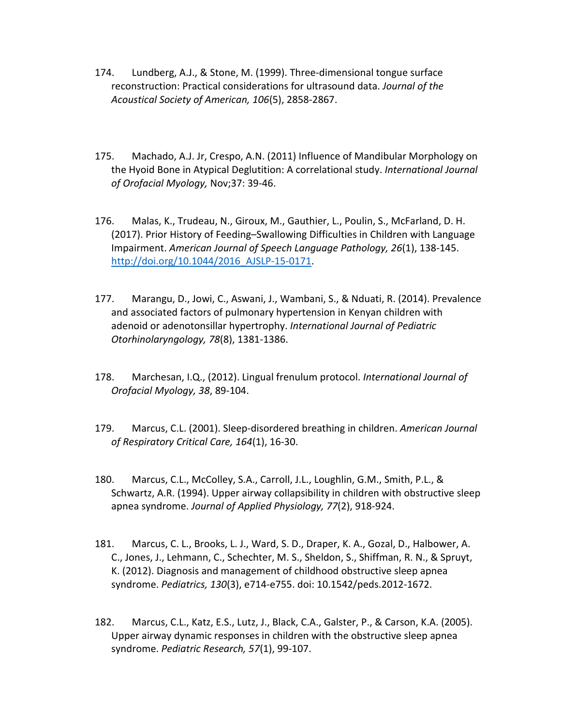- 174. Lundberg, A.J., & Stone, M. (1999). Three-dimensional tongue surface reconstruction: Practical considerations for ultrasound data. *Journal of the Acoustical Society of American, 106*(5), 2858-2867.
- 175. Machado, A.J. Jr, Crespo, A.N. (2011) Influence of Mandibular Morphology on the Hyoid Bone in Atypical Deglutition: A correlational study. *International Journal of Orofacial Myology,* Nov;37: 39-46.
- 176. Malas, K., Trudeau, N., Giroux, M., Gauthier, L., Poulin, S., McFarland, D. H. (2017). Prior History of Feeding–Swallowing Difficulties in Children with Language Impairment. *American Journal of Speech Language Pathology, 26*(1), 138-145. http://doi.org/10.1044/2016 AJSLP-15-0171.
- 177. Marangu, D., Jowi, C., Aswani, J., Wambani, S., & Nduati, R. (2014). Prevalence and associated factors of pulmonary hypertension in Kenyan children with adenoid or adenotonsillar hypertrophy. *International Journal of Pediatric Otorhinolaryngology, 78*(8), 1381-1386.
- 178. Marchesan, I.Q., (2012). Lingual frenulum protocol. *International Journal of Orofacial Myology, 38*, 89-104.
- 179. Marcus, C.L. (2001). Sleep-disordered breathing in children. *American Journal of Respiratory Critical Care, 164*(1), 16-30.
- 180. Marcus, C.L., McColley, S.A., Carroll, J.L., Loughlin, G.M., Smith, P.L., & Schwartz, A.R. (1994). Upper airway collapsibility in children with obstructive sleep apnea syndrome. *Journal of Applied Physiology, 77*(2), 918-924.
- 181. Marcus, C. L., Brooks, L. J., Ward, S. D., Draper, K. A., Gozal, D., Halbower, A. C., Jones, J., Lehmann, C., Schechter, M. S., Sheldon, S., Shiffman, R. N., & Spruyt, K. (2012). Diagnosis and management of childhood obstructive sleep apnea syndrome. *Pediatrics, 130*(3), e714-e755. doi: 10.1542/peds.2012-1672.
- 182. Marcus, C.L., Katz, E.S., Lutz, J., Black, C.A., Galster, P., & Carson, K.A. (2005). Upper airway dynamic responses in children with the obstructive sleep apnea syndrome. *Pediatric Research, 57*(1), 99-107.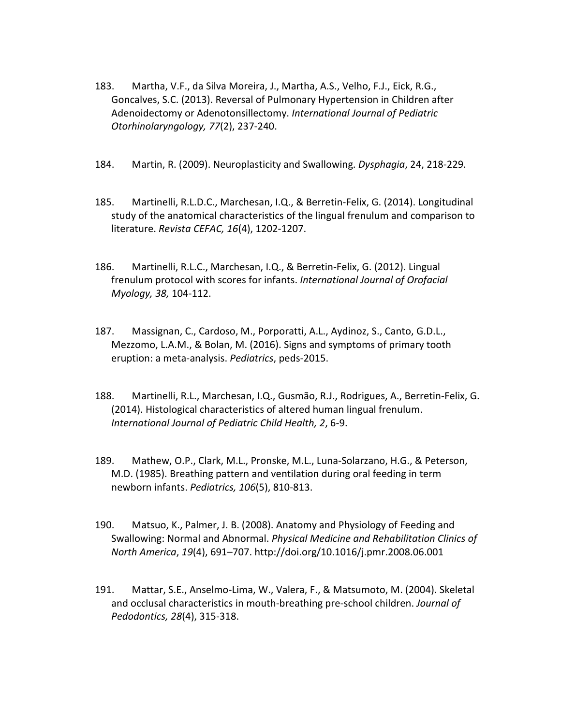- 183. Martha, V.F., da Silva Moreira, J., Martha, A.S., Velho, F.J., Eick, R.G., Goncalves, S.C. (2013). Reversal of Pulmonary Hypertension in Children after Adenoidectomy or Adenotonsillectomy. *International Journal of Pediatric Otorhinolaryngology, 77*(2), 237-240.
- 184. Martin, R. (2009). Neuroplasticity and Swallowing. *Dysphagia*, 24, 218-229.
- 185. Martinelli, R.L.D.C., Marchesan, I.Q., & Berretin-Felix, G. (2014). Longitudinal study of the anatomical characteristics of the lingual frenulum and comparison to literature. *Revista CEFAC, 16*(4), 1202-1207.
- 186. Martinelli, R.L.C., Marchesan, I.Q., & Berretin-Felix, G. (2012). Lingual frenulum protocol with scores for infants. *International Journal of Orofacial Myology, 38,* 104-112.
- 187. Massignan, C., Cardoso, M., Porporatti, A.L., Aydinoz, S., Canto, G.D.L., Mezzomo, L.A.M., & Bolan, M. (2016). Signs and symptoms of primary tooth eruption: a meta-analysis. *Pediatrics*, peds-2015.
- 188. Martinelli, R.L., Marchesan, I.Q., Gusmão, R.J., Rodrigues, A., Berretin-Felix, G. (2014). Histological characteristics of altered human lingual frenulum. *International Journal of Pediatric Child Health, 2*, 6-9.
- 189. Mathew, O.P., Clark, M.L., Pronske, M.L., Luna-Solarzano, H.G., & Peterson, M.D. (1985). Breathing pattern and ventilation during oral feeding in term newborn infants. *Pediatrics, 106*(5), 810-813.
- 190. Matsuo, K., Palmer, J. B. (2008). Anatomy and Physiology of Feeding and Swallowing: Normal and Abnormal. *Physical Medicine and Rehabilitation Clinics of North America*, *19*(4), 691–707. http://doi.org/10.1016/j.pmr.2008.06.001
- 191. Mattar, S.E., Anselmo-Lima, W., Valera, F., & Matsumoto, M. (2004). Skeletal and occlusal characteristics in mouth-breathing pre-school children. *Journal of Pedodontics, 28*(4), 315-318.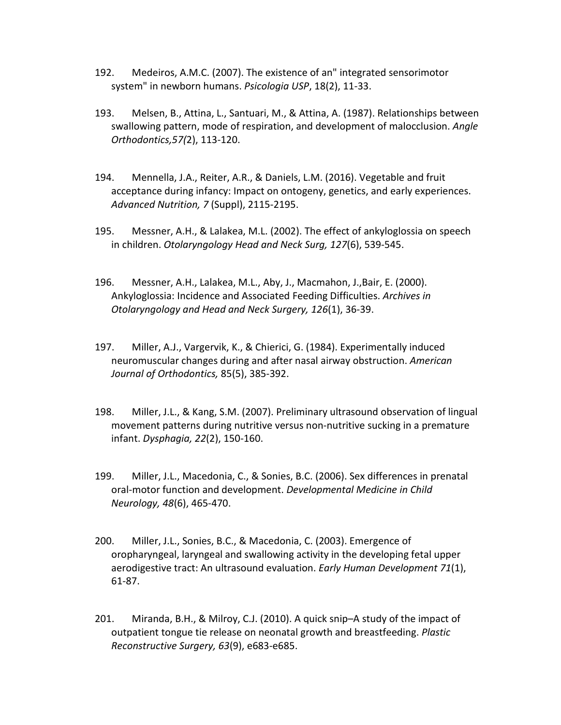- 192. Medeiros, A.M.C. (2007). The existence of an" integrated sensorimotor system" in newborn humans. *Psicologia USP*, 18(2), 11-33.
- 193. Melsen, B., Attina, L., Santuari, M., & Attina, A. (1987). Relationships between swallowing pattern, mode of respiration, and development of malocclusion. *Angle Orthodontics,57(*2), 113-120.
- 194. Mennella, J.A., Reiter, A.R., & Daniels, L.M. (2016). Vegetable and fruit acceptance during infancy: Impact on ontogeny, genetics, and early experiences. *Advanced Nutrition, 7* (Suppl), 2115-2195.
- 195. Messner, A.H., & Lalakea, M.L. (2002). The effect of ankyloglossia on speech in children. *Otolaryngology Head and Neck Surg, 127*(6), 539-545.
- 196. Messner, A.H., Lalakea, M.L., Aby, J., Macmahon, J.,Bair, E. (2000). Ankyloglossia: Incidence and Associated Feeding Difficulties. *Archives in Otolaryngology and Head and Neck Surgery, 126*(1), 36-39.
- 197. Miller, A.J., Vargervik, K., & Chierici, G. (1984). Experimentally induced neuromuscular changes during and after nasal airway obstruction. *American Journal of Orthodontics,* 85(5), 385-392.
- 198. Miller, J.L., & Kang, S.M. (2007). Preliminary ultrasound observation of lingual movement patterns during nutritive versus non-nutritive sucking in a premature infant. *Dysphagia, 22*(2), 150-160.
- 199. Miller, J.L., Macedonia, C., & Sonies, B.C. (2006). Sex differences in prenatal oral-motor function and development. *Developmental Medicine in Child Neurology, 48*(6), 465-470.
- 200. Miller, J.L., Sonies, B.C., & Macedonia, C. (2003). Emergence of oropharyngeal, laryngeal and swallowing activity in the developing fetal upper aerodigestive tract: An ultrasound evaluation. *Early Human Development 71*(1), 61-87.
- 201. Miranda, B.H., & Milroy, C.J. (2010). A quick snip–A study of the impact of outpatient tongue tie release on neonatal growth and breastfeeding. *Plastic Reconstructive Surgery, 63*(9), e683-e685.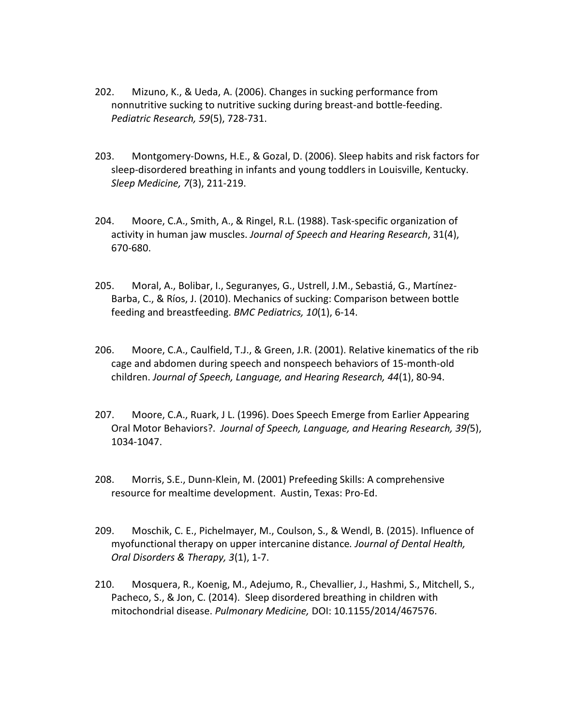- 202. Mizuno, K., & Ueda, A. (2006). Changes in sucking performance from nonnutritive sucking to nutritive sucking during breast-and bottle-feeding. *Pediatric Research, 59*(5), 728-731.
- 203. Montgomery-Downs, H.E., & Gozal, D. (2006). Sleep habits and risk factors for sleep-disordered breathing in infants and young toddlers in Louisville, Kentucky. *Sleep Medicine, 7*(3), 211-219.
- 204. Moore, C.A., Smith, A., & Ringel, R.L. (1988). Task-specific organization of activity in human jaw muscles. *Journal of Speech and Hearing Research*, 31(4), 670-680.
- 205. Moral, A., Bolibar, I., Seguranyes, G., Ustrell, J.M., Sebastiá, G., Martínez-Barba, C., & Ríos, J. (2010). Mechanics of sucking: Comparison between bottle feeding and breastfeeding. *BMC Pediatrics, 10*(1), 6-14.
- 206. Moore, C.A., Caulfield, T.J., & Green, J.R. (2001). Relative kinematics of the rib cage and abdomen during speech and nonspeech behaviors of 15-month-old children. *Journal of Speech, Language, and Hearing Research, 44*(1), 80-94.
- 207. Moore, C.A., Ruark, J L. (1996). Does Speech Emerge from Earlier Appearing Oral Motor Behaviors?. *Journal of Speech, Language, and Hearing Research, 39(*5), 1034-1047.
- 208. Morris, S.E., Dunn-Klein, M. (2001) Prefeeding Skills: A comprehensive resource for mealtime development. Austin, Texas: Pro-Ed.
- 209. Moschik, C. E., Pichelmayer, M., Coulson, S., & Wendl, B. (2015). Influence of myofunctional therapy on upper intercanine distance*. Journal of Dental Health, Oral Disorders & Therapy, 3*(1), 1-7.
- 210. Mosquera, R., Koenig, M., Adejumo, R., Chevallier, J., Hashmi, S., Mitchell, S., Pacheco, S., & Jon, C. (2014). Sleep disordered breathing in children with mitochondrial disease. *Pulmonary Medicine,* DOI: 10.1155/2014/467576.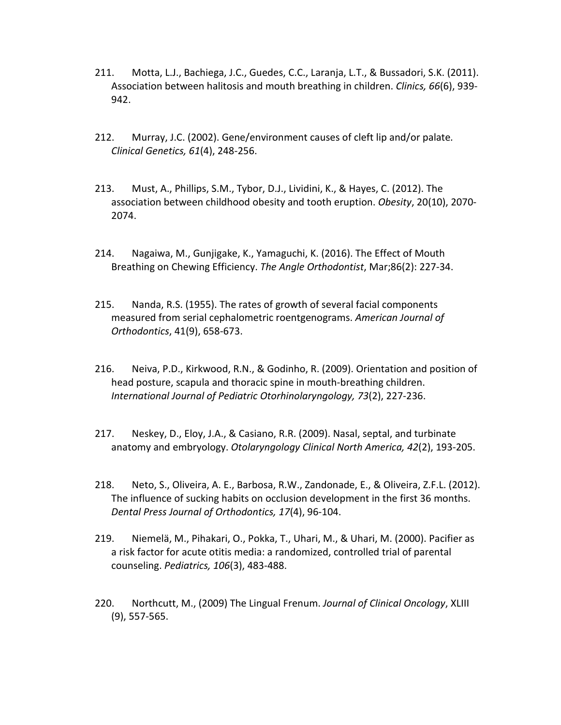- 211. Motta, L.J., Bachiega, J.C., Guedes, C.C., Laranja, L.T., & Bussadori, S.K. (2011). Association between halitosis and mouth breathing in children. *Clinics, 66*(6), 939- 942.
- 212. Murray, J.C. (2002). Gene/environment causes of cleft lip and/or palate*. Clinical Genetics, 61*(4), 248-256.
- 213. Must, A., Phillips, S.M., Tybor, D.J., Lividini, K., & Hayes, C. (2012). The association between childhood obesity and tooth eruption. *Obesity*, 20(10), 2070- 2074.
- 214. Nagaiwa, M., Gunjigake, K., Yamaguchi, K. (2016). The Effect of Mouth Breathing on Chewing Efficiency. *The Angle Orthodontist*, Mar;86(2): 227-34.
- 215. Nanda, R.S. (1955). The rates of growth of several facial components measured from serial cephalometric roentgenograms. *American Journal of Orthodontics*, 41(9), 658-673.
- 216. Neiva, P.D., Kirkwood, R.N., & Godinho, R. (2009). Orientation and position of head posture, scapula and thoracic spine in mouth-breathing children. *International Journal of Pediatric Otorhinolaryngology, 73*(2), 227-236.
- 217. Neskey, D., Eloy, J.A., & Casiano, R.R. (2009). Nasal, septal, and turbinate anatomy and embryology. *Otolaryngology Clinical North America, 42*(2), 193-205.
- 218. Neto, S., Oliveira, A. E., Barbosa, R.W., Zandonade, E., & Oliveira, Z.F.L. (2012). The influence of sucking habits on occlusion development in the first 36 months. *Dental Press Journal of Orthodontics, 17*(4), 96-104.
- 219. Niemelä, M., Pihakari, O., Pokka, T., Uhari, M., & Uhari, M. (2000). Pacifier as a risk factor for acute otitis media: a randomized, controlled trial of parental counseling. *Pediatrics, 106*(3), 483-488.
- 220. Northcutt, M., (2009) The Lingual Frenum. *Journal of Clinical Oncology*, XLIII (9), 557-565.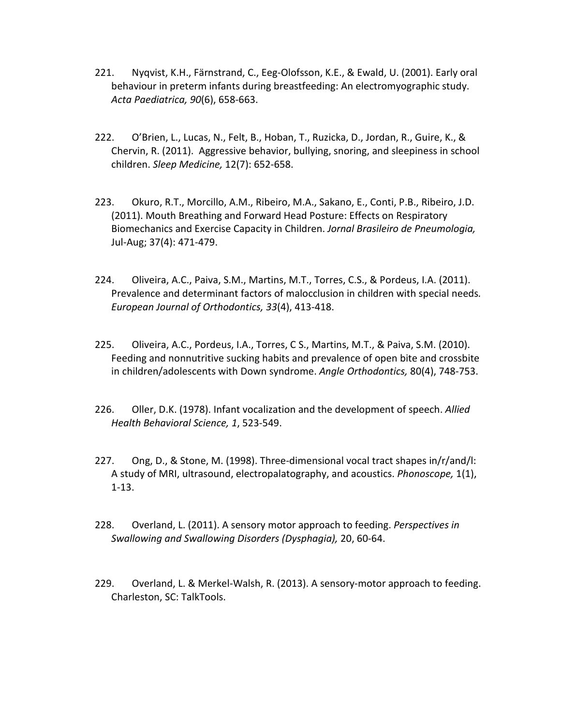- 221. Nyqvist, K.H., Färnstrand, C., Eeg-Olofsson, K.E., & Ewald, U. (2001). Early oral behaviour in preterm infants during breastfeeding: An electromyographic study. *Acta Paediatrica, 90*(6), 658-663.
- 222. O'Brien, L., Lucas, N., Felt, B., Hoban, T., Ruzicka, D., Jordan, R., Guire, K., & Chervin, R. (2011). Aggressive behavior, bullying, snoring, and sleepiness in school children. *Sleep Medicine,* 12(7): 652-658.
- 223. Okuro, R.T., Morcillo, A.M., Ribeiro, M.A., Sakano, E., Conti, P.B., Ribeiro, J.D. (2011). Mouth Breathing and Forward Head Posture: Effects on Respiratory Biomechanics and Exercise Capacity in Children. *Jornal Brasileiro de Pneumologia,*  Jul-Aug; 37(4): 471-479.
- 224. Oliveira, A.C., Paiva, S.M., Martins, M.T., Torres, C.S., & Pordeus, I.A. (2011). Prevalence and determinant factors of malocclusion in children with special needs*. European Journal of Orthodontics, 33*(4), 413-418.
- 225. Oliveira, A.C., Pordeus, I.A., Torres, C S., Martins, M.T., & Paiva, S.M. (2010). Feeding and nonnutritive sucking habits and prevalence of open bite and crossbite in children/adolescents with Down syndrome. *Angle Orthodontics,* 80(4), 748-753.
- 226. Oller, D.K. (1978). Infant vocalization and the development of speech. *Allied Health Behavioral Science, 1*, 523-549.
- 227. Ong, D., & Stone, M. (1998). Three-dimensional vocal tract shapes in/r/and/l: A study of MRI, ultrasound, electropalatography, and acoustics. *Phonoscope,* 1(1), 1-13.
- 228. Overland, L. (2011). A sensory motor approach to feeding. *Perspectives in Swallowing and Swallowing Disorders (Dysphagia),* 20, 60-64.
- 229. Overland, L. & Merkel-Walsh, R. (2013). A sensory-motor approach to feeding. Charleston, SC: TalkTools.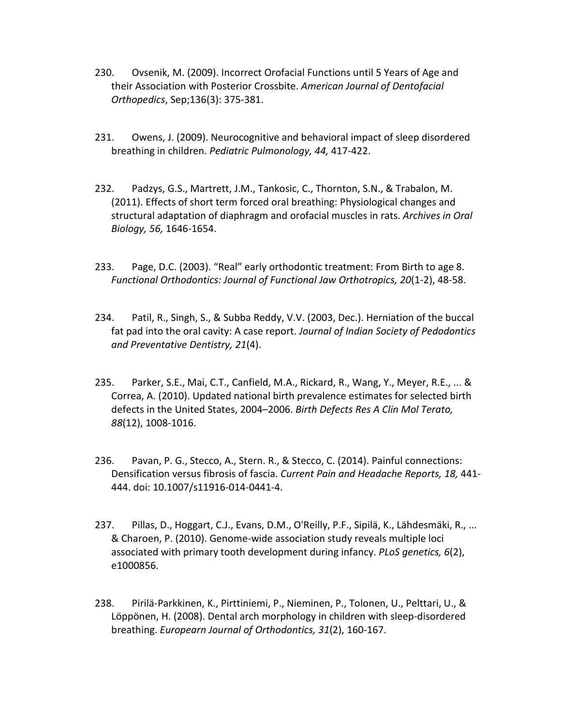- 230. Ovsenik, M. (2009). Incorrect Orofacial Functions until 5 Years of Age and their Association with Posterior Crossbite. *American Journal of Dentofacial Orthopedics*, Sep;136(3): 375-381.
- 231. Owens, J. (2009). Neurocognitive and behavioral impact of sleep disordered breathing in children. *Pediatric Pulmonology, 44,* 417-422.
- 232. Padzys, G.S., Martrett, J.M., Tankosic, C., Thornton, S.N., & Trabalon, M. (2011). Effects of short term forced oral breathing: Physiological changes and structural adaptation of diaphragm and orofacial muscles in rats. *Archives in Oral Biology, 56,* 1646-1654.
- 233. Page, D.C. (2003). "Real" early orthodontic treatment: From Birth to age 8. *Functional Orthodontics: Journal of Functional Jaw Orthotropics, 20*(1-2), 48-58.
- 234. Patil, R., Singh, S., & Subba Reddy, V.V. (2003, Dec.). Herniation of the buccal fat pad into the oral cavity: A case report. *Journal of Indian Society of Pedodontics and Preventative Dentistry, 21*(4).
- 235. Parker, S.E., Mai, C.T., Canfield, M.A., Rickard, R., Wang, Y., Meyer, R.E., ... & Correa, A. (2010). Updated national birth prevalence estimates for selected birth defects in the United States, 2004–2006. *Birth Defects Res A Clin Mol Terato, 88*(12), 1008-1016.
- 236. Pavan, P. G., Stecco, A., Stern. R., & Stecco, C. (2014). Painful connections: Densification versus fibrosis of fascia. *Current Pain and Headache Reports, 18,* 441- 444. doi: 10.1007/s11916-014-0441-4.
- 237. Pillas, D., Hoggart, C.J., Evans, D.M., O'Reilly, P.F., Sipilä, K., Lähdesmäki, R., ... & Charoen, P. (2010). Genome-wide association study reveals multiple loci associated with primary tooth development during infancy. *PLoS genetics, 6*(2), e1000856.
- 238. Pirilä-Parkkinen, K., Pirttiniemi, P., Nieminen, P., Tolonen, U., Pelttari, U., & Löppönen, H. (2008). Dental arch morphology in children with sleep-disordered breathing. *Europearn Journal of Orthodontics, 31*(2), 160-167.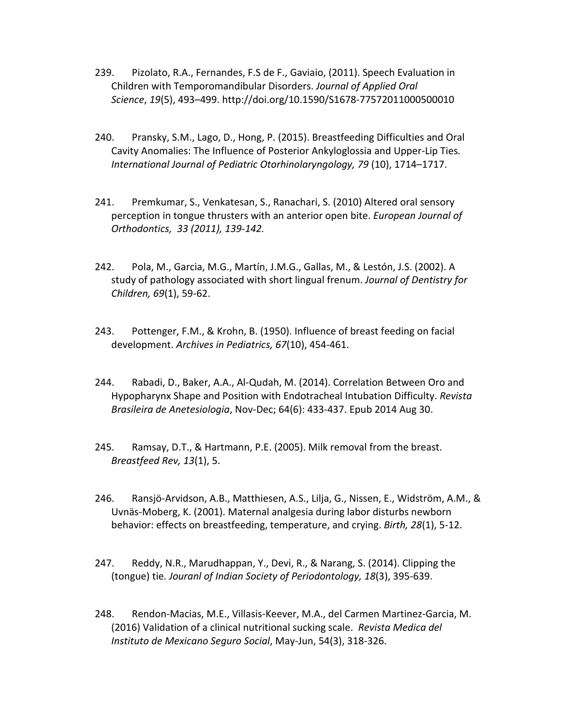- 239. Pizolato, R.A., Fernandes, F.S de F., Gaviaio, (2011). Speech Evaluation in Children with Temporomandibular Disorders. *Journal of Applied Oral Science*, *19*(5), 493–499. http://doi.org/10.1590/S1678-77572011000500010
- 240. Pransky, S.M., Lago, D., Hong, P. (2015). Breastfeeding Difficulties and Oral Cavity Anomalies: The Influence of Posterior Ankyloglossia and Upper-Lip Ties*. International Journal of Pediatric Otorhinolaryngology, 79* (10), 1714–1717.
- 241. Premkumar, S., Venkatesan, S., Ranachari, S. (2010) Altered oral sensory perception in tongue thrusters with an anterior open bite. *European Journal of Orthodontics, 33 (2011), 139-142.*
- 242. Pola, M., Garcia, M.G., Martín, J.M.G., Gallas, M., & Lestón, J.S. (2002). A study of pathology associated with short lingual frenum. *Journal of Dentistry for Children, 69*(1), 59-62.
- 243. Pottenger, F.M., & Krohn, B. (1950). Influence of breast feeding on facial development. *Archives in Pediatrics, 67*(10), 454-461.
- 244. Rabadi, D., Baker, A.A., Al-Qudah, M. (2014). Correlation Between Oro and Hypopharynx Shape and Position with Endotracheal Intubation Difficulty. *Revista Brasileira de Anetesiologia*, Nov-Dec; 64(6): 433-437. Epub 2014 Aug 30.
- 245. Ramsay, D.T., & Hartmann, P.E. (2005). Milk removal from the breast. *Breastfeed Rev, 13*(1), 5.
- 246. Ransjö-Arvidson, A.B., Matthiesen, A.S., Lilja, G., Nissen, E., Widström, A.M., & Uvnäs-Moberg, K. (2001). Maternal analgesia during labor disturbs newborn behavior: effects on breastfeeding, temperature, and crying. *Birth, 28*(1), 5-12.
- 247. Reddy, N.R., Marudhappan, Y., Devi, R., & Narang, S. (2014). Clipping the (tongue) tie*. Jouranl of Indian Society of Periodontology, 18*(3), 395-639.
- 248. Rendon-Macias, M.E., Villasis-Keever, M.A., del Carmen Martinez-Garcia, M. (2016) Validation of a clinical nutritional sucking scale. *Revista Medica del Instituto de Mexicano Seguro Social*, May-Jun, 54(3), 318-326.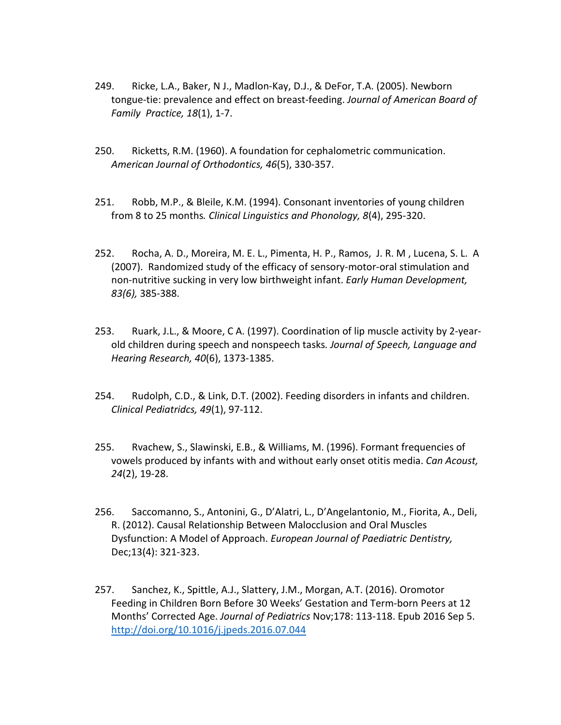- 249. Ricke, L.A., Baker, N J., Madlon-Kay, D.J., & DeFor, T.A. (2005). Newborn tongue-tie: prevalence and effect on breast-feeding. *Journal of American Board of Family Practice, 18*(1), 1-7.
- 250. Ricketts, R.M. (1960). A foundation for cephalometric communication. *American Journal of Orthodontics, 46*(5), 330-357.
- 251. Robb, M.P., & Bleile, K.M. (1994). Consonant inventories of young children from 8 to 25 months*. Clinical Linguistics and Phonology, 8*(4), 295-320.
- 252. Rocha, A. D., Moreira, M. E. L., Pimenta, H. P., Ramos, J. R. M , Lucena, S. L. A (2007). Randomized study of the efficacy of sensory-motor-oral stimulation and non-nutritive sucking in very low birthweight infant. *Early Human Development, 83(6),* 385-388.
- 253. Ruark, J.L., & Moore, C A. (1997). Coordination of lip muscle activity by 2-yearold children during speech and nonspeech tasks*. Journal of Speech, Language and Hearing Research, 40*(6), 1373-1385.
- 254. Rudolph, C.D., & Link, D.T. (2002). Feeding disorders in infants and children. *Clinical Pediatridcs, 49*(1), 97-112.
- 255. Rvachew, S., Slawinski, E.B., & Williams, M. (1996). Formant frequencies of vowels produced by infants with and without early onset otitis media. *Can Acoust, 24*(2), 19-28.
- 256. Saccomanno, S., Antonini, G., D'Alatri, L., D'Angelantonio, M., Fiorita, A., Deli, R. (2012). Causal Relationship Between Malocclusion and Oral Muscles Dysfunction: A Model of Approach. *European Journal of Paediatric Dentistry,*  Dec;13(4): 321-323.
- 257. Sanchez, K., Spittle, A.J., Slattery, J.M., Morgan, A.T. (2016). Oromotor Feeding in Children Born Before 30 Weeks' Gestation and Term-born Peers at 12 Months' Corrected Age. *Journal of Pediatrics* Nov;178: 113-118. Epub 2016 Sep 5. <http://doi.org/10.1016/j.jpeds.2016.07.044>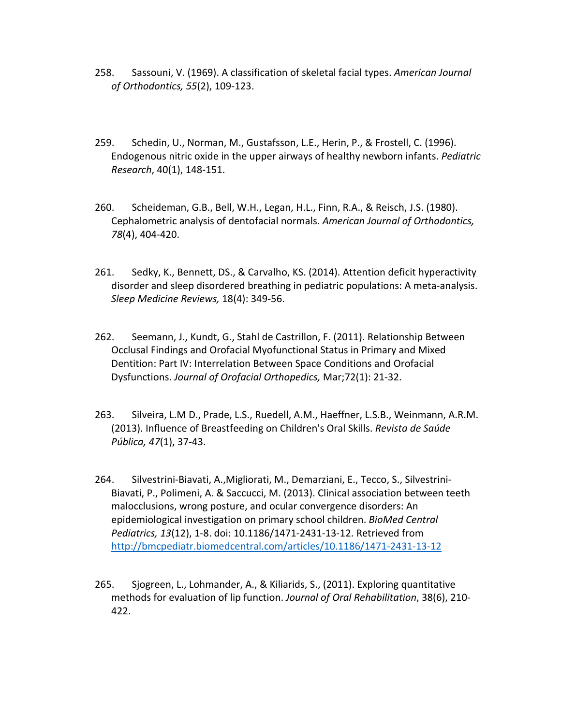- 258. Sassouni, V. (1969). A classification of skeletal facial types. *American Journal of Orthodontics, 55*(2), 109-123.
- 259. Schedin, U., Norman, M., Gustafsson, L.E., Herin, P., & Frostell, C. (1996). Endogenous nitric oxide in the upper airways of healthy newborn infants. *Pediatric Research*, 40(1), 148-151.
- 260. Scheideman, G.B., Bell, W.H., Legan, H.L., Finn, R.A., & Reisch, J.S. (1980). Cephalometric analysis of dentofacial normals. *American Journal of Orthodontics, 78*(4), 404-420.
- 261. Sedky, K., Bennett, DS., & Carvalho, KS. (2014). Attention deficit hyperactivity disorder and sleep disordered breathing in pediatric populations: A meta-analysis. *Sleep Medicine Reviews,* 18(4): 349-56.
- 262. Seemann, J., Kundt, G., Stahl de Castrillon, F. (2011). Relationship Between Occlusal Findings and Orofacial Myofunctional Status in Primary and Mixed Dentition: Part IV: Interrelation Between Space Conditions and Orofacial Dysfunctions. *Journal of Orofacial Orthopedics,* Mar;72(1): 21-32.
- 263. Silveira, L.M D., Prade, L.S., Ruedell, A.M., Haeffner, L.S.B., Weinmann, A.R.M. (2013). Influence of Breastfeeding on Children's Oral Skills. *Revista de Saúde Pública, 47*(1), 37-43.
- 264. Silvestrini-Biavati, A.,Migliorati, M., Demarziani, E., Tecco, S., Silvestrini-Biavati, P., Polimeni, A. & Saccucci, M. (2013). Clinical association between teeth malocclusions, wrong posture, and ocular convergence disorders: An epidemiological investigation on primary school children. *BioMed Central Pediatrics, 13*(12), 1-8. doi: 10.1186/1471-2431-13-12. Retrieved from <http://bmcpediatr.biomedcentral.com/articles/10.1186/1471-2431-13-12>
- 265. Sjogreen, L., Lohmander, A., & Kiliarids, S., (2011). Exploring quantitative methods for evaluation of lip function. *Journal of Oral Rehabilitation*, 38(6), 210- 422.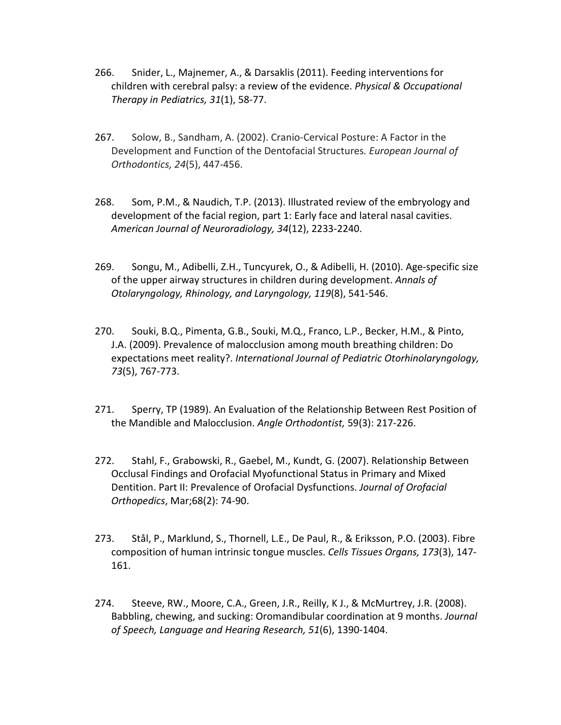- 266. Snider, L., Majnemer, A., & Darsaklis (2011). Feeding interventions for children with cerebral palsy: a review of the evidence. *Physical & Occupational Therapy in Pediatrics, 31*(1), 58-77.
- 267. Solow, B., Sandham, A. (2002). Cranio-Cervical Posture: A Factor in the Development and Function of the Dentofacial Structures*. European Journal of Orthodontics, 24*(5), 447-456.
- 268. Som, P.M., & Naudich, T.P. (2013). Illustrated review of the embryology and development of the facial region, part 1: Early face and lateral nasal cavities. *American Journal of Neuroradiology, 34*(12), 2233-2240.
- 269. Songu, M., Adibelli, Z.H., Tuncyurek, O., & Adibelli, H. (2010). Age-specific size of the upper airway structures in children during development. *Annals of Otolaryngology, Rhinology, and Laryngology, 119*(8), 541-546.
- 270. Souki, B.Q., Pimenta, G.B., Souki, M.Q., Franco, L.P., Becker, H.M., & Pinto, J.A. (2009). Prevalence of malocclusion among mouth breathing children: Do expectations meet reality?. *International Journal of Pediatric Otorhinolaryngology, 73*(5), 767-773.
- 271. Sperry, TP (1989). An Evaluation of the Relationship Between Rest Position of the Mandible and Malocclusion. *Angle Orthodontist,* 59(3): 217-226.
- 272. Stahl, F., Grabowski, R., Gaebel, M., Kundt, G. (2007). Relationship Between Occlusal Findings and Orofacial Myofunctional Status in Primary and Mixed Dentition. Part II: Prevalence of Orofacial Dysfunctions. *Journal of Orofacial Orthopedics*, Mar;68(2): 74-90.
- 273. Stål, P., Marklund, S., Thornell, L.E., De Paul, R., & Eriksson, P.O. (2003). Fibre composition of human intrinsic tongue muscles. *Cells Tissues Organs, 173*(3), 147- 161.
- 274. Steeve, RW., Moore, C.A., Green, J.R., Reilly, K J., & McMurtrey, J.R. (2008). Babbling, chewing, and sucking: Oromandibular coordination at 9 months. *Journal of Speech, Language and Hearing Research, 51*(6), 1390-1404.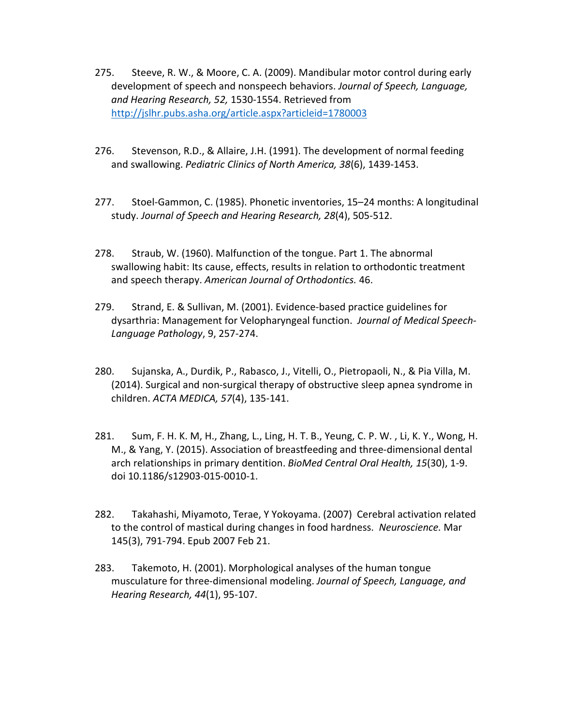- 275. Steeve, R. W., & Moore, C. A. (2009). Mandibular motor control during early development of speech and nonspeech behaviors. *Journal of Speech, Language, and Hearing Research, 52,* 1530-1554. Retrieved from <http://jslhr.pubs.asha.org/article.aspx?articleid=1780003>
- 276. Stevenson, R.D., & Allaire, J.H. (1991). The development of normal feeding and swallowing. *Pediatric Clinics of North America, 38*(6), 1439-1453.
- 277. Stoel-Gammon, C. (1985). Phonetic inventories, 15–24 months: A longitudinal study. *Journal of Speech and Hearing Research, 28*(4), 505-512.
- 278. Straub, W. (1960). Malfunction of the tongue. Part 1. The abnormal swallowing habit: Its cause, effects, results in relation to orthodontic treatment and speech therapy. *American Journal of Orthodontics.* 46.
- 279. Strand, E. & Sullivan, M. (2001). Evidence-based practice guidelines for dysarthria: Management for Velopharyngeal function. *Journal of Medical Speech-Language Pathology*, 9, 257-274.
- 280. Sujanska, A., Durdik, P., Rabasco, J., Vitelli, O., Pietropaoli, N., & Pia Villa, M. (2014). Surgical and non-surgical therapy of obstructive sleep apnea syndrome in children. *ACTA MEDICA, 57*(4), 135-141.
- 281. Sum, F. H. K. M, H., Zhang, L., Ling, H. T. B., Yeung, C. P. W. , Li, K. Y., Wong, H. M., & Yang, Y. (2015). Association of breastfeeding and three-dimensional dental arch relationships in primary dentition. *BioMed Central Oral Health, 15*(30), 1-9. doi 10.1186/s12903-015-0010-1.
- 282. Takahashi, Miyamoto, Terae, Y Yokoyama. (2007) Cerebral activation related to the control of mastical during changes in food hardness. *Neuroscience.* Mar 145(3), 791-794. Epub 2007 Feb 21.
- 283. Takemoto, H. (2001). Morphological analyses of the human tongue musculature for three-dimensional modeling. *Journal of Speech, Language, and Hearing Research, 44*(1), 95-107.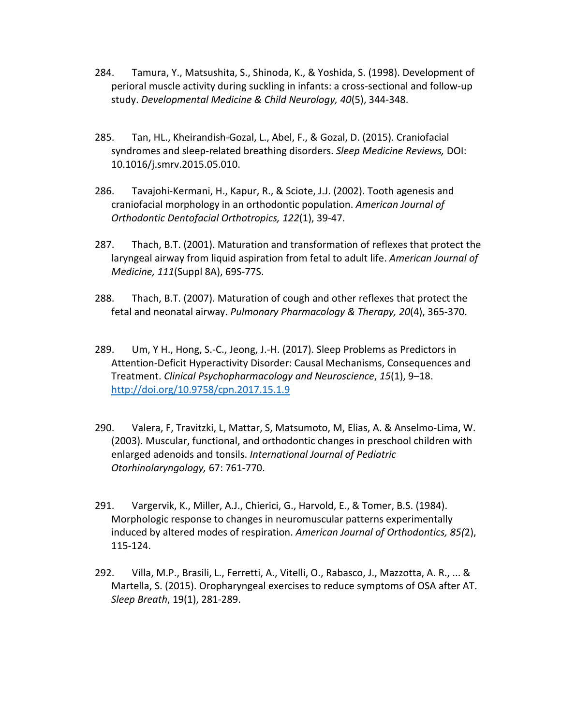- 284. Tamura, Y., Matsushita, S., Shinoda, K., & Yoshida, S. (1998). Development of perioral muscle activity during suckling in infants: a cross-sectional and follow-up study. *Developmental Medicine & Child Neurology, 40*(5), 344-348.
- 285. Tan, HL., Kheirandish-Gozal, L., Abel, F., & Gozal, D. (2015). Craniofacial syndromes and sleep-related breathing disorders. *Sleep Medicine Reviews,* DOI: 10.1016/j.smrv.2015.05.010.
- 286. Tavajohi-Kermani, H., Kapur, R., & Sciote, J.J. (2002). Tooth agenesis and craniofacial morphology in an orthodontic population. *American Journal of Orthodontic Dentofacial Orthotropics, 122*(1), 39-47.
- 287. Thach, B.T. (2001). Maturation and transformation of reflexes that protect the laryngeal airway from liquid aspiration from fetal to adult life. *American Journal of Medicine, 111*(Suppl 8A), 69S-77S.
- 288. Thach, B.T. (2007). Maturation of cough and other reflexes that protect the fetal and neonatal airway. *Pulmonary Pharmacology & Therapy, 20*(4), 365-370.
- 289. Um, Y H., Hong, S.-C., Jeong, J.-H. (2017). Sleep Problems as Predictors in Attention-Deficit Hyperactivity Disorder: Causal Mechanisms, Consequences and Treatment. *Clinical Psychopharmacology and Neuroscience*, *15*(1), 9–18. <http://doi.org/10.9758/cpn.2017.15.1.9>
- 290. Valera, F, Travitzki, L, Mattar, S, Matsumoto, M, Elias, A. & Anselmo-Lima, W. (2003). Muscular, functional, and orthodontic changes in preschool children with enlarged adenoids and tonsils. *International Journal of Pediatric Otorhinolaryngology,* 67: 761-770.
- 291. Vargervik, K., Miller, A.J., Chierici, G., Harvold, E., & Tomer, B.S. (1984). Morphologic response to changes in neuromuscular patterns experimentally induced by altered modes of respiration. *American Journal of Orthodontics, 85(*2), 115-124.
- 292. Villa, M.P., Brasili, L., Ferretti, A., Vitelli, O., Rabasco, J., Mazzotta, A. R., ... & Martella, S. (2015). Oropharyngeal exercises to reduce symptoms of OSA after AT. *Sleep Breath*, 19(1), 281-289.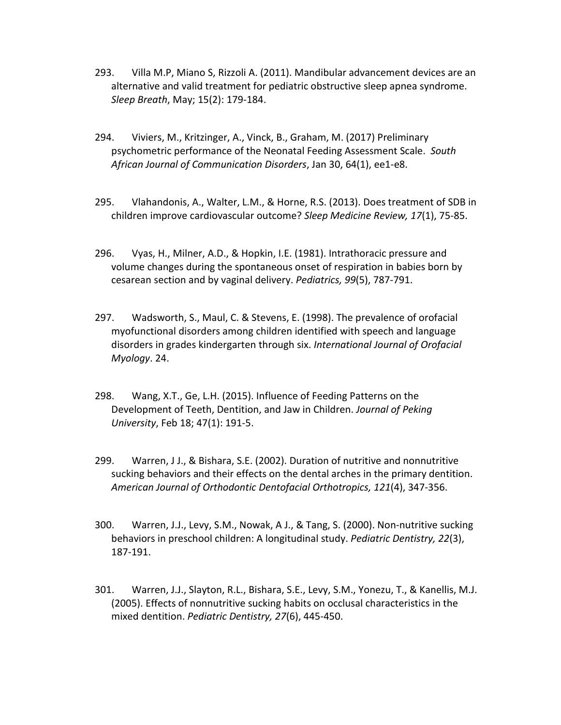- 293. Villa M.P, Miano S, Rizzoli A. (2011). Mandibular advancement devices are an alternative and valid treatment for pediatric obstructive sleep apnea syndrome. *Sleep Breath*, May; 15(2): 179-184.
- 294. Viviers, M., Kritzinger, A., Vinck, B., Graham, M. (2017) Preliminary psychometric performance of the Neonatal Feeding Assessment Scale. *South African Journal of Communication Disorders*, Jan 30, 64(1), ee1-e8.
- 295. Vlahandonis, A., Walter, L.M., & Horne, R.S. (2013). Does treatment of SDB in children improve cardiovascular outcome? *Sleep Medicine Review, 17*(1), 75-85.
- 296. Vyas, H., Milner, A.D., & Hopkin, I.E. (1981). Intrathoracic pressure and volume changes during the spontaneous onset of respiration in babies born by cesarean section and by vaginal delivery. *Pediatrics, 99*(5), 787-791.
- 297. Wadsworth, S., Maul, C. & Stevens, E. (1998). The prevalence of orofacial myofunctional disorders among children identified with speech and language disorders in grades kindergarten through six. *International Journal of Orofacial Myology*. 24.
- 298. Wang, X.T., Ge, L.H. (2015). Influence of Feeding Patterns on the Development of Teeth, Dentition, and Jaw in Children. *Journal of Peking University*, Feb 18; 47(1): 191-5.
- 299. Warren, J J., & Bishara, S.E. (2002). Duration of nutritive and nonnutritive sucking behaviors and their effects on the dental arches in the primary dentition. *American Journal of Orthodontic Dentofacial Orthotropics, 121*(4), 347-356.
- 300. Warren, J.J., Levy, S.M., Nowak, A J., & Tang, S. (2000). Non-nutritive sucking behaviors in preschool children: A longitudinal study. *Pediatric Dentistry, 22*(3), 187-191.
- 301. Warren, J.J., Slayton, R.L., Bishara, S.E., Levy, S.M., Yonezu, T., & Kanellis, M.J. (2005). Effects of nonnutritive sucking habits on occlusal characteristics in the mixed dentition. *Pediatric Dentistry, 27*(6), 445-450.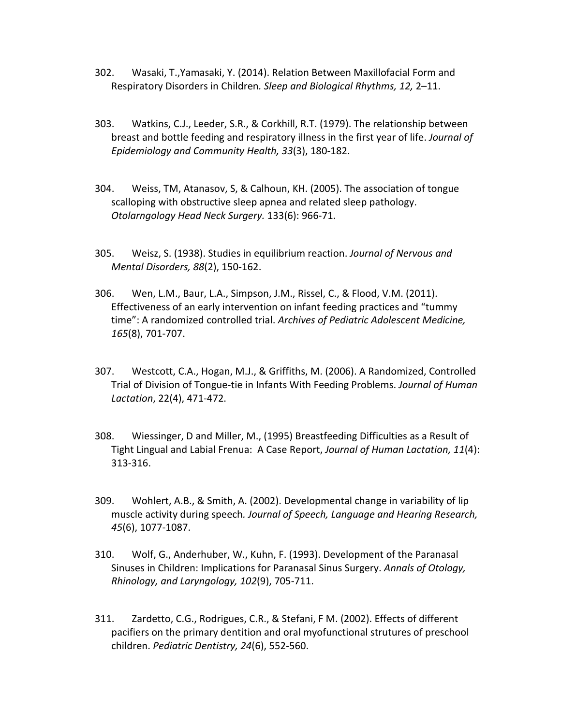- 302. Wasaki, T.,Yamasaki, Y. (2014). Relation Between Maxillofacial Form and Respiratory Disorders in Children*. Sleep and Biological Rhythms, 12,* 2–11.
- 303. Watkins, C.J., Leeder, S.R., & Corkhill, R.T. (1979). The relationship between breast and bottle feeding and respiratory illness in the first year of life. *Journal of Epidemiology and Community Health, 33*(3), 180-182.
- 304. Weiss, TM, Atanasov, S, & Calhoun, KH. (2005). The association of tongue scalloping with obstructive sleep apnea and related sleep pathology. *Otolarngology Head Neck Surgery.* 133(6): 966-71.
- 305. Weisz, S. (1938). Studies in equilibrium reaction. *Journal of Nervous and Mental Disorders, 88*(2), 150-162.
- 306. Wen, L.M., Baur, L.A., Simpson, J.M., Rissel, C., & Flood, V.M. (2011). Effectiveness of an early intervention on infant feeding practices and "tummy time": A randomized controlled trial. *Archives of Pediatric Adolescent Medicine, 165*(8), 701-707.
- 307. Westcott, C.A., Hogan, M.J., & Griffiths, M. (2006). A Randomized, Controlled Trial of Division of Tongue-tie in Infants With Feeding Problems. *Journal of Human Lactation*, 22(4), 471-472.
- 308. Wiessinger, D and Miller, M., (1995) Breastfeeding Difficulties as a Result of Tight Lingual and Labial Frenua: A Case Report, *Journal of Human Lactation, 11*(4): 313-316.
- 309. Wohlert, A.B., & Smith, A. (2002). Developmental change in variability of lip muscle activity during speech*. Journal of Speech, Language and Hearing Research, 45*(6), 1077-1087.
- 310. Wolf, G., Anderhuber, W., Kuhn, F. (1993). Development of the Paranasal Sinuses in Children: Implications for Paranasal Sinus Surgery. *Annals of Otology, Rhinology, and Laryngology, 102*(9), 705-711.
- 311. Zardetto, C.G., Rodrigues, C.R., & Stefani, F M. (2002). Effects of different pacifiers on the primary dentition and oral myofunctional strutures of preschool children. *Pediatric Dentistry, 24*(6), 552-560.